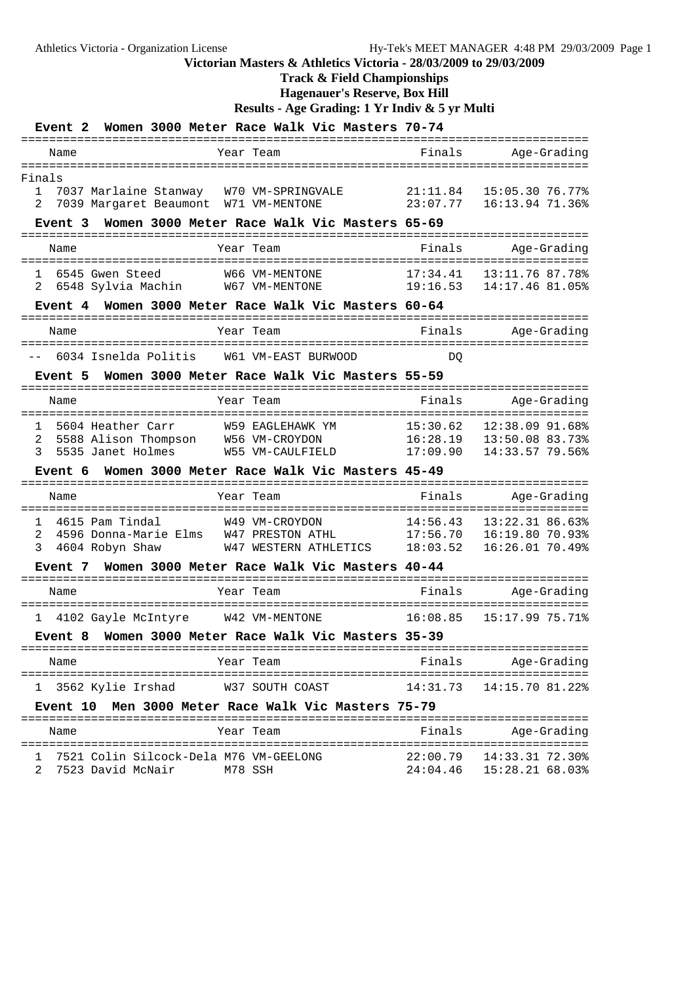### **Track & Field Championships**

**Hagenauer's Reserve, Box Hill**

**Results - Age Grading: 1 Yr Indiv & 5 yr Multi**

| Event 2                                  |                                           |                                   | Women 3000 Meter Race Walk Vic Masters 70-74              |                        |                                      |
|------------------------------------------|-------------------------------------------|-----------------------------------|-----------------------------------------------------------|------------------------|--------------------------------------|
| Name                                     |                                           | Year Team                         |                                                           | Finals                 | Age-Grading                          |
| Finals                                   |                                           |                                   |                                                           |                        |                                      |
| 1<br>2                                   | 7039 Margaret Beaumont                    |                                   | 7037 Marlaine Stanway W70 VM-SPRINGVALE<br>W71 VM-MENTONE | 21:11.84<br>23:07.77   | 15:05.30 76.77%<br>16:13.94 71.36%   |
| Event 3                                  |                                           |                                   | Women 3000 Meter Race Walk Vic Masters 65-69              |                        |                                      |
|                                          |                                           | Year Team                         |                                                           |                        |                                      |
| Name                                     |                                           |                                   |                                                           | Finals                 | Age-Grading                          |
| 1<br>6545 Gwen Steed<br>2                |                                           | 6548 Sylvia Machin W67 VM-MENTONE | W66 VM-MENTONE                                            | 17:34.41<br>19:16.53   | 13:11.76 87.78%<br>14:17.46 81.05%   |
| Event 4                                  |                                           |                                   | Women 3000 Meter Race Walk Vic Masters 60-64              |                        |                                      |
| Name                                     |                                           | Year Team                         |                                                           | Finals                 | Age-Grading                          |
|                                          |                                           | =================                 |                                                           |                        | ________________________________     |
|                                          |                                           |                                   | 6034 Isnelda Politis W61 VM-EAST BURWOOD                  | DO                     |                                      |
| Event 5                                  |                                           |                                   | Women 3000 Meter Race Walk Vic Masters 55-59              |                        |                                      |
| Name                                     |                                           | Year Team                         |                                                           | Finals                 | Age-Grading                          |
| 1                                        | 5604 Heather Carr                         | =====================             | W59 EAGLEHAWK YM                                          | ==========<br>15:30.62 | :================<br>12:38.09 91.68% |
| 2<br>3                                   | 5588 Alison Thompson<br>5535 Janet Holmes |                                   | W56 VM-CROYDON<br>W55 VM-CAULFIELD                        | 16:28.19<br>17:09.90   | 13:50.08 83.73%<br>14:33.57 79.56%   |
| Event 6                                  |                                           |                                   | Women 3000 Meter Race Walk Vic Masters 45-49              |                        |                                      |
|                                          |                                           |                                   |                                                           |                        |                                      |
| Name                                     |                                           | Year Team<br>=============        |                                                           | Finals                 | Age-Grading                          |
| 4615 Pam Tindal<br>$\mathbf{1}$          |                                           |                                   | W49 VM-CROYDON                                            | 14:56.43               | 13:22.31 86.63%                      |
| 2<br>3<br>4604 Robyn Shaw                | 4596 Donna-Marie Elms                     |                                   | W47 PRESTON ATHL<br>W47 WESTERN ATHLETICS                 | 17:56.70<br>18:03.52   | 16:19.80 70.93%<br>16:26.01 70.49%   |
|                                          |                                           |                                   | Event 7 Women 3000 Meter Race Walk Vic Masters 40-44      |                        |                                      |
| Name                                     |                                           | Year Team                         |                                                           | Finals                 | Age-Grading                          |
| 1 4102 Gayle McIntyre W42 VM-MENTONE     |                                           |                                   |                                                           | 16:08.85               | 15:17.99 75.71%                      |
| <b>Event 8</b>                           |                                           |                                   | Women 3000 Meter Race Walk Vic Masters 35-39              |                        |                                      |
| Name                                     |                                           | Year Team                         |                                                           | Finals                 | Age-Grading                          |
| ı                                        | 3562 Kylie Irshad                         |                                   | W37 SOUTH COAST                                           | 14:31.73               | 14:15.70 81.22%                      |
|                                          |                                           |                                   | Event 10 Men 3000 Meter Race Walk Vic Masters 75-79       |                        |                                      |
| Name                                     |                                           | Year Team                         |                                                           | Finals                 | Age-Grading                          |
| 1 7521 Colin Silcock-Dela M76 VM-GEELONG |                                           |                                   |                                                           |                        |                                      |

2 7523 David McNair M78 SSH 24:04.46 15:28.21 68.03%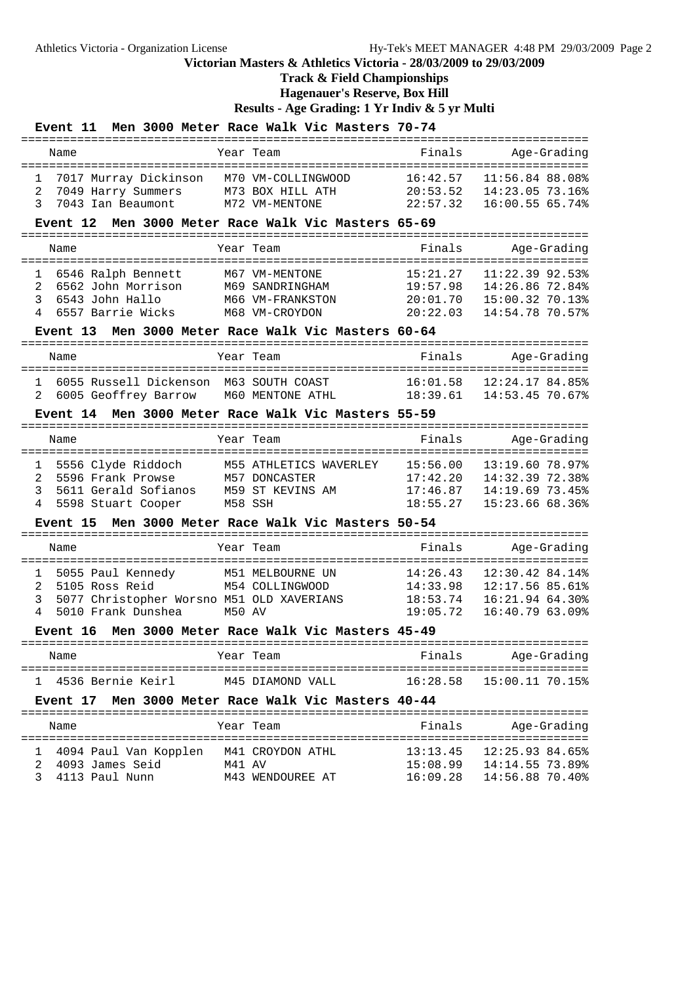# **Track & Field Championships**

**Hagenauer's Reserve, Box Hill**

**Results - Age Grading: 1 Yr Indiv & 5 yr Multi**

#### **Event 11 Men 3000 Meter Race Walk Vic Masters 70-74**

| Name                                                                   | Year Team                                                | Finals                           | Age-Grading                                           |
|------------------------------------------------------------------------|----------------------------------------------------------|----------------------------------|-------------------------------------------------------|
| 1 7017 Murray Dickinson<br>2 7049 Harry Summers<br>3 7043 Ian Beaumont | M70 VM-COLLINGWOOD<br>M73 BOX HILL ATH<br>M72 VM-MENTONE | 16:42.57<br>20:53.52<br>22:57 32 | 11:56.84 88.08%<br>14:23.05 73.16%<br>16:00.55 65.74% |

#### **Event 12 Men 3000 Meter Race Walk Vic Masters 65-69**

|                   | Name                                                                                 | Year Team                                                               | Finals                                       | Age-Grading                                                                |
|-------------------|--------------------------------------------------------------------------------------|-------------------------------------------------------------------------|----------------------------------------------|----------------------------------------------------------------------------|
| $\mathbf{1}$<br>3 | 6546 Ralph Bennett<br>2 6562 John Morrison<br>6543 John Hallo<br>4 6557 Barrie Wicks | M67 VM-MENTONE<br>M69 SANDRINGHAM<br>M66 VM-FRANKSTON<br>M68 VM-CROYDON | 15:21.27<br>19:57.98<br>20:01.70<br>20:22.03 | $11:22.39$ 92.53%<br>14:26.86 72.84%<br>15:00.32 70.13%<br>14:54.78 70.57% |

#### **Event 13 Men 3000 Meter Race Walk Vic Masters 60-64**

| Name |                                         | Year Team        | Finals   | Age-Grading     |
|------|-----------------------------------------|------------------|----------|-----------------|
|      |                                         |                  |          |                 |
|      | 6055 Russell Dickenson, M63 SOUTH COAST |                  | 16:01.58 | 12:24.17 84.85% |
|      | 2 6005 Geoffrey Barrow                  | M60 MENTONE ATHL | 18:39.61 | 14:53.45 70.67% |

### **Event 14 Men 3000 Meter Race Walk Vic Masters 55-59**

|                                  | Name |                                                                                         | Year Team                                                              | Finals                                       |                                                                        | Age-Grading |
|----------------------------------|------|-----------------------------------------------------------------------------------------|------------------------------------------------------------------------|----------------------------------------------|------------------------------------------------------------------------|-------------|
| $\mathbf{1}$<br>$2^{\circ}$<br>3 |      | 5556 Clyde Riddoch<br>5596 Frank Prowse<br>5611 Gerald Sofianos<br>4 5598 Stuart Cooper | M55 ATHLETICS WAVERLEY<br>M57 DONCASTER<br>M59 ST KEVINS AM<br>M58 SSH | 15:56.00<br>17:42.20<br>17:46.87<br>18:55.27 | 13:19.60 78.97%<br>14:32.39 72.38%<br>14:19.69 73.45%<br>15:23.6668.36 |             |

#### **Event 15 Men 3000 Meter Race Walk Vic Masters 50-54**

|                   | Name |                                                                                                          |        | Year Team                           | Finals                                       | Age-Grading                                                              |
|-------------------|------|----------------------------------------------------------------------------------------------------------|--------|-------------------------------------|----------------------------------------------|--------------------------------------------------------------------------|
| $\mathbf{1}$<br>3 |      | 5055 Paul Kennedy<br>2 5105 Ross Reid<br>5077 Christopher Worsno M51 OLD XAVERIANS<br>5010 Frank Dunshea | M50 AV | M51 MELBOURNE UN<br>M54 COLLINGWOOD | 14:26.43<br>14:33.98<br>18:53.74<br>19:05.72 | 12:30.42 84.14%<br>12:17.56 85.61%<br>16:21.94 64.30%<br>16:40.79 63.09% |
|                   |      |                                                                                                          |        |                                     |                                              |                                                                          |

#### **Event 16 Men 3000 Meter Race Walk Vic Masters 45-49**

| Name              | Year Team        | Finals   | Age-Grading     |
|-------------------|------------------|----------|-----------------|
| 4536 Bernie Keirl | M45 DIAMOND VALL | 16:28.58 | 15:00.11 70.15% |

#### **Event 17 Men 3000 Meter Race Walk Vic Masters 40-44**

| Name                                  |                       |        | Year Team                            | Finals                           | Age-Grading                                           |
|---------------------------------------|-----------------------|--------|--------------------------------------|----------------------------------|-------------------------------------------------------|
| 2 4093 James Seid<br>3 4113 Paul Nunn | 4094 Paul Van Kopplen | M41 AV | M41 CROYDON ATHL<br>M43 WENDOUREE AT | 13:13.45<br>15:08.99<br>16:09.28 | 12:25.93 84.65%<br>14:14.55 73.89%<br>14:56.88 70.40% |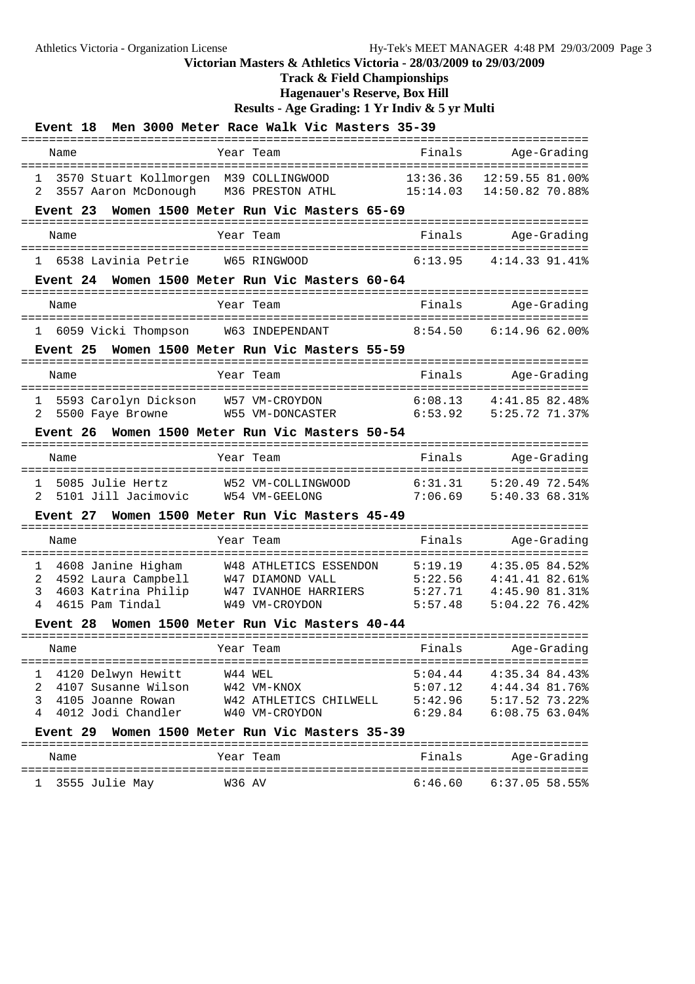### **Track & Field Championships**

**Hagenauer's Reserve, Box Hill**

**Results - Age Grading: 1 Yr Indiv & 5 yr Multi**

| <b>Event</b> 18                                                                                                      | Men 3000 Meter Race Walk Vic Masters 35-39                                                                   |                                                       |                                                                                                                 |
|----------------------------------------------------------------------------------------------------------------------|--------------------------------------------------------------------------------------------------------------|-------------------------------------------------------|-----------------------------------------------------------------------------------------------------------------|
| Name                                                                                                                 | Year Team<br>--------------<br>======================                                                        | Finals                                                | Age-Grading                                                                                                     |
| 3570 Stuart Kollmorgen M39 COLLINGWOOD<br>1<br>3557 Aaron McDonough<br>2                                             | M36 PRESTON ATHL                                                                                             | 13:36.36<br>15:14.03                                  | 12:59.55 81.00%<br>14:50.82 70.88%                                                                              |
| Event 23                                                                                                             | Women 1500 Meter Run Vic Masters 65-69<br>===================                                                |                                                       | =============================                                                                                   |
| Name                                                                                                                 | Year Team<br>-----------------------                                                                         | Finals                                                | Age-Grading                                                                                                     |
| 6538 Lavinia Petrie<br>$\mathbf{1}$                                                                                  | W65 RINGWOOD                                                                                                 | 6:13.95                                               | ==================<br>$4:14.33$ $91.41$ <sup>8</sup>                                                            |
| Event 24                                                                                                             | Women 1500 Meter Run Vic Masters 60-64<br>========================                                           | =========                                             |                                                                                                                 |
| Name                                                                                                                 | Year Team                                                                                                    | Finals                                                | Age-Grading                                                                                                     |
| -------------------------------------<br>1                                                                           | 6059 Vicki Thompson M63 INDEPENDANT                                                                          | 8:54.50                                               | :================<br>6:14.9662.00                                                                               |
| Event 25                                                                                                             | Women 1500 Meter Run Vic Masters 55-59                                                                       |                                                       |                                                                                                                 |
| Name                                                                                                                 | Year Team                                                                                                    | Finals                                                | Age-Grading                                                                                                     |
| 5593 Carolyn Dickson<br>1<br>5500 Faye Browne<br>2                                                                   | W57 VM-CROYDON<br>W55 VM-DONCASTER                                                                           | 6:08.13<br>6:53.92                                    | $4:41.85$ 82.48%<br>5:25.72 71.37%                                                                              |
| Event 26                                                                                                             | Women 1500 Meter Run Vic Masters 50-54                                                                       |                                                       |                                                                                                                 |
| Name                                                                                                                 | Year Team                                                                                                    | Finals                                                | Age-Grading                                                                                                     |
| 5085 Julie Hertz<br>1<br>2<br>5101 Jill Jacimovic                                                                    | W52 VM-COLLINGWOOD<br>W54 VM-GEELONG                                                                         | 6:31.31<br>7:06.69                                    | 5:20.4972.54%<br>5:40.33 68.31%                                                                                 |
| Event 27                                                                                                             | Women 1500 Meter Run Vic Masters 45-49                                                                       |                                                       |                                                                                                                 |
| Name                                                                                                                 | Year Team                                                                                                    | Finals                                                | Age-Grading                                                                                                     |
| 1<br>2<br>4592 Laura Campbell<br>3<br>4603 Katrina Philip<br>4<br>4615 Pam Tindal                                    | 4608 Janine Higham W48 ATHLETICS ESSENDON<br>W47 DIAMOND VALL<br>W47 IVANHOE HARRIERS<br>W49 VM-CROYDON      | =========<br>5:19.19<br>5:22.56<br>5:27.71<br>5:57.48 | ====================<br>$4:35.05$ 84.52%<br>4:41.41.82.61<br>$4:45.90$ $81.31$ <sup>8</sup><br>$5:04.22$ 76.42% |
| Event 28                                                                                                             | Women 1500 Meter Run Vic Masters 40-44                                                                       |                                                       |                                                                                                                 |
| Name                                                                                                                 | Year Team                                                                                                    | Finals                                                | Age-Grading                                                                                                     |
| 4120 Delwyn Hewitt<br>1<br>4107 Susanne Wilson<br>2<br>3<br>4105 Joanne Rowan<br>4012 Jodi Chandler<br>4<br>Event 29 | W44 WEL<br>W42 VM-KNOX<br>W42 ATHLETICS CHILWELL<br>W40 VM-CROYDON<br>Women 1500 Meter Run Vic Masters 35-39 | 5:04.44<br>5:07.12<br>5:42.96<br>6:29.84              | 4:35.34 84.43%<br>4:44.34 81.76%<br>5:17.52 73.22%<br>6:08.7563.04%                                             |
| Name                                                                                                                 | Year Team                                                                                                    | Finals                                                | Age-Grading                                                                                                     |

================================================================================= 1 3555 Julie May W36 AV 6:46.60 6:37.05 58.55%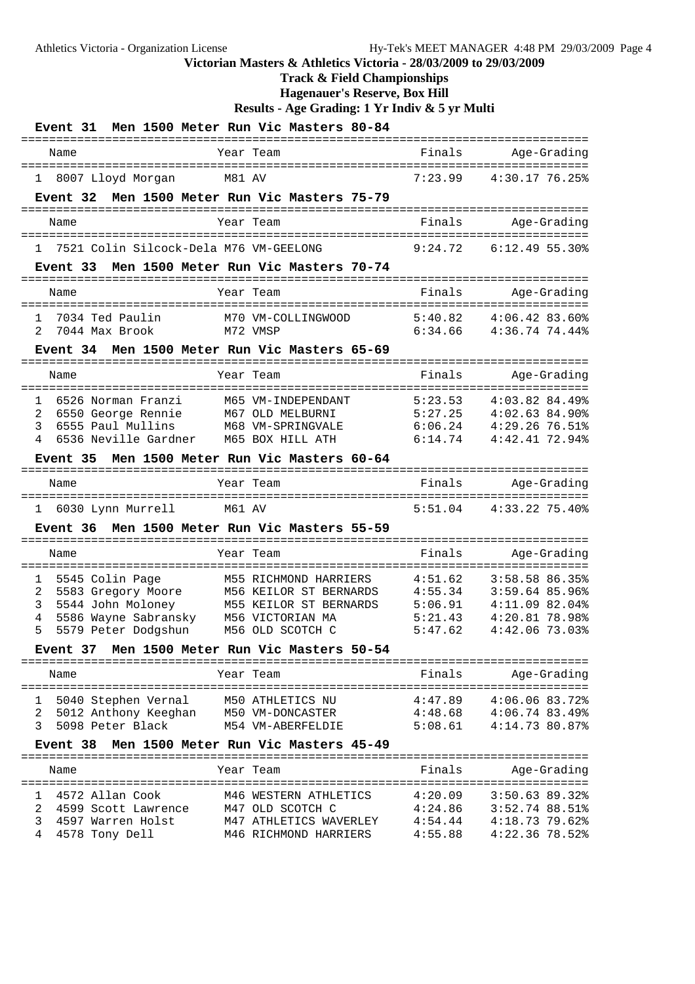**Track & Field Championships**

**Hagenauer's Reserve, Box Hill**

| <b>Event 31</b>                                            | Men 1500 Meter Run Vic Masters 80-84            |                    |                                        |
|------------------------------------------------------------|-------------------------------------------------|--------------------|----------------------------------------|
| Name                                                       | Year Team                                       | Finals             | Age-Grading                            |
| 8007 Lloyd Morgan<br>$\mathbf{1}$                          | M81 AV                                          | 7:23.99            | 4:30.1776.25%                          |
| Event 32                                                   | Men 1500 Meter Run Vic Masters 75-79            |                    |                                        |
| Name                                                       | Year Team                                       | Finals             | Age-Grading                            |
| 7521 Colin Silcock-Dela M76 VM-GEELONG<br>$\mathbf{1}$     |                                                 | 9:24.72            | 6:12.495.30%                           |
| Event 33                                                   | Men 1500 Meter Run Vic Masters 70-74            |                    |                                        |
| Name                                                       | Year Team                                       | Finals             | Age-Grading                            |
| $\mathbf{1}$<br>7034 Ted Paulin<br>2<br>7044 Max Brook     | M70 VM-COLLINGWOOD<br>M72 VMSP                  | 5:40.82<br>6:34.66 | 4:06.4283.60<br>4:36.74 74.44%         |
| Event 34                                                   | Men 1500 Meter Run Vic Masters 65-69            |                    |                                        |
| Name                                                       | Year Team                                       | Finals             | Age-Grading                            |
| ===========<br>-------------                               |                                                 |                    | ====================================== |
| 1<br>6526 Norman Franzi                                    | M65 VM-INDEPENDANT                              | 5:23.53<br>5:27.25 | 4:03.82 84.49%                         |
| 2<br>6550 George Rennie<br>3<br>6555 Paul Mullins          | M67 OLD MELBURNI<br>M68 VM-SPRINGVALE           | 6:06.24            | $4:02.63$ 84.90%<br>4:29.2676.51       |
| 4<br>6536 Neville Gardner                                  | M65 BOX HILL ATH                                | 6:14.74            | $4:42.41$ 72.94%                       |
| Event 35                                                   | Men 1500 Meter Run Vic Masters 60-64            |                    |                                        |
|                                                            |                                                 |                    |                                        |
| Name                                                       | Year Team                                       | Finals             | Age-Grading                            |
|                                                            | eeeeeee:                                        |                    |                                        |
| 6030 Lynn Murrell<br>1                                     | M61 AV                                          | 5:51.04            | $4:33.22$ 75.40%                       |
| <b>Event 36</b>                                            | Men 1500 Meter Run Vic Masters 55-59            |                    |                                        |
| Name                                                       | Year Team                                       | Finals             | Age-Grading                            |
|                                                            | =======                                         |                    |                                        |
| $\mathbf{1}$<br>5545 Colin Page<br>2<br>5583 Gregory Moore | M55 RICHMOND HARRIERS<br>M56 KEILOR ST BERNARDS | 4:51.62<br>4:55.34 | 3:58.58 86.35%<br>3:59.64 85.96%       |
| 3<br>5544 John Moloney                                     | M55 KEILOR ST BERNARDS                          | 5:06.91            | 4:11.09 82.04%                         |
| 5586 Wayne Sabransky<br>4                                  | M56 VICTORIAN MA                                | 5:21.43            | 4:20.81 78.98%                         |
| 5<br>5579 Peter Dodgshun                                   | M56 OLD SCOTCH C                                | 5:47.62            | $4:42.06$ 73.03%                       |
| <b>Event 37</b>                                            | Men 1500 Meter Run Vic Masters 50-54            |                    |                                        |
| Name                                                       | Year Team                                       | Finals             | Age-Grading                            |
| 5040 Stephen Vernal<br>1                                   | M50 ATHLETICS NU                                | 4:47.89            | $4:06.06$ 83.72%                       |
| 2<br>5012 Anthony Keeghan                                  | M50 VM-DONCASTER                                | 4:48.68            | $4:06.74$ 83.49%                       |
| 3<br>5098 Peter Black                                      | M54 VM-ABERFELDIE                               | 5:08.61            | 4:14.73 80.87%                         |
| <b>Event 38</b>                                            | Men 1500 Meter Run Vic Masters 45-49            |                    |                                        |
| Name                                                       | Year Team                                       | Finals             | Age-Grading                            |
| 1                                                          |                                                 |                    |                                        |
| 4572 Allan Cook<br>2<br>4599 Scott Lawrence                | M46 WESTERN ATHLETICS<br>M47 OLD SCOTCH C       | 4:20.09<br>4:24.86 | 3:50.63 89.32%<br>$3:52.74$ 88.51%     |
| 3<br>4597 Warren Holst                                     | M47 ATHLETICS WAVERLEY                          | 4:54.44            | $4:18.73$ 79.62%                       |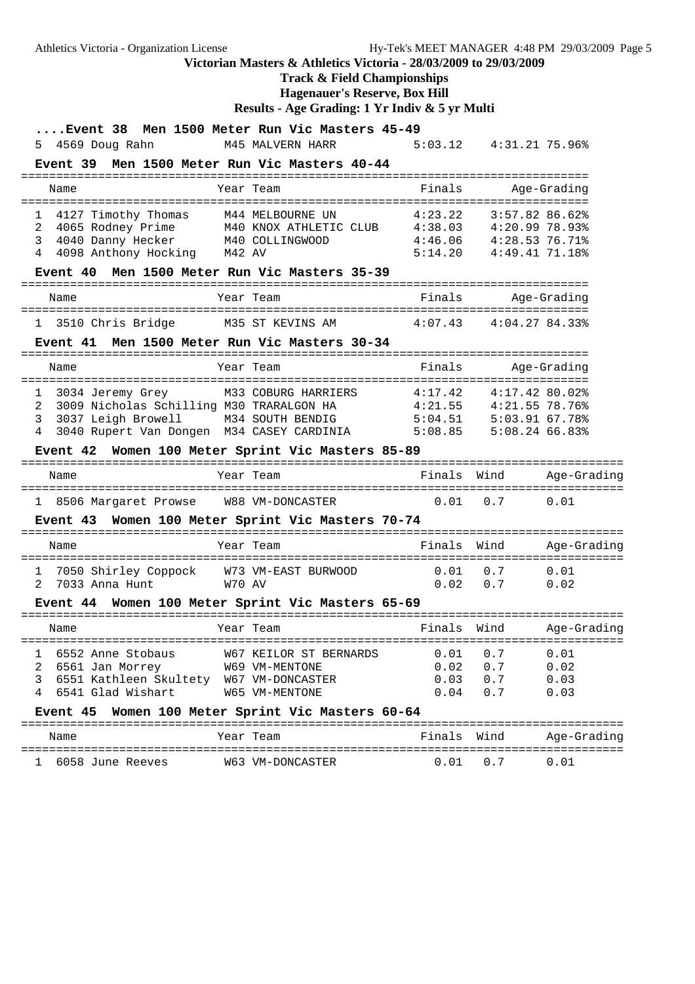Athletics Victoria - Organization License Hy-Tek's MEET MANAGER 4:48 PM 29/03/2009 Page 5 **Victorian Masters & Athletics Victoria - 28/03/2009 to 29/03/2009 Track & Field Championships Hagenauer's Reserve, Box Hill Results - Age Grading: 1 Yr Indiv & 5 yr Multi ....Event 38 Men 1500 Meter Run Vic Masters 45-49** 5 4569 Doug Rahn M45 MALVERN HARR 5:03.12 4:31.21 75.96% **Event 39 Men 1500 Meter Run Vic Masters 40-44**

|        | Name |                                                                                         |        | Year Team                                                     | Finals                                   |                                                                   | Age-Grading |
|--------|------|-----------------------------------------------------------------------------------------|--------|---------------------------------------------------------------|------------------------------------------|-------------------------------------------------------------------|-------------|
| 2<br>3 |      | 4127 Timothy Thomas<br>4065 Rodney Prime<br>4040 Danny Hecker<br>4 4098 Anthony Hocking | M42 AV | M44 MELBOURNE UN<br>M40 KNOX ATHLETIC CLUB<br>M40 COLLINGWOOD | 4:23.22<br>4:38.03<br>4:46.06<br>5:14.20 | $3:57.82$ 86.62%<br>4:20.9978.93<br>4:28.5376.71<br>4:49.4171.18% |             |

#### **Event 40 Men 1500 Meter Run Vic Masters 35-39**

| Name                | Year Team        | Finals  | Age-Grading    |
|---------------------|------------------|---------|----------------|
| 1 3510 Chris Bridge | M35 ST KEVINS AM | 4:07 43 | 4:04.27 84.33% |

### **Event 41 Men 1500 Meter Run Vic Masters 30-34**

| Name |                                            | Year Team           | Finals  | Age-Grading      |
|------|--------------------------------------------|---------------------|---------|------------------|
|      | 3034 Jeremy Grey                           | M33 COBURG HARRIERS | 4:17.42 | $4:17.42$ 80.02% |
|      | 2 3009 Nicholas Schilling M30 TRARALGON HA |                     | 4:21.55 | $4:21.55$ 78.76% |
|      | 3 3037 Leigh Browell                       | M34 SOUTH BENDIG    | 5:04.51 | 5:03.9167.78     |
|      | 3040 Rupert Van Dongen M34 CASEY CARDINIA  |                     | 5:08.85 | 5:08.2466.83     |

#### **Event 42 Women 100 Meter Sprint Vic Masters 85-89**

| Name                   | Year Team        | Finals Wind |                   | Aqe-Gradinq |
|------------------------|------------------|-------------|-------------------|-------------|
| 1 8506 Margaret Prowse | W88 VM-DONCASTER |             | $0.01 \qquad 0.7$ | 0.01        |

#### **Event 43 Women 100 Meter Sprint Vic Masters 70-74**

| Name                   | Year Team           | Finals Wind   | Age-Grading |
|------------------------|---------------------|---------------|-------------|
| 1 7050 Shirley Coppock | W73 VM-EAST BURWOOD | $0.01$ 0.7    | 0.01        |
| 2 7033 Anna Hunt       | W70 AV              | $0.02 \t 0.7$ | 0.02        |

#### **Event 44 Women 100 Meter Sprint Vic Masters 65-69**

|   | Name                   | Year Team |                               | Finals Wind       |      | Age-Grading |
|---|------------------------|-----------|-------------------------------|-------------------|------|-------------|
|   | 6552 Anne Stobaus      |           | <b>W67 KEILOR ST BERNARDS</b> | $0.01 \qquad 0.7$ |      | 0.01        |
|   | 6561 Jan Morrey        |           | W69 VM-MENTONE                | 0 0 2             | 0. 7 | 0.02        |
| 3 | 6551 Kathleen Skultety |           | W67 VM-DONCASTER              | 0 O.R             | 0. 7 | 0.03        |
|   | 6541 Glad Wishart      |           | W65 VM-MENTONE                | 0 04              | 07   | 0.03        |

#### **Event 45 Women 100 Meter Sprint Vic Masters 60-64**

| Name               | Year Team        | Finals Wind |           | Age-Grading |
|--------------------|------------------|-------------|-----------|-------------|
| 1 6058 June Reeves | W63 VM-DONCASTER |             | 0 0 1 0 7 | 0 0 1       |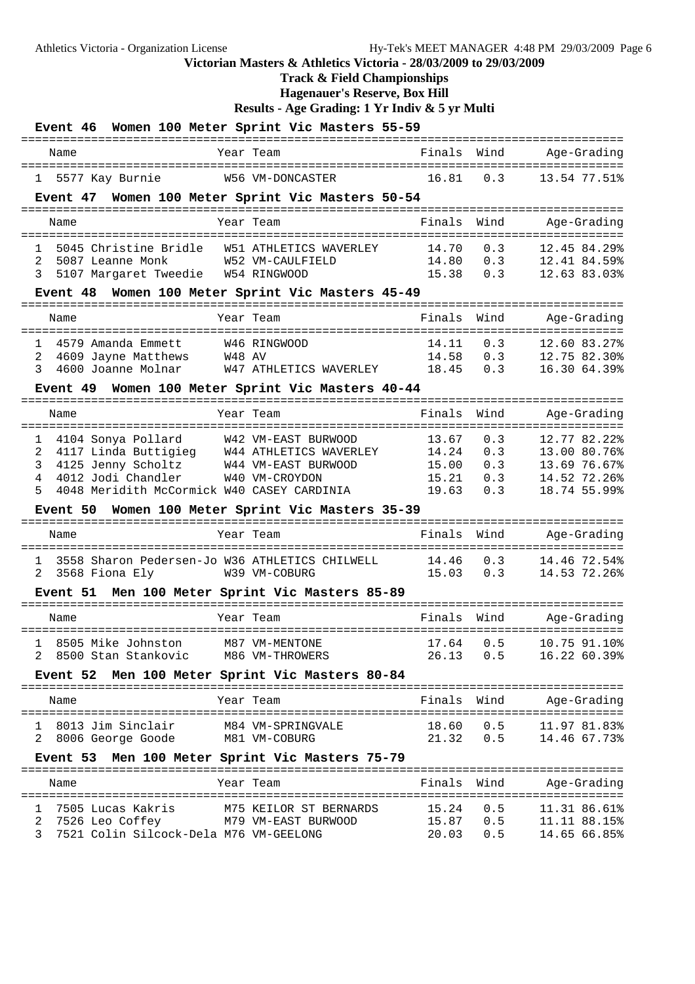**Track & Field Championships**

**Hagenauer's Reserve, Box Hill**

| Event 46 Women 100 Meter Sprint Vic Masters 55-59                                             |                                                                                        |                |            |                              |
|-----------------------------------------------------------------------------------------------|----------------------------------------------------------------------------------------|----------------|------------|------------------------------|
| Name                                                                                          | Year Team                                                                              | Finals Wind    |            | Age-Grading                  |
| 5577 Kay Burnie<br>1                                                                          | W56 VM-DONCASTER                                                                       | 16.81          | 0.3        | 13.54 77.51%                 |
| Event 47 Women 100 Meter Sprint Vic Masters 50-54                                             |                                                                                        |                |            |                              |
| Name                                                                                          | Year Team                                                                              | Finals         |            | Wind Age-Grading             |
| 5045 Christine Bridle W51 ATHLETICS WAVERLEY<br>$\mathbf{1}$                                  |                                                                                        | 14.70          | 0.3        | 12.45 84.29%                 |
| 5087 Leanne Monk<br>2<br>3                                                                    | W52 VM-CAULFIELD                                                                       | 14.80          | 0.3<br>0.3 | 12.41 84.59%<br>12.63 83.03% |
| 5107 Margaret Tweedie W54 RINGWOOD                                                            |                                                                                        | 15.38          |            |                              |
| Event 48 Women 100 Meter Sprint Vic Masters 45-49                                             |                                                                                        |                |            |                              |
| Name                                                                                          | Year Team                                                                              | Finals         | Wind       | Age-Grading                  |
| 4579 Amanda Emmett<br>$\mathbf{1}$                                                            | W46 RINGWOOD                                                                           | 14.11          | 0.3        | 12.60 83.27%                 |
| 4609 Jayne Matthews<br>2                                                                      | 4609 Jayne Matthews        W48 AV<br>4600 Joanne Molnar         W47 ATHLETICS WAVERLEY | 14.58          | 0.3        | 12.75 82.30%                 |
| 3                                                                                             |                                                                                        | 18.45          | 0.3        | 16.30 64.39%                 |
| Event 49 Women 100 Meter Sprint Vic Masters 40-44<br>-------------------------------------    |                                                                                        |                |            |                              |
| Name                                                                                          | Year Team                                                                              | Finals         | Wind       | Age-Grading                  |
| 4104 Sonya Pollard W42 VM-EAST BURWOOD<br>1                                                   |                                                                                        | 13.67          | 0.3        | 12.77 82.22%                 |
| 4117 Linda Buttigieg W44 ATHLETICS WAVERLEY<br>2                                              |                                                                                        | 14.24          | 0.3        | 13.00 80.76%                 |
| 4125 Jenny Scholtz W44 VM-EAST BURWOOD<br>3<br>4012 Jodi Chandler                             |                                                                                        | 15.00          | 0.3        | 13.69 76.67%                 |
| 4<br>4048 Meridith McCormick W40 CASEY CARDINIA<br>5                                          | W40 VM-CROYDON                                                                         | 15.21<br>19.63 | 0.3<br>0.3 | 14.52 72.26%<br>18.74 55.99% |
| Event 50 Women 100 Meter Sprint Vic Masters 35-39                                             |                                                                                        |                |            |                              |
| Name                                                                                          | Year Team                                                                              | Finals         | Wind       | Age-Grading                  |
|                                                                                               |                                                                                        |                |            |                              |
| 3558 Sharon Pedersen-Jo W36 ATHLETICS CHILWELL                                                |                                                                                        | 14.46          | 0.3<br>0.3 | 14.46 72.54%                 |
| 3568 Fiona Ely<br>2                                                                           | W39 VM-COBURG                                                                          | 15.03          |            | 14.53 72.26%                 |
| Event 51 Men 100 Meter Sprint Vic Masters 85-89                                               |                                                                                        |                |            |                              |
| Name                                                                                          | Year Team                                                                              | Finals         | Wind       | Age-Grading                  |
| 1 8505 Mike Johnston M87 VM-MENTONE                                                           |                                                                                        |                |            | 17.64  0.5  10.75  91.10%    |
| 8500 Stan Stankovic<br>2                                                                      | M86 VM-THROWERS                                                                        |                | 26.13 0.5  | 16.22 60.39%                 |
| Event 52 Men 100 Meter Sprint Vic Masters 80-84                                               |                                                                                        |                |            |                              |
| Name                                                                                          | Year Team                                                                              | Finals Wind    |            | Age-Grading                  |
|                                                                                               |                                                                                        |                |            |                              |
| 1 8013 Jim Sinclair                                                                           | M84 VM-SPRINGVALE                                                                      | 18.60          | 0.5        | 11.97 81.83%                 |
| 8006 George Goode M81 VM-COBURG<br>2                                                          |                                                                                        |                | 21.32 0.5  | 14.46 67.73%                 |
| Event 53 Men 100 Meter Sprint Vic Masters 75-79                                               |                                                                                        |                |            |                              |
| Name                                                                                          | Year Team                                                                              | Finals Wind    |            | Age-Grading                  |
| 7505 Lucas Kakris<br>ı                                                                        | M75 KEILOR ST BERNARDS                                                                 | 15.24          | 0.5        | 11.31 86.61%                 |
| 7526 Leo Coffey            M79 VM-EAST BURWOOD<br>2<br>7521 Colin Silcock-Dela M76 VM-GEELONG |                                                                                        | 15.87<br>20.03 | 0.5<br>0.5 | 11.11 88.15%<br>14.65 66.85% |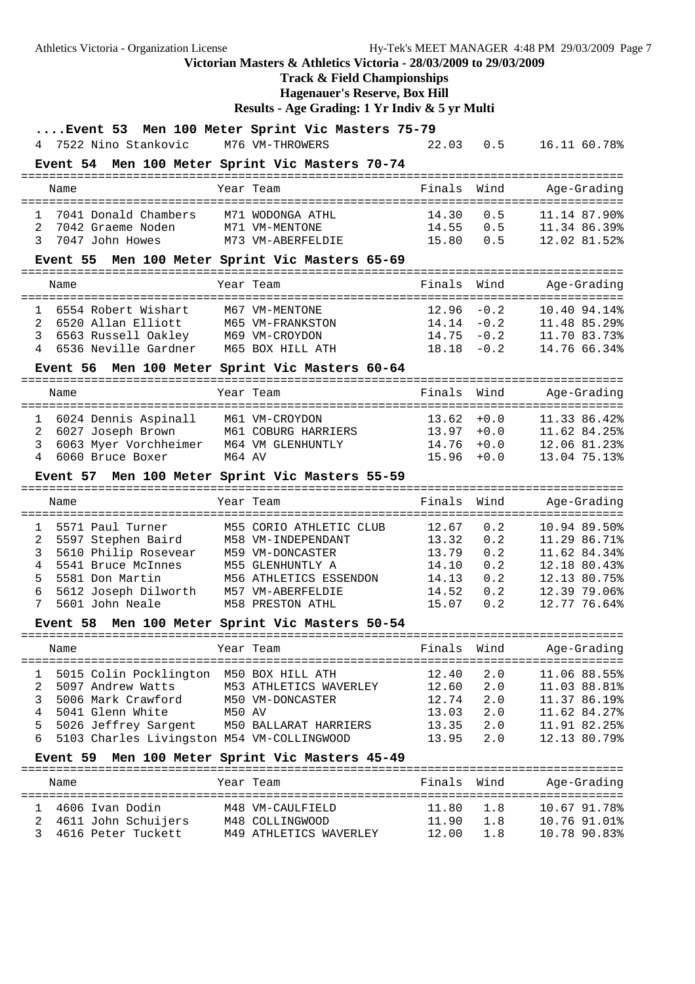Athletics Victoria - Organization License Hy-Tek's MEET MANAGER 4:48 PM 29/03/2009 Page 7 **Victorian Masters & Athletics Victoria - 28/03/2009 to 29/03/2009 Track & Field Championships**

**Hagenauer's Reserve, Box Hill**

|        | Event 53 Men 100 Meter Sprint Vic Masters 75-79               |        |                                               |                 |                |                                                      |
|--------|---------------------------------------------------------------|--------|-----------------------------------------------|-----------------|----------------|------------------------------------------------------|
| 4      | 7522 Nino Stankovic M76 VM-THROWERS                           |        |                                               | 22.03           | 0.5            | 16.11 60.78%                                         |
|        | Event 54 Men 100 Meter Sprint Vic Masters 70-74               |        |                                               | =============== |                |                                                      |
|        | Name                                                          |        | Year Team                                     | Finals          | Wind           | Age-Grading                                          |
| 1      | 7041 Donald Chambers                                          |        | M71 WODONGA ATHL                              | 14.30           | 0.5            | 11.14 87.90%                                         |
| 2      | 7042 Graeme Noden                                             |        | M71 VM-MENTONE                                | 14.55           | 0.5            | 11.34 86.39%                                         |
| 3      | 7047 John Howes                                               |        | M73 VM-ABERFELDIE                             | 15.80           | 0.5            | 12.02 81.52%                                         |
|        | Event 55 Men 100 Meter Sprint Vic Masters 65-69               |        |                                               |                 |                |                                                      |
|        | Name                                                          |        | Year Team                                     | Finals          | Wind           | Age-Grading<br>------------------------------------- |
| 1      | 6554 Robert Wishart                                           |        | M67 VM-MENTONE                                | 12.96           | $-0.2$         | 10.40 94.14%                                         |
| 2      | 6520 Allan Elliott                                            |        | M65 VM-FRANKSTON                              | 14.14           | $-0.2$         | 11.48 85.29%                                         |
| 3      | 6563 Russell Oakley M69 VM-CROYDON                            |        |                                               | 14.75           | $-0.2$         | 11.70 83.73%                                         |
|        | 6536 Neville Gardner                                          |        | M65 BOX HILL ATH                              | 18.18           | $-0.2$         | 14.76 66.34%                                         |
|        | Event 56 Men 100 Meter Sprint Vic Masters 60-64               |        |                                               |                 |                |                                                      |
|        | Name                                                          |        | Year Team                                     | Finals          | Wind           | Age-Grading                                          |
| 1      | 6024 Dennis Aspinall                                          |        | M61 VM-CROYDON                                | 13.62           | $+0.0$         | 11.33 86.42%                                         |
| 2      | 6027 Joseph Brown                                             |        | M61 COBURG HARRIERS                           | 13.97           | $+0.0$         | 11.62 84.25%                                         |
| 3      | 6063 Myer Vorchheimer                                         |        | M64 VM GLENHUNTLY                             | 14.76           | $+0.0$         | 12.06 81.23%                                         |
| 4      | 6060 Bruce Boxer                                              | M64 AV |                                               | 15.96           | $+0.0$         | 13.04 75.13%                                         |
|        | Event 57                                                      |        | Men 100 Meter Sprint Vic Masters 55-59        |                 |                |                                                      |
|        |                                                               |        |                                               |                 |                |                                                      |
|        | Name                                                          |        | Year Team                                     | Finals          | Wind           | Age-Grading                                          |
|        |                                                               |        |                                               |                 |                |                                                      |
| 1<br>2 | 5571 Paul Turner                                              |        | M55 CORIO ATHLETIC CLUB<br>M58 VM-INDEPENDANT | 12.67<br>13.32  | 0.2<br>0.2     | 10.94 89.50%<br>11.29 86.71%                         |
| 3      | 5597 Stephen Baird<br>5610 Philip Rosevear                    |        | M59 VM-DONCASTER                              | 13.79           | 0.2            | 11.62 84.34%                                         |
| 4      | 5541 Bruce McInnes                                            |        | M55 GLENHUNTLY A                              | 14.10           | 0.2            | 12.18 80.43%                                         |
| 5      | 5581 Don Martin                                               |        | M56 ATHLETICS ESSENDON                        | 14.13           | 0.2            | 12.13 80.75%                                         |
| 6      | 5612 Joseph Dilworth                                          |        | M57 VM-ABERFELDIE                             | 14.52           | 0.2            | 12.39 79.06%                                         |
| 7      | 5601 John Neale                                               |        | M58 PRESTON ATHL                              | 15.07           | 0.2            | 12.77 76.64%                                         |
|        | <b>Event 58</b>                                               |        | Men 100 Meter Sprint Vic Masters 50-54        |                 |                |                                                      |
|        | Name                                                          |        | Year Team                                     | Finals          | Wind           | Age-Grading                                          |
|        |                                                               |        | =====================                         | ========        |                | ================                                     |
| 1      | 5015 Colin Pocklington M50 BOX HILL ATH                       |        |                                               | 12.40           | 2.0            | 11.06 88.55%                                         |
| 2      | 5097 Andrew Watts                                             |        | M53 ATHLETICS WAVERLEY                        | 12.60           | 2.0            | 11.03 88.81%                                         |
| 3      | 5006 Mark Crawford                                            |        | M50 VM-DONCASTER                              | 12.74           | 2.0            | 11.37 86.19%                                         |
| 4      | 5041 Glenn White                                              | M50 AV |                                               | 13.03           | 2.0            | 11.62 84.27%                                         |
| 5<br>6 | 5026 Jeffrey Sargent                                          |        | M50 BALLARAT HARRIERS                         | 13.35           | 2.0            | 11.91 82.25%                                         |
|        | 5103 Charles Livingston M54 VM-COLLINGWOOD<br><b>Event 59</b> |        | Men 100 Meter Sprint Vic Masters 45-49        | 13.95           | 2.0            | 12.13 80.79%                                         |
|        | Name                                                          |        | Year Team                                     | Finals          | Wind           | Age-Grading                                          |
|        |                                                               |        |                                               |                 |                |                                                      |
| 1<br>2 | 4606 Ivan Dodin                                               |        | M48 VM-CAULFIELD                              | 11.80           | 1.8            | 10.67 91.78%                                         |
| 3      | 4611 John Schuijers<br>4616 Peter Tuckett                     |        | M48 COLLINGWOOD<br>M49 ATHLETICS WAVERLEY     | 11.90<br>12.00  | $1.8\,$<br>1.8 | 10.76 91.01%<br>10.78 90.83%                         |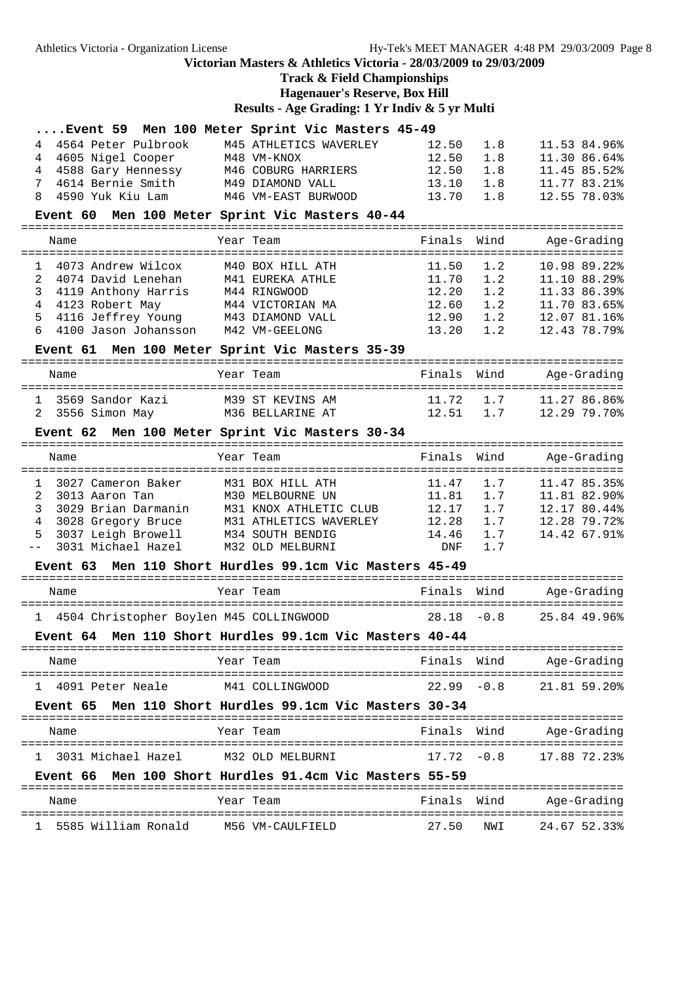### **Track & Field Championships Hagenauer's Reserve, Box Hill**

|                                               | Event 59 Men 100 Meter Sprint Vic Masters 45-49         |               |        |              |
|-----------------------------------------------|---------------------------------------------------------|---------------|--------|--------------|
| 4564 Peter Pulbrook<br>4                      | M45 ATHLETICS WAVERLEY                                  | 12.50         | 1.8    | 11.53 84.96% |
| 4605 Nigel Cooper<br>4                        | M48 VM-KNOX                                             | 12.50         | 1.8    | 11.30 86.64% |
| 4588 Gary Hennessy<br>4                       | M46 COBURG HARRIERS                                     | 12.50         | 1.8    | 11.45 85.52% |
| 4614 Bernie Smith<br>7                        | M49 DIAMOND VALL                                        | 13.10         | 1.8    | 11.77 83.21% |
| 4590 Yuk Kiu Lam<br>8                         | M46 VM-EAST BURWOOD                                     | 13.70         | 1.8    | 12.55 78.03% |
|                                               | Event 60 Men 100 Meter Sprint Vic Masters 40-44         |               |        |              |
| Name                                          | Year Team                                               | Finals        | Wind   | Age-Grading  |
|                                               |                                                         |               |        |              |
| 4073 Andrew Wilcox<br>1                       | M40 BOX HILL ATH                                        | 11.50         | 1.2    | 10.98 89.22% |
| $\overline{a}$<br>4074 David Lenehan          | M41 EUREKA ATHLE                                        | 11.70         | 1.2    | 11.10 88.29% |
| 3<br>4119 Anthony Harris                      | M44 RINGWOOD                                            | 12.20         | 1.2    | 11.33 86.39% |
| 4<br>4123 Robert May                          | M44 VICTORIAN MA                                        | 12.60         | 1.2    | 11.70 83.65% |
| 4116 Jeffrey Young M43 DIAMOND VALL<br>5      |                                                         | 12.90         | 1.2    | 12.07 81.16% |
| 6<br>4100 Jason Johansson                     | M42 VM-GEELONG                                          | 13.20         | 1.2    | 12.43 78.79% |
|                                               | Event 61 Men 100 Meter Sprint Vic Masters 35-39         |               |        |              |
| Name                                          | Year Team                                               | Finals Wind   |        | Age-Grading  |
| 3569 Sandor Kazi<br>$\mathbf{1}$              | M39 ST KEVINS AM                                        | 11.72         | 1.7    | 11.27 86.86% |
| 3556 Simon May M36 BELLARINE AT<br>2          |                                                         | 12.51         | 1.7    | 12.29 79.70% |
|                                               |                                                         |               |        |              |
|                                               | Event 62 Men 100 Meter Sprint Vic Masters 30-34         |               |        |              |
| Name                                          | Year Team                                               | Finals        | Wind   | Age-Grading  |
| 3027 Cameron Baker<br>1                       | M31 BOX HILL ATH                                        | 11.47         | 1.7    | 11.47 85.35% |
| 2<br>3013 Aaron Tan                           | M30 MELBOURNE UN                                        | 11.81         | 1.7    | 11.81 82.90% |
| 3<br>3029 Brian Darmanin                      | M31 KNOX ATHLETIC CLUB                                  | 12.17         | 1.7    | 12.17 80.44% |
| 4                                             | 3028 Gregory Bruce M31 ATHLETICS WAVERLEY               | 12.28         | 1.7    | 12.28 79.72% |
| 3037 Leigh Browell<br>5                       | M34 SOUTH BENDIG                                        | 14.46         | 1.7    | 14.42 67.91% |
| 3031 Michael Hazel<br>$- -$                   | M32 OLD MELBURNI                                        | <b>DNF</b>    | 1.7    |              |
| <b>Event 63</b>                               | Men 110 Short Hurdles 99.1cm Vic Masters 45-49          |               |        |              |
| Name                                          | Year Team                                               | Finals        | Wind   | Age-Grading  |
| 4504 Christopher Boylen M45 COLLINGWOOD<br>1. |                                                         | 28.18         | $-0.8$ | 25.84 49.96% |
|                                               | Event 64 Men 110 Short Hurdles 99.1cm Vic Masters 40-44 |               |        |              |
| Name                                          | Year Team                                               | Finals Wind   |        | Age-Grading  |
| 1 4091 Peter Neale                            | M41 COLLINGWOOD                                         | $22.99 - 0.8$ |        | 21.81 59.20% |
|                                               | Event 65 Men 110 Short Hurdles 99.1cm Vic Masters 30-34 |               |        |              |
| Name                                          | Year Team                                               | Finals Wind   |        | Age-Grading  |
|                                               |                                                         |               |        |              |
| 1   3031 Michael Hazel                        | M32 OLD MELBURNI                                        | $17.72 - 0.8$ |        | 17.88 72.23% |
|                                               | Event 66 Men 100 Short Hurdles 91.4cm Vic Masters 55-59 |               |        |              |
| Name                                          | Year Team                                               | Finals Wind   |        | Age-Grading  |
| 5585 William Ronald<br>$\mathbf{1}$           | M56 VM-CAULFIELD                                        | 27.50         | NWI    | 24.67 52.33% |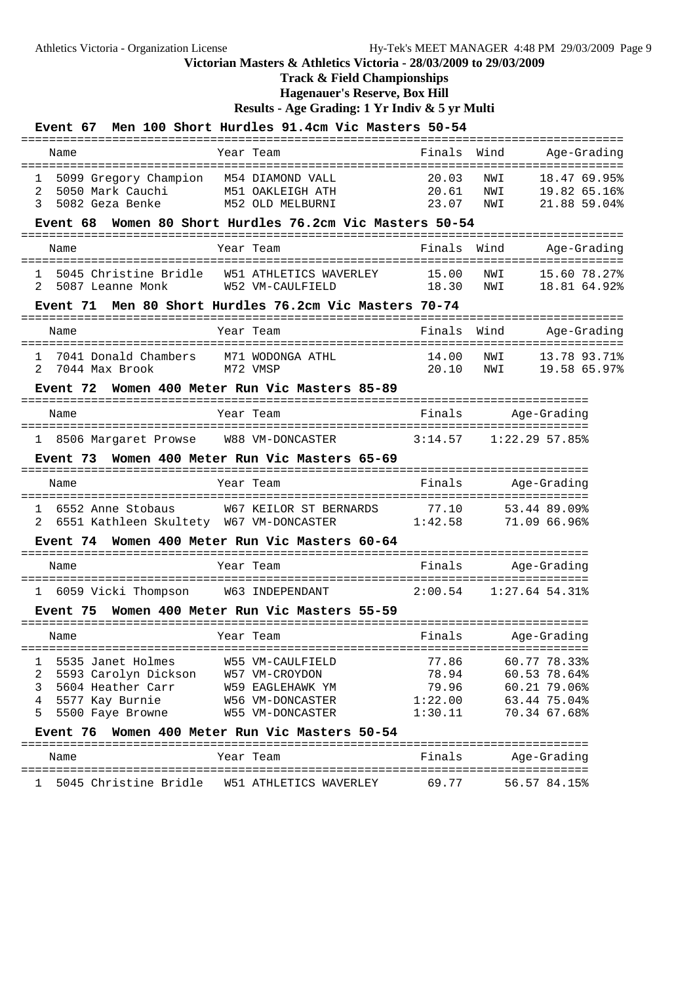### **Track & Field Championships**

**Hagenauer's Reserve, Box Hill**

| Event 67                                                                                                                                                  | Men 100 Short Hurdles 91.4cm Vic Masters 50-54                                                                        |                                               |                                                                              |
|-----------------------------------------------------------------------------------------------------------------------------------------------------------|-----------------------------------------------------------------------------------------------------------------------|-----------------------------------------------|------------------------------------------------------------------------------|
| Name                                                                                                                                                      | Year Team                                                                                                             | Finals                                        | Wind<br>Age-Grading<br>===================                                   |
| 5099 Gregory Champion M54 DIAMOND VALL<br>1<br>2<br>5050 Mark Cauchi<br>3<br>5082 Geza Benke M52 OLD MELBURNI<br>Event 68                                 | M51 OAKLEIGH ATH<br>Women 80 Short Hurdles 76.2cm Vic Masters 50-54                                                   | 20.03<br>20.61<br>23.07                       | NWI<br>18.47 69.95%<br>NWI<br>19.82 65.16%<br>NWI<br>21.88 59.04%            |
| Name                                                                                                                                                      | Year Team                                                                                                             | Finals                                        | Wind<br>Age-Grading                                                          |
| $\mathbf{1}$<br>2<br>5087 Leanne Monk                                                                                                                     | 5045 Christine Bridle W51 ATHLETICS WAVERLEY 15.00<br>W52 VM-CAULFIELD                                                | 18.30                                         | NWI<br>15.60 78.27%<br>NWI<br>18.81 64.92%                                   |
| ====================                                                                                                                                      | Event 71 Men 80 Short Hurdles 76.2cm Vic Masters 70-74                                                                | ============                                  |                                                                              |
| Name                                                                                                                                                      | Year Team<br>:=========================                                                                               | Finals                                        | Wind<br>Age-Grading                                                          |
| 7041 Donald Chambers M71 WODONGA ATHL<br>$\mathbf{1}$<br>$\mathcal{L}$<br>7044 Max Brook                                                                  | M72 VMSP                                                                                                              | 14.00<br>20.10                                | 13.78 93.71%<br>NWI<br>NWI<br>19.58 65.97%                                   |
|                                                                                                                                                           | Event 72 Women 400 Meter Run Vic Masters 85-89                                                                        |                                               |                                                                              |
| Name                                                                                                                                                      | Year Team                                                                                                             | Finals                                        | Age-Grading                                                                  |
| ======================================                                                                                                                    |                                                                                                                       |                                               |                                                                              |
| =======================                                                                                                                                   | Event 73 Women 400 Meter Run Vic Masters 65-69                                                                        |                                               |                                                                              |
| Name                                                                                                                                                      | Year Team                                                                                                             | Finals                                        | Age-Grading                                                                  |
| 6552 Anne Stobaus<br>$\mathbf{1}$<br>2                                                                                                                    | W67 KEILOR ST BERNARDS 77.10<br>6551 Kathleen Skultety W67 VM-DONCASTER 1:42.58                                       |                                               | 53.44 89.09%<br>71.09 66.96%                                                 |
|                                                                                                                                                           | Event 74 Women 400 Meter Run Vic Masters 60-64                                                                        |                                               |                                                                              |
| Name                                                                                                                                                      | Year Team                                                                                                             |                                               | Finals Age-Grading                                                           |
|                                                                                                                                                           | 1 6059 Vicki Thompson M63 INDEPENDANT 2:00.54 1:27.64 54.31%                                                          |                                               |                                                                              |
|                                                                                                                                                           | Event 75 Women 400 Meter Run Vic Masters 55-59                                                                        |                                               |                                                                              |
| Name                                                                                                                                                      | Year Team                                                                                                             | Finals                                        | Age-Grading                                                                  |
| 5535 Janet Holmes<br>1<br>2<br>5593 Carolyn Dickson W57 VM-CROYDON<br>3<br>5604 Heather Carr<br>4<br>5577 Kay Burnie<br>5<br>5500 Faye Browne<br>Event 76 | W55 VM-CAULFIELD<br>W59 EAGLEHAWK YM<br>W56 VM-DONCASTER<br>W55 VM-DONCASTER<br>Women 400 Meter Run Vic Masters 50-54 | 77.86<br>78.94<br>79.96<br>1:22.00<br>1:30.11 | 60.77 78.33%<br>60.53 78.64%<br>60.21 79.06%<br>63.44 75.04%<br>70.34 67.68% |
| Name                                                                                                                                                      | Year Team                                                                                                             | Finals                                        | Age-Grading                                                                  |
| 1                                                                                                                                                         |                                                                                                                       | 69.77                                         | 56.57 84.15%                                                                 |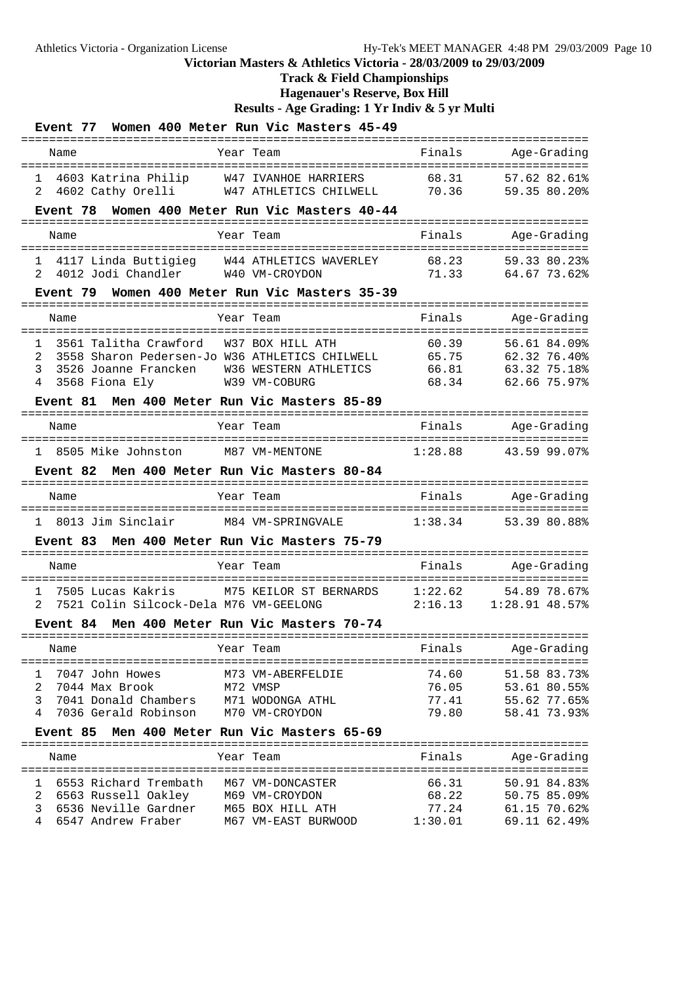# **Track & Field Championships**

**Hagenauer's Reserve, Box Hill**

| <b>Event 77</b>                                                       | Women 400 Meter Run Vic Masters 45-49                         |                                      |                                               |
|-----------------------------------------------------------------------|---------------------------------------------------------------|--------------------------------------|-----------------------------------------------|
| Name                                                                  | --------------<br>===================<br>Year Team            | Finals                               | Age-Grading                                   |
| 4603 Katrina Philip<br>1<br>4602 Cathy Orelli<br>2                    | W47 IVANHOE HARRIERS<br>W47 ATHLETICS CHILWELL                | 68.31<br>70.36                       | 57.62 82.61%<br>59.35 80.20%                  |
| Event 78                                                              | Women 400 Meter Run Vic Masters 40-44                         |                                      |                                               |
| Name                                                                  | :========================<br>Year Team                        | Finals<br>========================== | .=============================<br>Age-Grading |
| 1<br>2<br>4012 Jodi Chandler                                          | 4117 Linda Buttigieg W44 ATHLETICS WAVERLEY<br>W40 VM-CROYDON | 68.23<br>71.33                       | 59.33 80.23%<br>64.67 73.62%                  |
|                                                                       | Event 79 Women 400 Meter Run Vic Masters 35-39                |                                      |                                               |
| Name                                                                  | Year Team                                                     | Finals                               | Age-Grading                                   |
| 3561 Talitha Crawford<br>1                                            | W37 BOX HILL ATH                                              | 60.39                                | 56.61 84.09%                                  |
| 2                                                                     | 3558 Sharon Pedersen-Jo W36 ATHLETICS CHILWELL                | 65.75                                | 62.32 76.40%                                  |
| 3<br>3526 Joanne Francken<br>4<br>3568 Fiona Ely                      | W36 WESTERN ATHLETICS<br>W39 VM-COBURG                        | 66.81<br>68.34                       | 63.32 75.18%<br>62.66 75.97%                  |
| <b>Event 81</b>                                                       | Men 400 Meter Run Vic Masters 85-89                           |                                      |                                               |
|                                                                       |                                                               |                                      |                                               |
| Name                                                                  | Year Team                                                     | Finals                               | Age-Grading                                   |
| 8505 Mike Johnston<br>1                                               | M87 VM-MENTONE                                                | 1:28.88                              | 43.59 99.07%                                  |
| <b>Event 82</b>                                                       | Men 400 Meter Run Vic Masters 80-84                           |                                      |                                               |
| Name                                                                  | ----------------------------<br>Year Team                     | Finals                               | Age-Grading                                   |
| 8013 Jim Sinclair<br>1                                                | M84 VM-SPRINGVALE                                             | 1:38.34                              | 53.39 80.88%                                  |
| Event 83                                                              | Men 400 Meter Run Vic Masters 75-79                           |                                      |                                               |
| Name                                                                  | Year Team                                                     | Finals                               | Age-Grading                                   |
|                                                                       |                                                               |                                      |                                               |
| 7505 Lucas Kakris<br>1<br>2<br>7521 Colin Silcock-Dela M76 VM-GEELONG | M75 KEILOR ST BERNARDS                                        | 1:22.62<br>2:16.13                   | 54.89 78.67%<br>$1:28.91$ 48.57%              |
| Event 84                                                              | Men 400 Meter Run Vic Masters 70-74                           |                                      |                                               |
| Name                                                                  | Year Team                                                     | Finals                               | Age-Grading                                   |
| 7047 John Howes<br>1                                                  | M73 VM-ABERFELDIE                                             | 74.60                                | 51.58 83.73%                                  |
| 2<br>7044 Max Brook                                                   | M72 VMSP                                                      | 76.05                                | 53.61 80.55%                                  |
| 3<br>7041 Donald Chambers                                             | M71 WODONGA ATHL                                              | 77.41                                | 55.62 77.65%                                  |
| 4<br>7036 Gerald Robinson                                             | M70 VM-CROYDON                                                | 79.80                                | 58.41 73.93%                                  |
| Event 85                                                              | Men 400 Meter Run Vic Masters 65-69                           |                                      |                                               |
| Name                                                                  | Year Team                                                     | Finals                               | Age-Grading                                   |
| 6553 Richard Trembath<br>1                                            | M67 VM-DONCASTER                                              | 66.31                                | 50.91 84.83%                                  |
| 2<br>6563 Russell Oakley                                              | M69 VM-CROYDON                                                | 68.22                                | 50.75 85.09%                                  |
| 3<br>6536 Neville Gardner<br>6547 Andrew Fraber<br>4                  | M65 BOX HILL ATH<br>M67 VM-EAST BURWOOD                       | 77.24<br>1:30.01                     | 61.15 70.62%<br>69.11 62.49%                  |
|                                                                       |                                                               |                                      |                                               |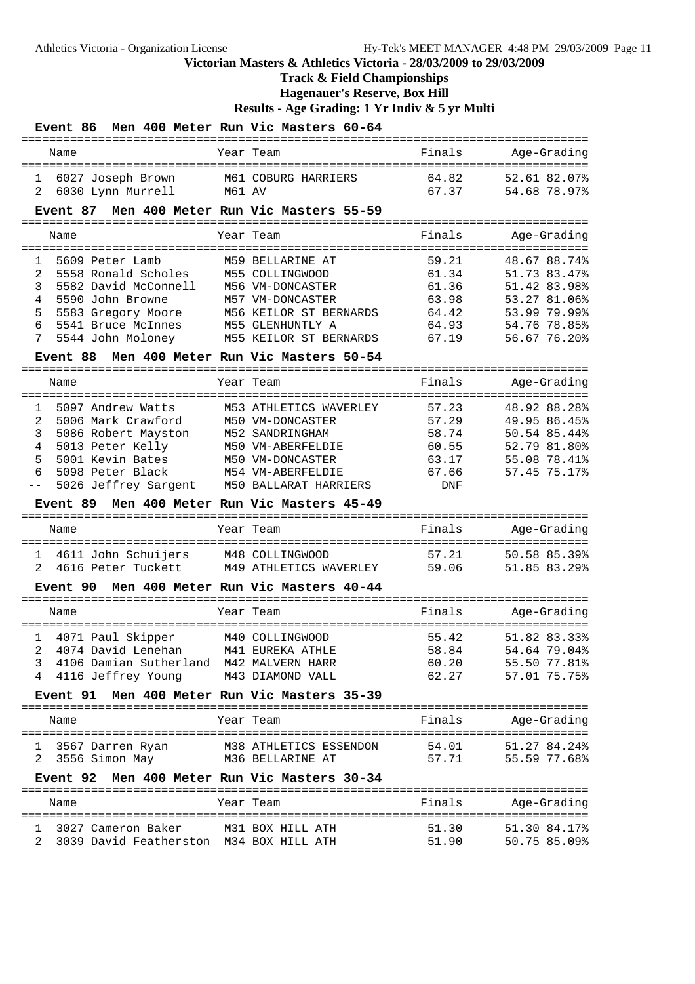# **Track & Field Championships**

**Hagenauer's Reserve, Box Hill**

| Event 86                                            | Men 400 Meter Run Vic Masters 60-64        |                                  |                                           |
|-----------------------------------------------------|--------------------------------------------|----------------------------------|-------------------------------------------|
| Name                                                | Year Team                                  | Finals<br>====================== | Age-Grading                               |
| 6027 Joseph Brown<br>1                              | M61 COBURG HARRIERS                        | 64.82                            | 52.61 82.07%                              |
| 6030 Lynn Murrell<br>2                              | M61 AV                                     | 67.37                            | 54.68 78.97%                              |
| Event 87                                            | Men 400 Meter Run Vic Masters 55-59        | -------------                    |                                           |
| Name                                                | Year Team<br>==================            | Finals<br>:========              | Age-Grading<br>==================         |
| 5609 Peter Lamb<br>1                                | M59 BELLARINE AT                           | 59.21                            | 48.67 88.74%                              |
| 2<br>5558 Ronald Scholes                            | M55 COLLINGWOOD                            | 61.34                            | 51.73 83.47%                              |
| 3<br>5582 David McConnell                           | M56 VM-DONCASTER                           | 61.36                            | 51.42 83.98%                              |
| 4<br>5590 John Browne                               | M57 VM-DONCASTER                           | 63.98                            | 53.27 81.06%                              |
| 5<br>5583 Gregory Moore                             | M56 KEILOR ST BERNARDS                     | 64.42                            | 53.99 79.99%                              |
| 6<br>5541 Bruce McInnes<br>7<br>5544 John Moloney   | M55 GLENHUNTLY A<br>M55 KEILOR ST BERNARDS | 64.93<br>67.19                   | 54.76 78.85%<br>56.67 76.20%              |
| Event 88                                            | Men 400 Meter Run Vic Masters 50-54        |                                  |                                           |
|                                                     |                                            |                                  |                                           |
| Name                                                | Year Team                                  | Finals                           | Age-Grading                               |
| 5097 Andrew Watts<br>1                              | M53 ATHLETICS WAVERLEY                     | 57.23                            | 48.92 88.28%                              |
| 2<br>5006 Mark Crawford                             | M50 VM-DONCASTER                           | 57.29                            | 49.95 86.45%                              |
| 3<br>5086 Robert Mayston                            | M52 SANDRINGHAM                            | 58.74                            | 50.54 85.44%                              |
| 4<br>5013 Peter Kelly                               | M50 VM-ABERFELDIE                          | 60.55                            | 52.79 81.80%                              |
| 5<br>5001 Kevin Bates                               | M50 VM-DONCASTER                           | 63.17                            | 55.08 78.41%                              |
| 6<br>5098 Peter Black                               | M54 VM-ABERFELDIE                          | 67.66                            | 57.45 75.17%                              |
| 5026 Jeffrey Sargent                                | M50 BALLARAT HARRIERS                      | <b>DNF</b>                       |                                           |
| Event 89                                            | Men 400 Meter Run Vic Masters 45-49        |                                  |                                           |
| Name                                                | Year Team                                  | Finals                           | Age-Grading                               |
|                                                     | M48 COLLINGWOOD                            | 57.21                            | =========================<br>50.58 85.39% |
| 4611 John Schuijers<br>1<br>4616 Peter Tuckett<br>2 | M49 ATHLETICS WAVERLEY                     | 59.06                            | 51.85 83.29%                              |
| <b>Event 90</b>                                     | Men 400 Meter Run Vic Masters 40-44        |                                  |                                           |
|                                                     |                                            |                                  |                                           |
| Name                                                | Year Team                                  | Finals                           | Age-Grading                               |
| 4071 Paul Skipper<br>$\mathbf{1}$                   | M40 COLLINGWOOD                            | 55.42                            | 51.82 83.33%                              |
| 4074 David Lenehan<br>2                             | M41 EUREKA ATHLE                           | 58.84                            | 54.64 79.04%                              |
| 4106 Damian Sutherland M42 MALVERN HARR<br>3        |                                            | 60.20                            | 55.50 77.81%                              |
| 4116 Jeffrey Young<br>4                             | M43 DIAMOND VALL                           | 62.27                            | 57.01 75.75%                              |
| <b>Event 91</b>                                     | Men 400 Meter Run Vic Masters 35-39        |                                  |                                           |
| Name                                                | Year Team                                  | Finals                           | Age-Grading                               |
| 3567 Darren Ryan<br>1                               | M38 ATHLETICS ESSENDON                     | 54.01                            | 51.27 84.24%                              |
| 3556 Simon May<br>2.                                | M36 BELLARINE AT                           | 57.71                            | 55.59 77.68%                              |
| <b>Event 92</b>                                     | Men 400 Meter Run Vic Masters 30-34        |                                  |                                           |
| Name                                                | Year Team                                  | Finals                           | Age-Grading                               |
|                                                     |                                            |                                  |                                           |
| 3027 Cameron Baker<br>ı.                            | M31 BOX HILL ATH                           | 51.30                            | 51.30 84.17%                              |
| 3039 David Featherston M34 BOX HILL ATH             |                                            | 51.90                            | 50.75 85.09%                              |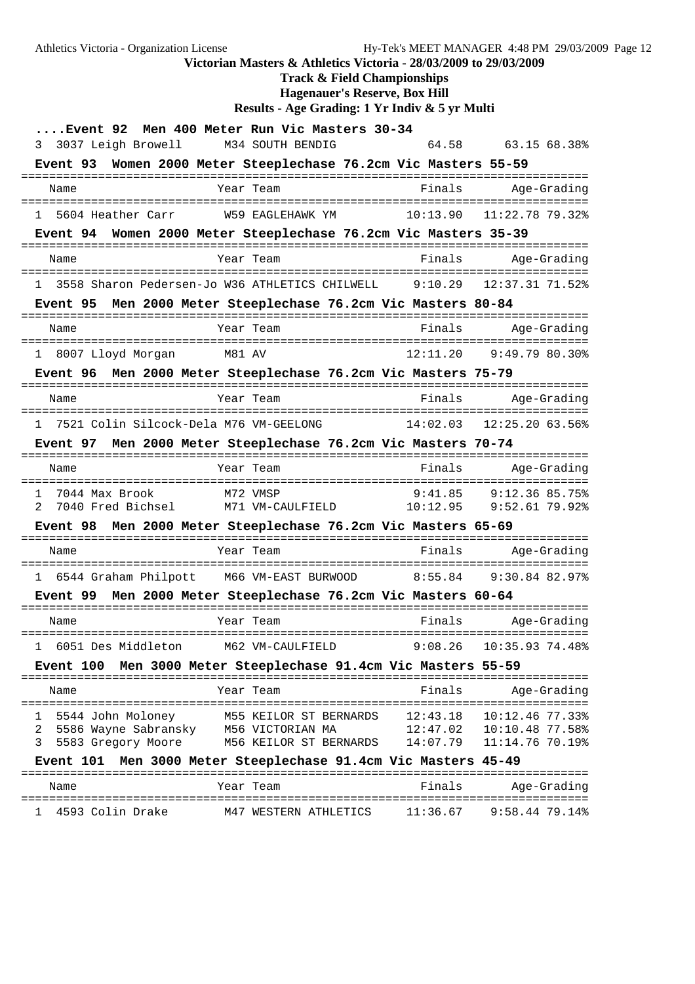Athletics Victoria - Organization License Hy-Tek's MEET MANAGER 4:48 PM 29/03/2009 Page 12 **Victorian Masters & Athletics Victoria - 28/03/2009 to 29/03/2009 Track & Field Championships Hagenauer's Reserve, Box Hill Results - Age Grading: 1 Yr Indiv & 5 yr Multi ....Event 92 Men 400 Meter Run Vic Masters 30-34** 3 3037 Leigh Browell M34 SOUTH BENDIG 64.58 63.15 68.38% **Event 93 Women 2000 Meter Steeplechase 76.2cm Vic Masters 55-59** ================================================================================= Name Team Year Team Finals Age-Grading ================================================================================= 1 5604 Heather Carr W59 EAGLEHAWK YM 10:13.90 11:22.78 79.32% **Event 94 Women 2000 Meter Steeplechase 76.2cm Vic Masters 35-39**

================================================================================= Name Tear Team Finals Age-Grading ================================================================================= 1 3558 Sharon Pedersen-Jo W36 ATHLETICS CHILWELL 9:10.29 12:37.31 71.52%

### **Event 95 Men 2000 Meter Steeplechase 76.2cm Vic Masters 80-84**

| Name |                   | Year Team | Finals   | Age-Grading    |
|------|-------------------|-----------|----------|----------------|
|      | 8007 Lloyd Morgan | M81 AV    | 12:11.20 | 9:49.79 80.30% |

#### **Event 96 Men 2000 Meter Steeplechase 76.2cm Vic Masters 75-79** =================================================================================

| Name |                                        | Year | Team | Finals | Age-Grading              |
|------|----------------------------------------|------|------|--------|--------------------------|
|      |                                        |      |      |        |                          |
|      | 7521 Colin Silcock-Dela M76 VM-GEELONG |      |      |        | 14:02 03 12:25 20 63 56% |

#### **Event 97 Men 2000 Meter Steeplechase 76.2cm Vic Masters 70-74**

| Name                | Year Team        | Finals   | Age-Grading    |
|---------------------|------------------|----------|----------------|
| 7044 Max Brook      | M72 VMSP         | 9:41.85  | 9:12.36 85.75% |
| 2 7040 Fred Bichsel | M71 VM-CAULFIELD | 10:12.95 | 9:52.61.79.92  |

#### **Event 98 Men 2000 Meter Steeplechase 76.2cm Vic Masters 65-69**

| Name |                      | Year Team           | Finals  | Age-Grading    |
|------|----------------------|---------------------|---------|----------------|
|      | 6544 Graham Philpott | M66 VM-EAST BURWOOD | 8:55 84 | 9:30.84 82.97% |

#### **Event 99 Men 2000 Meter Steeplechase 76.2cm Vic Masters 60-64**

|  | Name               | Year Team        | Finals | Age-Grading                 |  |
|--|--------------------|------------------|--------|-----------------------------|--|
|  | 6051 Des Middleton | M62 VM-CAULFIELD |        | $9:08.26$ $10:35.93$ 74.48% |  |

#### **Event 100 Men 3000 Meter Steeplechase 91.4cm Vic Masters 55-59**

|   | Name                                                              | Year Team                                                            | Finals                           | Age-Grading                                             |
|---|-------------------------------------------------------------------|----------------------------------------------------------------------|----------------------------------|---------------------------------------------------------|
| 2 | 5544 John Moloney<br>5586 Wayne Sabransky<br>3 5583 Gregory Moore | M55 KEILOR ST BERNARDS<br>M56 VICTORIAN MA<br>M56 KEILOR ST BERNARDS | 12:43.18<br>12:47.02<br>14:07.79 | 10:12.46 77.33%<br>10:10.48 77.58%<br>$11:14.76$ 70.19% |

### **Event 101 Men 3000 Meter Steeplechase 91.4cm Vic Masters 45-49**

| Name             | Year Team             | Finals   | Age-Grading    |
|------------------|-----------------------|----------|----------------|
| 4593 Colin Drake | M47 WESTERN ATHLETICS | 11:36 67 | 9:58.44 79.14% |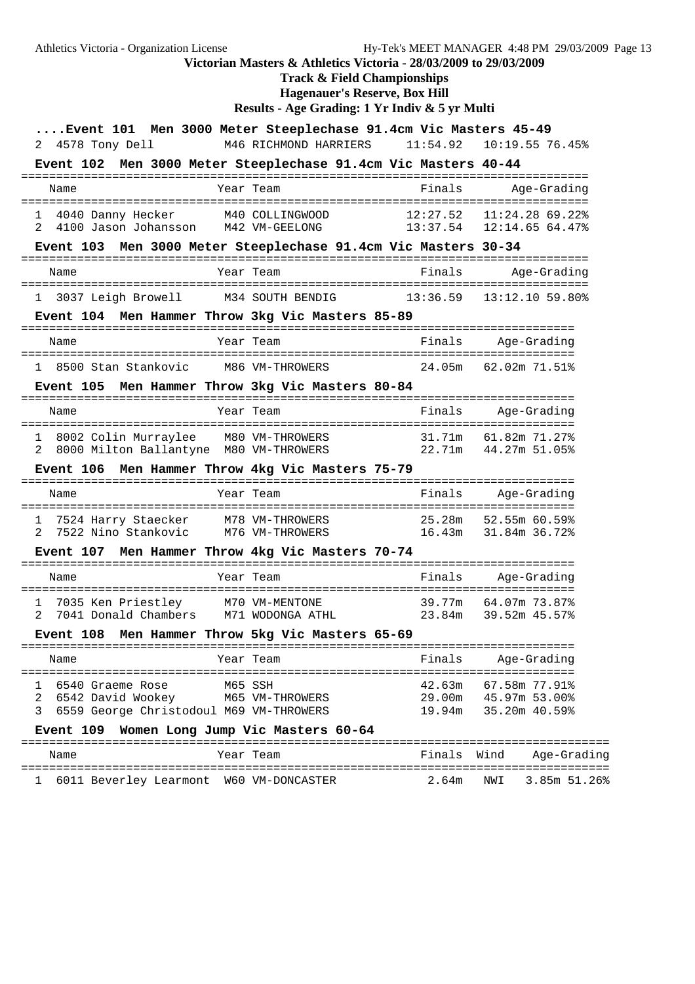Athletics Victoria - Organization License Hy-Tek's MEET MANAGER 4:48 PM 29/03/2009 Page 13 **Victorian Masters & Athletics Victoria - 28/03/2009 to 29/03/2009 Track & Field Championships Hagenauer's Reserve, Box Hill Results - Age Grading: 1 Yr Indiv & 5 yr Multi ....Event 101 Men 3000 Meter Steeplechase 91.4cm Vic Masters 45-49** 2 4578 Tony Dell M46 RICHMOND HARRIERS 11:54.92 10:19.55 76.45% **Event 102 Men 3000 Meter Steeplechase 91.4cm Vic Masters 40-44** ================================================================================= Name Team Team Finals Age-Grading ================================================================================= 1 4040 Danny Hecker M40 COLLINGWOOD 12:27.52 11:24.28 69.22% 2 4100 Jason Johansson M42 VM-GEELONG 13:37.54 12:14.65 64.47% **Event 103 Men 3000 Meter Steeplechase 91.4cm Vic Masters 30-34** ================================================================================= Name Year Team Finals Age-Grading ================================================================================= 1 3037 Leigh Browell M34 SOUTH BENDIG 13:36.59 13:12.10 59.80% **Event 104 Men Hammer Throw 3kg Vic Masters 85-89** =============================================================================== Name Tear Team Team Finals Age-Grading =============================================================================== 1 8500 Stan Stankovic M86 VM-THROWERS 24.05m 62.02m 71.51% **Event 105 Men Hammer Throw 3kg Vic Masters 80-84** =============================================================================== Name Tear Team Team Finals Age-Grading =============================================================================== 1 8002 Colin Murraylee M80 VM-THROWERS 31.71m 61.82m 71.27% 2 8000 Milton Ballantyne M80 VM-THROWERS 22.71m 44.27m 51.05% **Event 106 Men Hammer Throw 4kg Vic Masters 75-79** =============================================================================== Name Tear Team Controller Prinals Age-Grading =============================================================================== 1 7524 Harry Staecker M78 VM-THROWERS<br>2 7522 Nino Stankovic M76 VM-THROWERS 2 7522 Nino Stankovic M76 VM-THROWERS 16.43m 31.84m 36.72% **Event 107 Men Hammer Throw 4kg Vic Masters 70-74** =============================================================================== Name Tear Team Finals Age-Grading =============================================================================== 1 7035 Ken Priestley M70 VM-MENTONE 39.77m 64.07m 73.87% 2 7041 Donald Chambers M71 WODONGA ATHL 23.84m 39.52m 45.57% **Event 108 Men Hammer Throw 5kg Vic Masters 65-69**

=============================================================================== Name **Finally Ream** Final Year Team =============================================================================== 1 6540 Graeme Rose M65 SSH 42.63m 67.58m 77.91% 2 6542 David Wookey M65 VM-THROWERS 29.00m 45.97m 53.00% 3 6559 George Christodoul M69 VM-THROWERS 19.94m 35.20m 40.59%

#### **Event 109 Women Long Jump Vic Masters 60-64**

#### ==================================================================================== Name Tear Team Team Finals Wind Age-Grading ==================================================================================== 1 6011 Beverley Learmont W60 VM-DONCASTER 2.64m NWI 3.85m 51.26%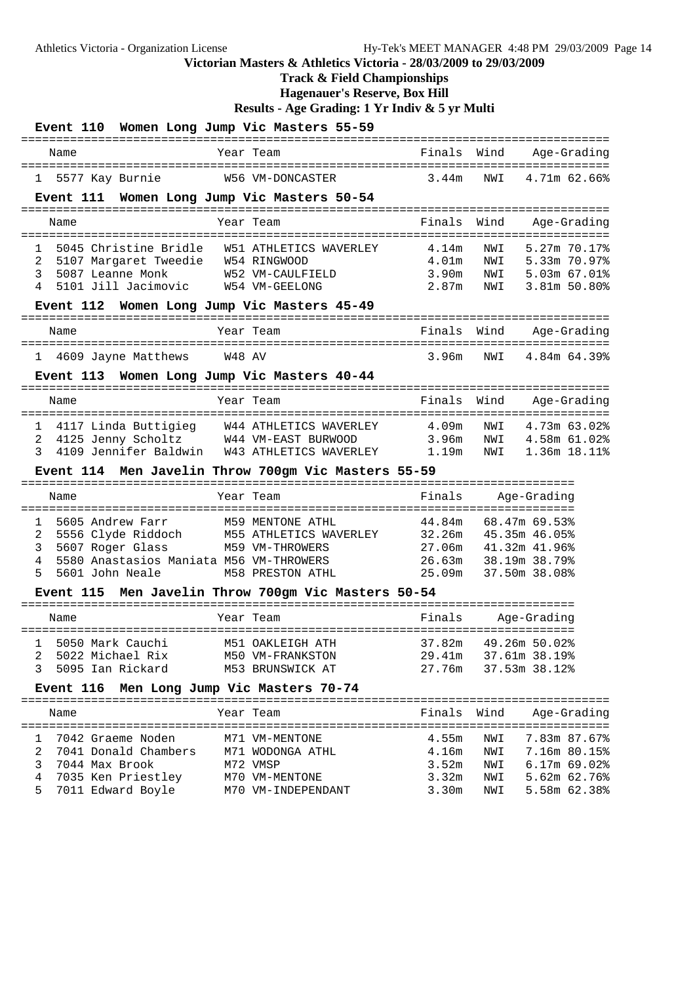**Track & Field Championships**

**Hagenauer's Reserve, Box Hill**

| Event 110 Women Long Jump Vic Masters 55-59                |                                                     |                             |                                                |  |  |
|------------------------------------------------------------|-----------------------------------------------------|-----------------------------|------------------------------------------------|--|--|
| Name                                                       | Year Team                                           | Finals Wind                 | Age-Grading                                    |  |  |
| 5577 Kay Burnie<br>1                                       | W56 VM-DONCASTER                                    | 3.44m                       | NWI<br>4.71m 62.66%                            |  |  |
| Event 111 Women Long Jump Vic Masters 50-54                |                                                     |                             |                                                |  |  |
| Name                                                       | Year Team                                           | Finals                      | Wind<br>Age-Grading                            |  |  |
| $\mathbf{1}$                                               | 5045 Christine Bridle W51 ATHLETICS WAVERLEY        | 4.14m                       | 5.27m 70.17%<br>NWI                            |  |  |
| 5107 Margaret Tweedie W54 RINGWOOD<br>2                    |                                                     | 4.01m                       | NWI 5.33m 70.97%                               |  |  |
| 3<br>5087 Leanne Monk<br>4<br>5101 Jill Jacimovic          | W52 VM-CAULFIELD<br>W54 VM-GEELONG                  | 3.90m<br>2.87 <sub>m</sub>  | NWI 5.03m 67.01%<br>3.81m 50.80%<br>NWI        |  |  |
| Event 112 Women Long Jump Vic Masters 45-49                |                                                     |                             |                                                |  |  |
| ======================================                     | ---------------------------                         |                             |                                                |  |  |
| Name                                                       | Year Team                                           | Finals Wind                 | Age-Grading<br>===============                 |  |  |
| 1 4609 Jayne Matthews                                      | W48 AV                                              | 3.96m                       | 4.84m 64.39%<br>NWI                            |  |  |
| Event 113 Women Long Jump Vic Masters 40-44                |                                                     |                             |                                                |  |  |
| Name                                                       | Year Team                                           | Finals<br>================= | Wind<br>Age-Grading<br>---------------         |  |  |
| 4117 Linda Buttigieg<br>1                                  | =======================<br>W44 ATHLETICS WAVERLEY   | 4.09m                       | 4.73m 63.02%<br>NWI                            |  |  |
| 4125 Jenny Scholtz W44 VM-EAST BURWOOD<br>2                |                                                     | 3.96m                       | 4.58m 61.02%<br>NWI                            |  |  |
| 4109 Jennifer Baldwin<br>3                                 | W43 ATHLETICS WAVERLEY                              | 1.19m                       | NWI<br>1.36m 18.11%                            |  |  |
| Event 114 Men Javelin Throw 700gm Vic Masters 55-59        |                                                     |                             |                                                |  |  |
|                                                            |                                                     |                             |                                                |  |  |
| Name                                                       | Year Team                                           | Finals                      | -----------------------------<br>Age-Grading   |  |  |
| 5605 Andrew Farr<br>1                                      | M59 MENTONE ATHL                                    | 44.84m                      | 68.47m 69.53%                                  |  |  |
| 2                                                          | 5556 Clyde Riddoch M55 ATHLETICS WAVERLEY           | 32.26m                      | 45.35m 46.05%                                  |  |  |
| 5607 Roger Glass<br>3                                      | M59 VM-THROWERS                                     | 27.06m                      | 41.32m 41.96%                                  |  |  |
| 4<br>5580 Anastasios Maniata M56 VM-THROWERS               |                                                     | 26.63m                      | 38.19m 38.79%                                  |  |  |
| 5<br>5601 John Neale                                       | <b>M58 PRESTON ATHL</b>                             | 25.09m                      | 37.50m 38.08%                                  |  |  |
|                                                            | Event 115 Men Javelin Throw 700gm Vic Masters 50-54 |                             |                                                |  |  |
| Name                                                       | Year Team                                           | Finals                      | Age-Grading                                    |  |  |
|                                                            |                                                     |                             |                                                |  |  |
| 5050 Mark Cauchi M51 OAKLEIGH ATH<br>5022 Michael Rix<br>2 | M50 VM-FRANKSTON                                    |                             | 37.82m  49.26m  50.02%<br>29.41m 37.61m 38.19% |  |  |
| 5095 Ian Rickard<br>3                                      | M53 BRUNSWICK AT                                    | 27.76m                      | 37.53m 38.12%                                  |  |  |
| Event 116 Men Long Jump Vic Masters 70-74                  |                                                     |                             |                                                |  |  |
| Name                                                       | Year Team                                           | Finals                      | Wind<br>Age-Grading                            |  |  |
| 7042 Graeme Noden<br>1                                     | M71 VM-MENTONE                                      | 4.55m                       | 7.83m 87.67%<br>NWI                            |  |  |
| 2<br>7041 Donald Chambers                                  | M71 WODONGA ATHL                                    | 4.16m                       | NWI<br>7.16m 80.15%                            |  |  |
| 3<br>7044 Max Brook                                        | M72 VMSP                                            | 3.52m                       | NWI<br>$6.17m$ 69.02%                          |  |  |
| 4<br>7035 Ken Priestley<br>5<br>7011 Edward Boyle          | M70 VM-MENTONE<br>M70 VM-INDEPENDANT                | 3.32m<br>3.30 <sub>m</sub>  | 5.62m 62.76%<br>NWI<br>5.58m 62.38%<br>NWI     |  |  |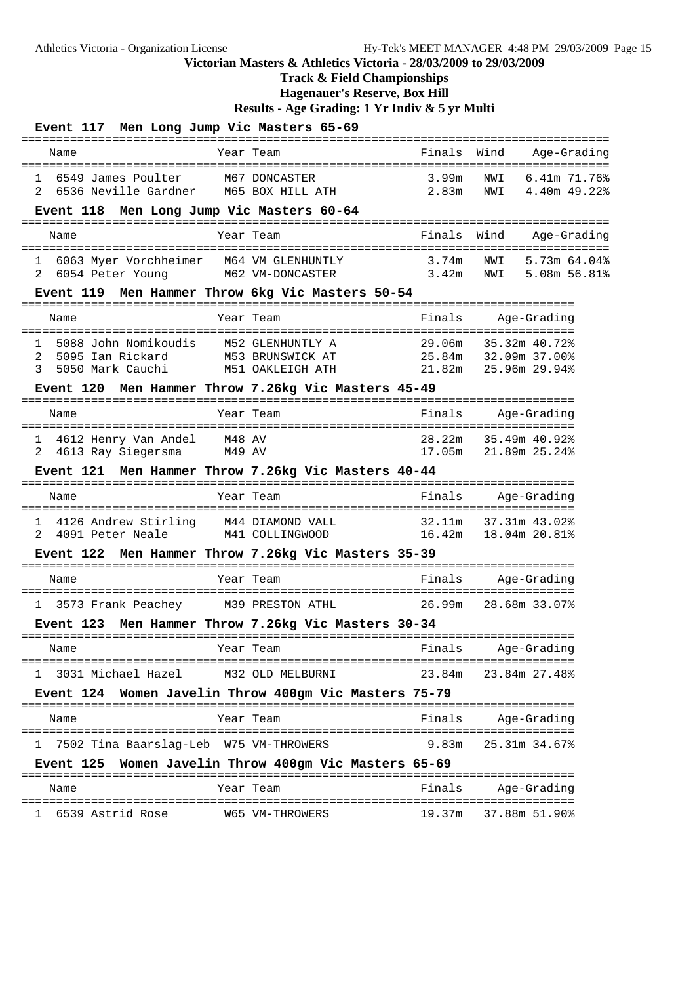# **Track & Field Championships**

**Hagenauer's Reserve, Box Hill**

| Event 117 Men Long Jump Vic Masters 65-69                                        |                                                          | ------------------   |                                                 |
|----------------------------------------------------------------------------------|----------------------------------------------------------|----------------------|-------------------------------------------------|
| Name                                                                             | Year Team                                                | Finals               | Wind<br>Age-Grading                             |
| 6549 James Poulter<br>$\mathbf{1}$<br>6536 Neville Gardner<br>2                  | M67 DONCASTER<br>M65 BOX HILL ATH                        | 3.99m<br>2.83m       | NWI<br>6.41m 71.76%<br>4.40m 49.22%<br>NWI      |
| Event 118 Men Long Jump Vic Masters 60-64                                        |                                                          |                      |                                                 |
| Name                                                                             | Year Team                                                | Finals               | Wind<br>Age-Grading                             |
| 6063 Myer Vorchheimer M64 VM GLENHUNTLY<br>$\mathbf{1}$<br>6054 Peter Young<br>2 | M62 VM-DONCASTER                                         | 3.74m                | NWI 5.73m 64.04%<br>$3.42m$ NWI<br>5.08m 56.81% |
| Event 119 Men Hammer Throw 6kg Vic Masters 50-54                                 |                                                          |                      |                                                 |
| Name                                                                             | Year Team                                                | Finals               | Age-Grading                                     |
| 5088 John Nomikoudis<br>1<br>2<br>5095 Ian Rickard<br>5050 Mark Cauchi<br>3      | M52 GLENHUNTLY A<br>M53 BRUNSWICK AT<br>M51 OAKLEIGH ATH | 25.84m 32.09m 37.00% | 29.06m 35.32m 40.72%<br>21.82m 25.96m 29.94%    |
| Event 120 Men Hammer Throw 7.26kg Vic Masters 45-49                              |                                                          |                      |                                                 |
| Name                                                                             | Year Team                                                | Finals               | Age-Grading                                     |
| 4612 Henry Van Andel<br>ı<br>4613 Ray Siegersma<br>2                             | M48 AV<br>M49 AV                                         |                      | 28.22m 35.49m 40.92%<br>17.05m 21.89m 25.24%    |
| Event 121 Men Hammer Throw 7.26kg Vic Masters 40-44                              |                                                          |                      |                                                 |
| Name                                                                             | Year Team                                                | Finals               | Age-Grading                                     |
| 4126 Andrew Stirling M44 DIAMOND VALL<br>ı.<br>4091 Peter Neale<br>2             | M41 COLLINGWOOD                                          |                      | 32.11m 37.31m 43.02%<br>16.42m  18.04m  20.81%  |
| Event 122 Men Hammer Throw 7.26kg Vic Masters 35-39                              |                                                          |                      |                                                 |
| Name                                                                             | Year Team                                                | Finals               | Age-Grading                                     |
| 1 3573 Frank Peachey                                                             | M39 PRESTON ATHL                                         | 26.99m               | 28.68m 33.07%                                   |
| Event 123 Men Hammer Throw 7.26kg Vic Masters 30-34                              |                                                          |                      |                                                 |
| Name                                                                             | Year Team                                                | Finals               | Age-Grading                                     |
| 3031 Michael Hazel<br>1                                                          | M32 OLD MELBURNI                                         | 23.84m               | 23.84m 27.48%                                   |
| Event 124 Women Javelin Throw 400gm Vic Masters 75-79                            |                                                          |                      |                                                 |
| Name                                                                             | Year Team                                                | Finals               | Age-Grading                                     |
| 7502 Tina Baarslag-Leb W75 VM-THROWERS<br>1                                      |                                                          | 9.83m                | 25.31m 34.67%                                   |
| Event 125 Women Javelin Throw 400gm Vic Masters 65-69                            |                                                          |                      |                                                 |
| Name                                                                             | Year Team                                                | Finals               | Age-Grading                                     |
| 6539 Astrid Rose                                                                 | W65 VM-THROWERS                                          |                      | 19.37m 37.88m 51.90%                            |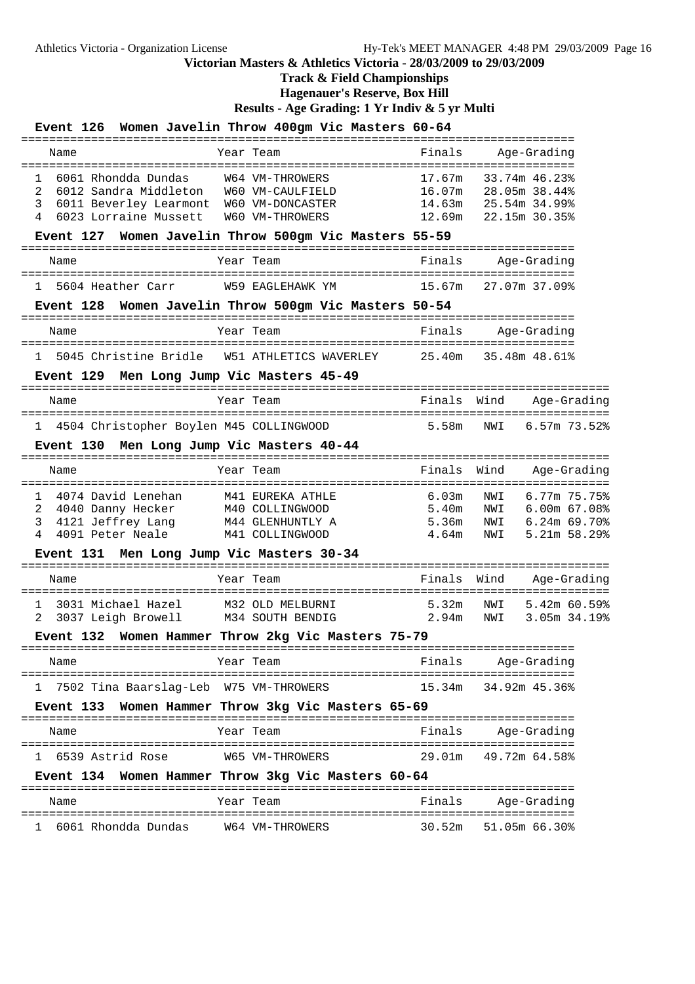**Track & Field Championships**

**Hagenauer's Reserve, Box Hill**

**Results - Age Grading: 1 Yr Indiv & 5 yr Multi**

| <b>Event 126</b>                                                                                                    | Women Javelin Throw 400gm Vic Masters 60-64                                |                                              |                                                                                            |
|---------------------------------------------------------------------------------------------------------------------|----------------------------------------------------------------------------|----------------------------------------------|--------------------------------------------------------------------------------------------|
| Name                                                                                                                | Year Team                                                                  | Finals                                       | Age-Grading                                                                                |
| 6061 Rhondda Dundas<br>1<br>2<br>6012 Sandra Middleton<br>3<br>6011 Beverley Learmont<br>4<br>6023 Lorraine Mussett | W64 VM-THROWERS<br>W60 VM-CAULFIELD<br>W60 VM-DONCASTER<br>W60 VM-THROWERS | 17.67m<br>16.07m<br>14.63m<br>12.69m         | 33.74m 46.23%<br>28.05m 38.44%<br>25.54m 34.99%<br>22.15m 30.35%                           |
| <b>Event 127</b>                                                                                                    | Women Javelin Throw 500gm Vic Masters 55-59<br>$- - - - - -$               |                                              |                                                                                            |
| Name                                                                                                                | Year Team                                                                  | Finals                                       | Age-Grading                                                                                |
| 5604 Heather Carr<br>1                                                                                              | W59 EAGLEHAWK YM                                                           | 15.67m                                       | 27.07m 37.09%                                                                              |
| <b>Event 128</b>                                                                                                    | Women Javelin Throw 500gm Vic Masters 50-54<br>------                      |                                              |                                                                                            |
| Name                                                                                                                | Year Team                                                                  | Finals                                       | Age-Grading                                                                                |
| 5045 Christine Bridle<br>$\mathbf{1}$                                                                               | W51 ATHLETICS WAVERLEY                                                     | 25.40m                                       | 35.48m 48.61%                                                                              |
| Event 129 Men Long Jump Vic Masters 45-49                                                                           |                                                                            |                                              |                                                                                            |
| Name                                                                                                                | Year Team                                                                  | Finals                                       | Wind<br>Age-Grading                                                                        |
| 4504 Christopher Boylen M45 COLLINGWOOD<br>ı.                                                                       |                                                                            | 5.58m                                        | 6.57m 73.52%<br>NWI                                                                        |
| Event 130 Men Long Jump Vic Masters 40-44                                                                           |                                                                            |                                              |                                                                                            |
| Name                                                                                                                | Year Team                                                                  | Finals                                       | Wind<br>Age-Grading                                                                        |
| 4074 David Lenehan<br>1<br>2<br>4040 Danny Hecker<br>3<br>4121 Jeffrey Lang<br>4<br>4091 Peter Neale                | M41 EUREKA ATHLE<br>M40 COLLINGWOOD<br>M44 GLENHUNTLY A<br>M41 COLLINGWOOD | 6.03m<br>5.40m<br>5.36 <sub>m</sub><br>4.64m | 6.77m 75.75%<br>NWI<br>6.00m 67.08%<br>NWI<br>$6.24m$ 69.70%<br>NWI<br>5.21m 58.29%<br>NWI |
| Event 131 Men Long Jump Vic Masters 30-34                                                                           |                                                                            |                                              |                                                                                            |
| Name                                                                                                                | Year Team                                                                  | Finals                                       | Wind<br>Age-Grading                                                                        |
| 3031 Michael Hazel<br>1<br>2<br>3037 Leigh Browell                                                                  | M32 OLD MELBURNI<br>M34 SOUTH BENDIG                                       | 5.32m<br>2.94m                               | NWI<br>5.42m 60.59%<br>3.05m 34.19%<br>NWI                                                 |
| Event 132                                                                                                           | Women Hammer Throw 2kg Vic Masters 75-79                                   |                                              |                                                                                            |
| Name                                                                                                                | Year Team                                                                  | Finals                                       | Age-Grading                                                                                |
| 7502 Tina Baarslag-Leb W75 VM-THROWERS<br>ı.                                                                        |                                                                            | 15.34m                                       | 34.92m 45.36%                                                                              |
| Event 133                                                                                                           | Women Hammer Throw 3kg Vic Masters 65-69                                   |                                              |                                                                                            |
| Name                                                                                                                | Year Team                                                                  | Finals                                       | Age-Grading                                                                                |
| 1 6539 Astrid Rose                                                                                                  | W65 VM-THROWERS                                                            | 29.01m                                       | 49.72m 64.58%                                                                              |
| Event 134                                                                                                           | Women Hammer Throw 3kg Vic Masters 60-64                                   |                                              | ======================                                                                     |
| Name                                                                                                                | Year Team                                                                  | Finals                                       | Age-Grading                                                                                |
|                                                                                                                     |                                                                            |                                              |                                                                                            |

1 6061 Rhondda Dundas W64 VM-THROWERS 30.52m 51.05m 66.30%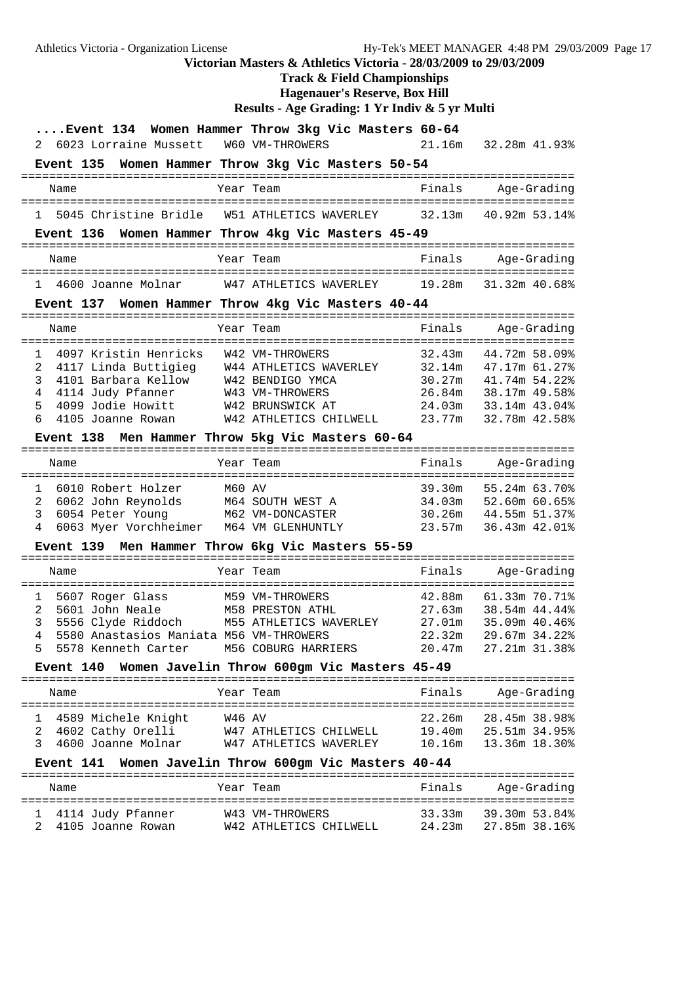Athletics Victoria - Organization License Hy-Tek's MEET MANAGER 4:48 PM 29/03/2009 Page 17 **Victorian Masters & Athletics Victoria - 28/03/2009 to 29/03/2009 Track & Field Championships Hagenauer's Reserve, Box Hill Results - Age Grading: 1 Yr Indiv & 5 yr Multi ....Event 134 Women Hammer Throw 3kg Vic Masters 60-64** 2 6023 Lorraine Mussett W60 VM-THROWERS 21.16m 32.28m 41.93% **Event 135 Women Hammer Throw 3kg Vic Masters 50-54** =============================================================================== Name Tear Team Finals Age-Grading =============================================================================== 1 5045 Christine Bridle W51 ATHLETICS WAVERLEY **Event 136 Women Hammer Throw 4kg Vic Masters 45-49** =============================================================================== Name Year Team Finals Age-Grading =============================================================================== 1 4600 Joanne Molnar W47 ATHLETICS WAVERLEY 19.28m 31.32m 40.68% **Event 137 Women Hammer Throw 4kg Vic Masters 40-44** =============================================================================== Name Year Team Finals Age-Grading =============================================================================== 1 4097 Kristin Henricks W42 VM-THROWERS 32.43m 44.72m 58.09% 2 4117 Linda Buttigieg W44 ATHLETICS WAVERLEY 32.14m 47.17m 61.27% 3 4101 Barbara Kellow W42 BENDIGO YMCA 30.27m 41.74m 54.22% 4 4114 Judy Pfanner W43 VM-THROWERS 26.84m 38.17m 49.58% 5 4099 Jodie Howitt W42 BRUNSWICK AT 24.03m 33.14m 43.04% 6 4105 Joanne Rowan W42 ATHLETICS CHILWELL 23.77m 32.78m 42.58% **Event 138 Men Hammer Throw 5kg Vic Masters 60-64** =============================================================================== Name Tear Team Team Finals Age-Grading =============================================================================== 1 6010 Robert Holzer M60 AV 39.30m 55.24m 63.70% 2 6062 John Reynolds M64 SOUTH WEST A 34.03m 52.60m 60.65% 3 6054 Peter Young M62 VM-DONCASTER 30.26m 44.55m 51.37% 4 6063 Myer Vorchheimer M64 VM GLENHUNTLY 23.57m 36.43m 42.01% **Event 139 Men Hammer Throw 6kg Vic Masters 55-59** =============================================================================== Name Team Year Team Finals Age-Grading =============================================================================== 1 5607 Roger Glass M59 VM-THROWERS 42.88m 61.33m 70.71% 2 5601 John Neale M58 PRESTON ATHL 27.63m 38.54m 44.44% 3 5556 Clyde Riddoch M55 ATHLETICS WAVERLEY 27.01m 35.09m 40.46% 4 5580 Anastasios Maniata M56 VM-THROWERS 22.32m 29.67m 34.22% 5 5578 Kenneth Carter M56 COBURG HARRIERS 20.47m 27.21m 31.38% **Event 140 Women Javelin Throw 600gm Vic Masters 45-49** =============================================================================== Name Tear Team Team Finals Age-Grading =============================================================================== 1 4589 Michele Knight W46 AV 22.26m 28.45m 38.98% 2 4602 Cathy Orelli W47 ATHLETICS CHILWELL 19.40m 25.51m 34.95% 3 4600 Joanne Molnar W47 ATHLETICS WAVERLEY 10.16m 13.36m 18.30% **Event 141 Women Javelin Throw 600gm Vic Masters 40-44** =============================================================================== Name Tear Team Team Finals Age-Grading ===============================================================================

 1 4114 Judy Pfanner W43 VM-THROWERS 33.33m 39.30m 53.84% 2 4105 Joanne Rowan W42 ATHLETICS CHILWELL 24.23m 27.85m 38.16%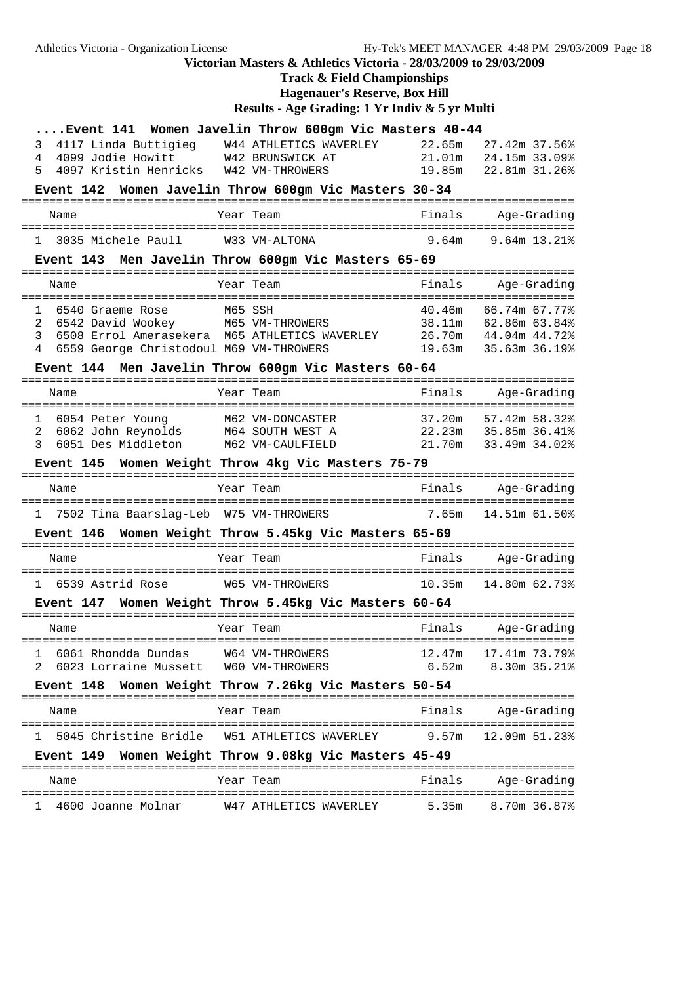# **Track & Field Championships**

**Hagenauer's Reserve, Box Hill**

|                                                        | Event 141 Women Javelin Throw 600gm Vic Masters 40-44 |        |                    |
|--------------------------------------------------------|-------------------------------------------------------|--------|--------------------|
| 4117 Linda Buttigieg<br>3                              | W44 ATHLETICS WAVERLEY                                | 22.65m | 27.42m 37.56%      |
| 4099 Jodie Howitt W42 BRUNSWICK AT<br>4                |                                                       | 21.01m | 24.15m 33.09%      |
| 4097 Kristin Henricks W42 VM-THROWERS<br>5             |                                                       | 19.85m | 22.81m 31.26%      |
| <b>Event 142</b>                                       | Women Javelin Throw 600gm Vic Masters 30-34           |        |                    |
| Name                                                   | Year Team                                             | Finals | Age-Grading        |
|                                                        |                                                       |        |                    |
| 1 3035 Michele Paull                                   | W33 VM-ALTONA                                         |        | 9.64m 9.64m 13.21% |
|                                                        | Event 143 Men Javelin Throw 600gm Vic Masters 65-69   |        |                    |
| Name                                                   | Year Team                                             | Finals | Age-Grading        |
|                                                        |                                                       |        |                    |
| 6540 Graeme Rose<br>$\mathbf{1}$                       | M65 SSH                                               | 40.46m | 66.74m 67.77%      |
| 6542 David Wookey M65 VM-THROWERS<br>2                 |                                                       | 38.11m | 62.86m 63.84%      |
| 3                                                      | 6508 Errol Amerasekera M65 ATHLETICS WAVERLEY         | 26.70m | 44.04m 44.72%      |
| 6559 George Christodoul M69 VM-THROWERS<br>4           |                                                       | 19.63m | 35.63m 36.19%      |
|                                                        |                                                       |        |                    |
|                                                        | Event 144 Men Javelin Throw 600gm Vic Masters 60-64   |        |                    |
| Name                                                   | Year Team                                             | Finals | Age-Grading        |
| ==================                                     | . = = = = = = = = =                                   |        | ================   |
| 6054 Peter Young<br>1                                  | M62 VM-DONCASTER                                      | 37.20m | 57.42m 58.32%      |
| 6062 John Reynolds<br>2                                | M64 SOUTH WEST A                                      | 22.23m | 35.85m 36.41%      |
| 3<br>6051 Des Middleton                                | M62 VM-CAULFIELD                                      | 21.70m | 33.49m 34.02%      |
| <b>Event 145</b>                                       | Women Weight Throw 4kg Vic Masters 75-79              |        |                    |
| Name                                                   | Year Team                                             | Finals | Age-Grading        |
| 7502 Tina Baarslag-Leb W75 VM-THROWERS<br>$\mathbf{1}$ |                                                       | 7.65m  | 14.51m 61.50%      |
| <b>Event 146</b>                                       | Women Weight Throw 5.45kg Vic Masters 65-69           |        |                    |
| Name                                                   | Year Team                                             | Finals | Age-Grading        |
|                                                        |                                                       |        |                    |
|                                                        | 1 6539 Astrid Rose M65 VM-THROWERS                    | 10.35m | 14.80m 62.73%      |
| <b>Event 147</b>                                       | Women Weight Throw 5.45kg Vic Masters 60-64           |        |                    |
| Name                                                   | Year Team                                             | Finals | Age-Grading        |
| 6061 Rhondda Dundas<br>$\mathbf{1}$                    | W64 VM-THROWERS                                       | 12.47m | 17.41m 73.79%      |
| 2<br>6023 Lorraine Mussett                             | W60 VM-THROWERS                                       | 6.52m  | 8.30m 35.21%       |
|                                                        |                                                       |        |                    |
|                                                        | Event 148 Women Weight Throw 7.26kg Vic Masters 50-54 |        |                    |
| Name                                                   | Year Team                                             | Finals | Age-Grading        |
| 1 5045 Christine Bridle W51 ATHLETICS WAVERLEY         |                                                       | 9.57m  | 12.09m 51.23%      |
|                                                        | Event 149 Women Weight Throw 9.08kg Vic Masters 45-49 |        |                    |
| Name                                                   | Year Team                                             | Finals | Age-Grading        |
| 4600 Joanne Molnar<br>1                                | W47 ATHLETICS WAVERLEY                                | 5.35m  | 8.70m 36.87%       |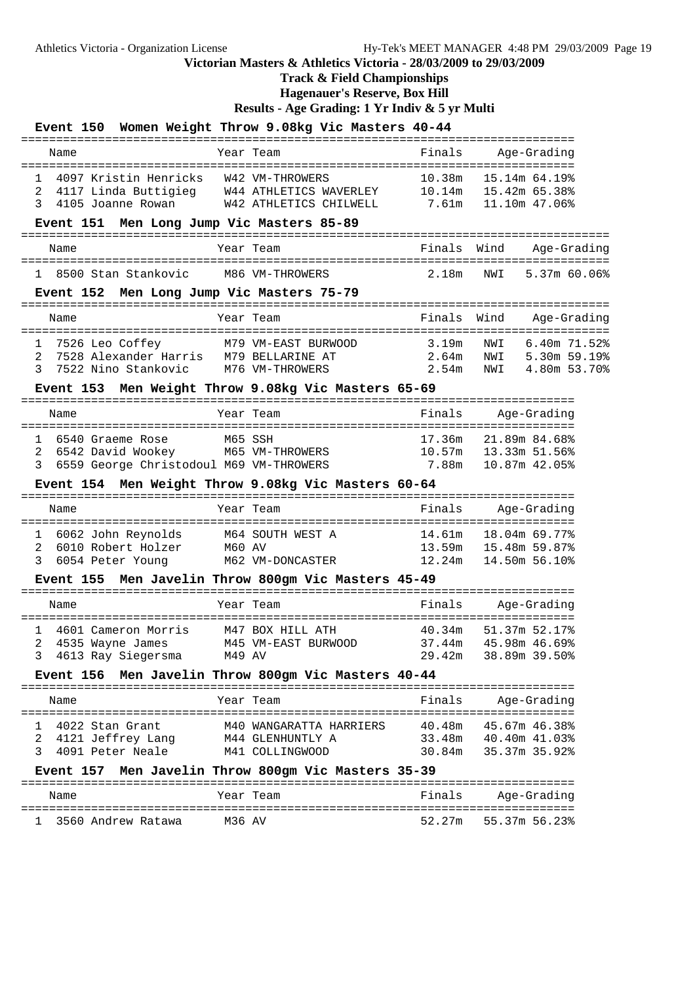**Track & Field Championships**

**Hagenauer's Reserve, Box Hill**

|                                                                                                                     | Event 150 Women Weight Throw 9.08kg Vic Masters 40-44                                                                                  |                               |                                                                       |
|---------------------------------------------------------------------------------------------------------------------|----------------------------------------------------------------------------------------------------------------------------------------|-------------------------------|-----------------------------------------------------------------------|
| Name                                                                                                                | Year Team                                                                                                                              | Finals                        | Age-Grading                                                           |
| 1 4097 Kristin Henricks W42 VM-THROWERS<br>2<br>3<br>4105 Joanne Rowan<br>Event 151 Men Long Jump Vic Masters 85-89 | 4117 Linda Buttigieg W44 ATHLETICS WAVERLEY 10.14m 15.42m 65.38%<br>W42 ATHLETICS CHILWELL                                             | 7.61m                         | 10.38m 15.14m 64.19%<br>11.10m 47.06%                                 |
|                                                                                                                     |                                                                                                                                        |                               |                                                                       |
| Name                                                                                                                | Year Team                                                                                                                              | Finals<br>$=$ $=$ $=$ $=$     | Wind<br>Age-Grading                                                   |
| 1 8500 Stan Stankovic                                                                                               | M86 VM-THROWERS                                                                                                                        | 2.18m                         | 5.37m 60.06%<br>NWI                                                   |
| Event 152 Men Long Jump Vic Masters 75-79                                                                           |                                                                                                                                        |                               |                                                                       |
| Name                                                                                                                | Year Team<br>============================                                                                                              | Finals<br>=====<br>========== | Wind<br>Age-Grading<br>=======                                        |
| 7526 Leo Coffey<br>1<br>2<br>7528 Alexander Harris M79 BELLARINE AT<br>3<br>7522 Nino Stankovic                     | M79 VM-EAST BURWOOD<br>M76 VM-THROWERS                                                                                                 | 3.19m<br>2.64m<br>2.54m       | $6.40m$ $71.52%$<br>NWI<br>NWI<br>5.30m 59.19%<br>NWI<br>4.80m 53.70% |
|                                                                                                                     | Event 153 Men Weight Throw 9.08kg Vic Masters 65-69                                                                                    |                               |                                                                       |
| Name                                                                                                                | Year Team                                                                                                                              | Finals                        | Age-Grading                                                           |
| 6540 Graeme Rose<br>$\mathbf{1}$<br>2<br>6542 David Wookey<br>6559 George Christodoul M69 VM-THROWERS<br>3          | :============== <b>:</b><br>M65 SSH<br>M65 VM-THROWERS                                                                                 | 17.36m<br>7.88m               | 21.89m 84.68%<br>10.57m   13.33m   51.56%<br>10.87m 42.05%            |
|                                                                                                                     |                                                                                                                                        |                               |                                                                       |
|                                                                                                                     | Event 154 Men Weight Throw 9.08kg Vic Masters 60-64                                                                                    |                               |                                                                       |
| --------------------------<br>Name                                                                                  | Year Team                                                                                                                              | Finals                        | Age-Grading                                                           |
| 6062 John Reynolds<br>1<br>2<br>6010 Robert Holzer<br>3<br>6054 Peter Young                                         | M64 SOUTH WEST A<br>M60 AV<br>M62 VM-DONCASTER                                                                                         | 14.61m<br>12.24m              | 18.04m 69.77%<br>13.59m   15.48m   59.87%<br>14.50m 56.10%            |
|                                                                                                                     | Event 155 Men Javelin Throw 800gm Vic Masters 45-49                                                                                    |                               |                                                                       |
| Name                                                                                                                | Year Team                                                                                                                              | Finals                        | Age-Grading                                                           |
| 4601 Cameron Morris<br>4613 Ray Siegersma<br>3<br><b>Event 156</b>                                                  | M47 BOX HILL ATH<br>2 4535 Wayne James M45 VM-EAST BURWOOD 37.44m 45.98m 46.69%<br>M49 AV<br>Men Javelin Throw 800gm Vic Masters 40-44 | 40.34m<br>29.42m              | 51.37m 52.17%<br>38.89m 39.50%                                        |
| Name                                                                                                                | Year Team                                                                                                                              | Finals                        | Age-Grading                                                           |
| 4022 Stan Grant<br>1<br>4121 Jeffrey Lang<br>2<br>3<br>4091 Peter Neale<br><b>Event 157</b>                         | M40 WANGARATTA HARRIERS<br>M44 GLENHUNTLY A<br>M41 COLLINGWOOD<br>Men Javelin Throw 800gm Vic Masters 35-39                            | 40.48m<br>33.48m<br>30.84m    | ------------------<br>45.67m 46.38%<br>40.40m 41.03%<br>35.37m 35.92% |
| Name                                                                                                                | Year Team                                                                                                                              | Finals                        | Age-Grading                                                           |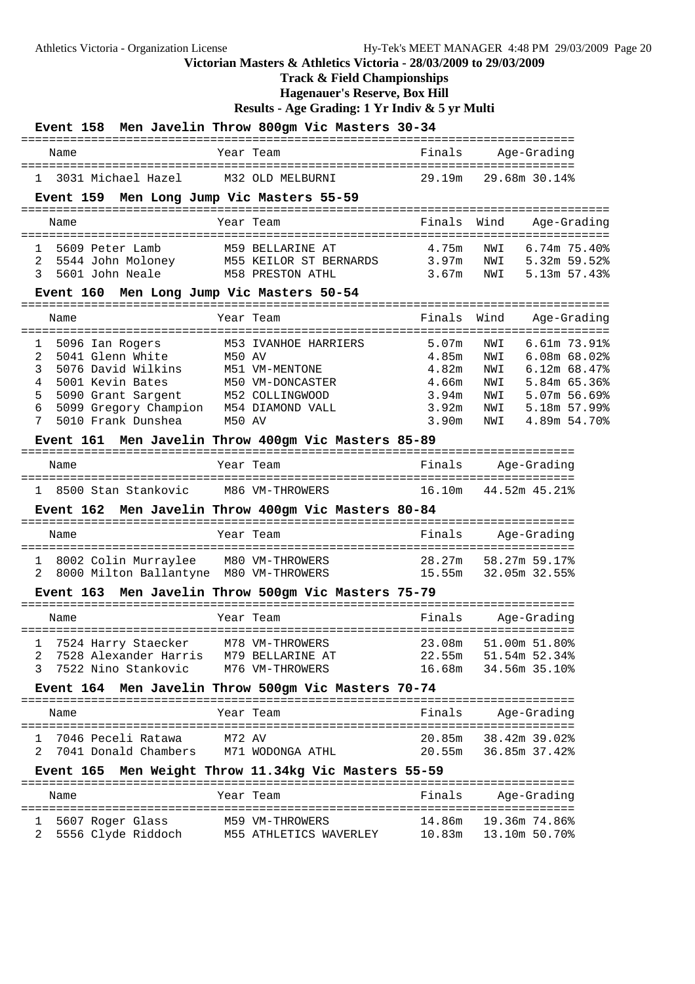**Track & Field Championships**

**Hagenauer's Reserve, Box Hill**

|                                             | Event 158 Men Javelin Throw 800gm Vic Masters 30-34          |                   |                                                       |
|---------------------------------------------|--------------------------------------------------------------|-------------------|-------------------------------------------------------|
| Name                                        | Year Team                                                    | Finals            | Age-Grading                                           |
| 1 3031 Michael Hazel                        | M32 OLD MELBURNI                                             |                   | 29.19m 29.68m 30.14%                                  |
| Event 159 Men Long Jump Vic Masters 55-59   |                                                              |                   |                                                       |
| Name                                        | Year Team                                                    | Finals            | Wind<br>Age-Grading                                   |
| 1 5609 Peter Lamb                           | M59 BELLARINE AT                                             | 4.75m             | $6.74m$ $75.40\%$<br>NWI                              |
| 2<br>5601 John Neale<br>3                   | 5544 John Moloney M55 KEILOR ST BERNARDS<br>M58 PRESTON ATHL |                   | 3.97m NWI 5.32m 59.52%<br>5.13m 57.43%<br>$3.67m$ NWI |
| Event 160 Men Long Jump Vic Masters 50-54   |                                                              |                   |                                                       |
|                                             |                                                              |                   |                                                       |
| Name                                        | Year Team                                                    | Finals            | Wind<br>Age-Grading                                   |
| 1<br>5096 Ian Rogers                        | M53 IVANHOE HARRIERS                                         | 5.07 <sub>m</sub> | 6.61m 73.91%<br>NWI                                   |
| 5041 Glenn White<br>2                       | <b>M50 AV</b>                                                | 4.85m             | $6.08m$ $68.02%$<br>NWI                               |
| 3<br>5076 David Wilkins<br>5001 Kevin Bates | M51 VM-MENTONE                                               | 4.82m             | NWI<br>$6.12m$ $68.47%$                               |
| 4<br>5<br>5090 Grant Sargent                | M50 VM-DONCASTER<br>M52 COLLINGWOOD                          | 4.66m<br>3.94m    | NWI<br>5.84m 65.36%<br>5.07m 56.69%<br>NWI            |
| 5099 Gregory Champion<br>6                  | M54 DIAMOND VALL                                             | 3.92m             | NWI<br>5.18m 57.99%                                   |
| 5010 Frank Dunshea<br>7                     | M50 AV                                                       | 3.90m             | 4.89m 54.70%<br>NWI                                   |
|                                             | Event 161 Men Javelin Throw 400gm Vic Masters 85-89          |                   |                                                       |
| Name                                        | Year Team                                                    | Finals            | Age-Grading                                           |
| 1 8500 Stan Stankovic                       | M86 VM-THROWERS                                              | 16.10m            | 44.52m 45.21%                                         |
|                                             | Event 162 Men Javelin Throw 400gm Vic Masters 80-84          |                   |                                                       |
| Name                                        | Year Team                                                    | Finals            | Age-Grading                                           |
| ı                                           |                                                              | 28.27m            | 58.27m 59.17%                                         |
| 2                                           |                                                              |                   | 15.55m 32.05m 32.55%                                  |
|                                             | Event 163 Men Javelin Throw 500gm Vic Masters 75-79          |                   |                                                       |
| Name                                        | Year Team                                                    | Finals            | Age-Grading                                           |
|                                             | 1 7524 Harry Staecker M78 VM-THROWERS 23.08m 51.00m 51.80%   |                   |                                                       |
| 2<br>7528 Alexander Harris                  | M79 BELLARINE AT                                             | 22.55m            | 51.54m 52.34%                                         |
| 7522 Nino Stankovic<br>3                    | M76 VM-THROWERS                                              | 16.68m            | 34.56m 35.10%                                         |
|                                             | Event 164 Men Javelin Throw 500gm Vic Masters 70-74          |                   |                                                       |
| Name                                        | Year Team                                                    | Finals            | Age-Grading                                           |
| 7046 Peceli Ratawa<br>1                     | M72 AV                                                       | 20.85m            | 38.42m 39.02%                                         |
| 7041 Donald Chambers<br>2                   | M71 WODONGA ATHL                                             | 20.55m            | 36.85m 37.42%                                         |
|                                             | Event 165 Men Weight Throw 11.34kg Vic Masters 55-59         |                   |                                                       |
| Name                                        | Year Team                                                    | Finals            | Age-Grading                                           |
| 5607 Roger Glass<br>ı                       | M59 VM-THROWERS                                              | 14.86m            | 19.36m 74.86%                                         |
| 5556 Clyde Riddoch<br>2                     | M55 ATHLETICS WAVERLEY                                       |                   | 10.83m  13.10m  50.70%                                |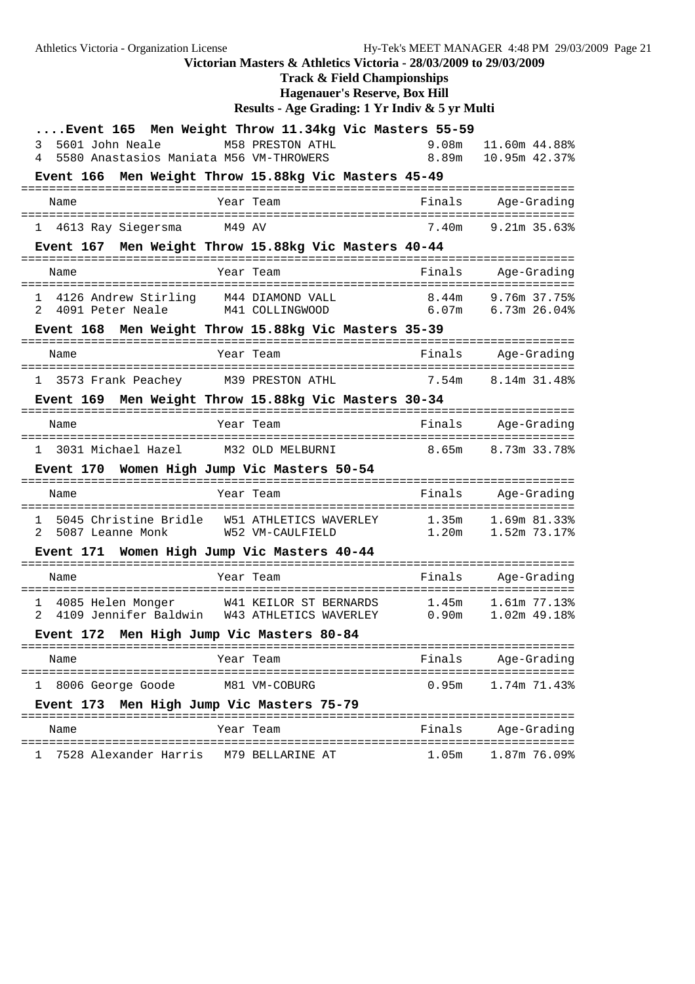**Track & Field Championships**

**Hagenauer's Reserve, Box Hill**

|                                              | Event 165 Men Weight Throw 11.34kg Vic Masters 55-59                                                                |        |                              |
|----------------------------------------------|---------------------------------------------------------------------------------------------------------------------|--------|------------------------------|
| 3 5601 John Neale M58 PRESTON ATHL           |                                                                                                                     | 9.08m  | 11.60m 44.88%                |
| 5580 Anastasios Maniata M56 VM-THROWERS<br>4 |                                                                                                                     | 8.89m  | 10.95m 42.37%                |
|                                              | Event 166 Men Weight Throw 15.88kg Vic Masters 45-49                                                                |        |                              |
| Name                                         | Year Team                                                                                                           | Finals | Age-Grading                  |
| 1 4613 Ray Siegersma M49 AV                  |                                                                                                                     |        | 7.40m 9.21m 35.63%           |
|                                              | Event 167 Men Weight Throw 15.88kg Vic Masters 40-44                                                                |        |                              |
| Name                                         | Year Team                                                                                                           |        | Finals Age-Grading           |
|                                              | 1 4126 Andrew Stirling M44 DIAMOND VALL 8.44m 9.76m 37.75%<br>2 4091 Peter Neale M41 COLLINGWOOD 6.07m 6.73m 26.04% |        |                              |
|                                              | Event 168 Men Weight Throw 15.88kg Vic Masters 35-39                                                                |        |                              |
| Name                                         | Year Team                                                                                                           |        | Finals Age-Grading           |
|                                              | 1 3573 Frank Peachey M39 PRESTON ATHL 7.54m 8.14m 31.48%                                                            |        |                              |
|                                              | Event 169 Men Weight Throw 15.88kg Vic Masters 30-34                                                                |        |                              |
| Name                                         | Year Team                                                                                                           |        | Finals Age-Grading           |
|                                              | 1 3031 Michael Hazel M32 OLD MELBURNI 8.65m 8.73m 33.78%                                                            |        |                              |
| Event 170 Women High Jump Vic Masters 50-54  |                                                                                                                     |        |                              |
| Name                                         | Year Team                                                                                                           |        | Finals Age-Grading           |
| 2 5087 Leanne Monk W52 VM-CAULFIELD          | 1 5045 Christine Bridle W51 ATHLETICS WAVERLEY 1.35m 1.69m 81.33%                                                   | 1.20m  | 1.52m 73.17%                 |
| Event 171 Women High Jump Vic Masters 40-44  |                                                                                                                     |        |                              |
| Name                                         | Year Team                                                                                                           |        | Finals Age-Grading           |
| 1 4085 Helen Monger<br>$\mathcal{R}$         | W41 KEILOR ST BERNARDS 1.45m<br>4109 Jennifer Baldwin W43 ATHLETICS WAVERLEY 0.90m                                  |        | 1.61m 77.13%<br>1.02m 49.18% |
| Event 172 Men High Jump Vic Masters 80-84    |                                                                                                                     |        |                              |
| Name                                         | Year Team                                                                                                           | Finals | Age-Grading                  |
| 8006 George Goode<br>ı                       | M81 VM-COBURG                                                                                                       | 0.95m  | 1.74m 71.43%                 |
| Event 173 Men High Jump Vic Masters 75-79    |                                                                                                                     |        |                              |
| Name                                         | Year Team                                                                                                           | Finals | Age-Grading                  |
| 7528 Alexander Harris                        | M79 BELLARINE AT                                                                                                    | 1.05m  | 1.87m 76.09%                 |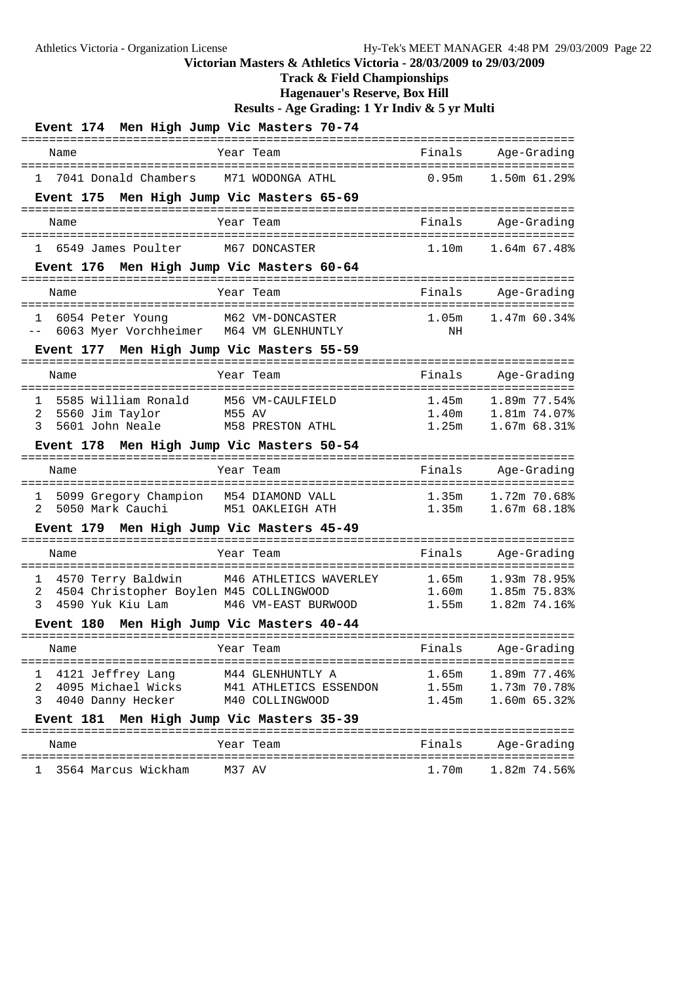**Track & Field Championships**

**Hagenauer's Reserve, Box Hill**

| Event 174 Men High Jump Vic Masters 70-74                                                                                                                                                                       |                                                 |                                                                                  |
|-----------------------------------------------------------------------------------------------------------------------------------------------------------------------------------------------------------------|-------------------------------------------------|----------------------------------------------------------------------------------|
| Name<br>Year Team<br>===============<br>==================                                                                                                                                                      | Finals<br>===================================== | Age-Grading                                                                      |
| M71 WODONGA ATHL<br>7041 Donald Chambers<br>1                                                                                                                                                                   | 0.95m                                           | 1.50m 61.29%                                                                     |
| Event 175 Men High Jump Vic Masters 65-69                                                                                                                                                                       |                                                 |                                                                                  |
| Name<br>Year Team                                                                                                                                                                                               | Finals<br>------------------------------------  | Age-Grading                                                                      |
| 6549 James Poulter<br>M67 DONCASTER<br>$\mathbf{1}$                                                                                                                                                             | 1.10m                                           | $1.64m$ 67.48%                                                                   |
| Event 176 Men High Jump Vic Masters 60-64                                                                                                                                                                       |                                                 |                                                                                  |
| Name<br>Year Team                                                                                                                                                                                               | Finals                                          | Age-Grading                                                                      |
| M62 VM-DONCASTER<br>6054 Peter Young<br>1<br>6063 Myer Vorchheimer M64 VM GLENHUNTLY<br>$- -$                                                                                                                   | 1.05m<br>ΝH                                     | $1.47m$ 60.34%                                                                   |
| Event 177 Men High Jump Vic Masters 55-59                                                                                                                                                                       |                                                 |                                                                                  |
| Year Team<br>Name                                                                                                                                                                                               | Finals                                          | Age-Grading                                                                      |
| ------------------------------------<br>5585 William Ronald<br>M56 VM-CAULFIELD<br>1<br>2<br>5560 Jim Taylor<br>M55 AV<br>M58 PRESTON ATHL<br>3<br>5601 John Neale<br>Event 178 Men High Jump Vic Masters 50-54 | =========================<br>1.45m<br>1.25m     | 1.89m 77.54%<br>1.40m 1.81m 74.07%<br>1.25m 1.67m 68.31%<br>1.67m 68.31%         |
| Name<br>Year Team                                                                                                                                                                                               | Finals                                          | Age-Grading                                                                      |
| 5099 Gregory Champion M54 DIAMOND VALL<br>1<br>M51 OAKLEIGH ATH<br>5050 Mark Cauchi<br>2                                                                                                                        | 1.35m                                           | 1.72m 70.68%<br>1.35m 1.67m 68.18%                                               |
| Event 179 Men High Jump Vic Masters 45-49<br>------------                                                                                                                                                       |                                                 | ============================                                                     |
| Year Team<br>Name                                                                                                                                                                                               | Finals                                          | Age-Grading                                                                      |
| M46 ATHLETICS WAVERLEY<br>4570 Terry Baldwin<br>1<br>4504 Christopher Boylen M45 COLLINGWOOD<br>2<br>4590 Yuk Kiu Lam<br>3<br>M46 VM-EAST BURWOOD<br>Event 180 Men High Jump Vic Masters 40-44                  | 1.65m<br>1.60 <sub>m</sub><br>1.55m             | :===============================<br>1.93m 78.95%<br>1.85m 75.83%<br>1.82m 74.16% |
|                                                                                                                                                                                                                 |                                                 |                                                                                  |
| Year Team<br>Name                                                                                                                                                                                               | Finals<br>===============================       | Age-Grading                                                                      |
| 4121 Jeffrey Lang<br>M44 GLENHUNTLY A<br>ı<br>4095 Michael Wicks<br>2                                                                                                                                           | 1.65m                                           | 1.89m 77.46%<br>1.73m 70.78%                                                     |
| M41 ATHLETICS ESSENDON<br>3<br>4040 Danny Hecker<br>M40 COLLINGWOOD                                                                                                                                             | 1.55m<br>1.45m                                  | 1.60m 65.32%                                                                     |
| Men High Jump Vic Masters 35-39<br>Event 181                                                                                                                                                                    |                                                 |                                                                                  |
| Year Team<br>Name                                                                                                                                                                                               | Finals                                          | Age-Grading                                                                      |
| 3564 Marcus Wickham<br>M37 AV                                                                                                                                                                                   | 1.70m                                           | 1.82m 74.56%                                                                     |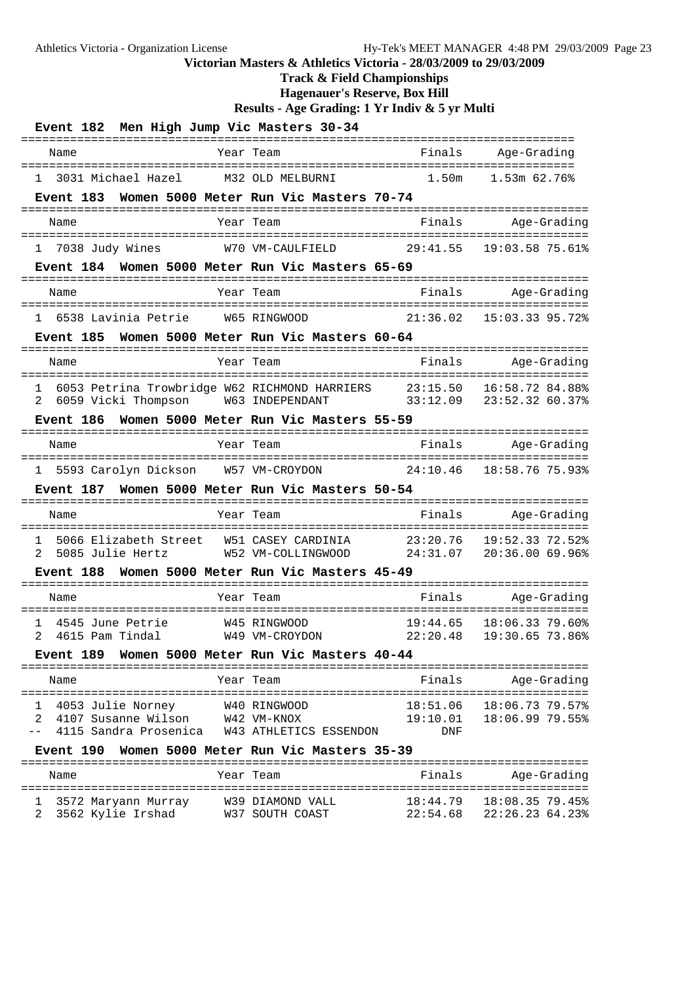**Track & Field Championships**

**Hagenauer's Reserve, Box Hill**

**Results - Age Grading: 1 Yr Indiv & 5 yr Multi**

| Event 182 Men High Jump Vic Masters 30-34                   |                                                                  |                   |                                                       |
|-------------------------------------------------------------|------------------------------------------------------------------|-------------------|-------------------------------------------------------|
| Name                                                        | Year Team                                                        | Finals            | Age-Grading                                           |
| 1 3031 Michael Hazel                                        | M32 OLD MELBURNI                                                 | 1.50 <sub>m</sub> | 1.53m 62.76%                                          |
| Event 183 Women 5000 Meter Run Vic Masters 70-74            |                                                                  |                   |                                                       |
| Name                                                        | ------<br>Year Team                                              | Finals            | ---------------------------<br>Age-Grading            |
| ------------------------------------<br>1 7038 Judy Wines   | --------------------<br>W70 VM-CAULFIELD                         | 29:41.55          | =================<br>19:03.58 75.61%                  |
| Event 184 Women 5000 Meter Run Vic Masters 65-69            |                                                                  |                   |                                                       |
|                                                             | -------                                                          |                   | ---------------------------                           |
| Name                                                        | Year Team<br>=======================                             | Finals            | Age-Grading<br>=================                      |
| 1 6538 Lavinia Petrie W65 RINGWOOD                          |                                                                  | 21:36.02          | 15:03.33 95.72%                                       |
| Event 185 Women 5000 Meter Run Vic Masters 60-64            |                                                                  |                   |                                                       |
| Name                                                        | Year Team                                                        | Finals            | Age-Grading                                           |
| 6053 Petrina Trowbridge W62 RICHMOND HARRIERS 23:15.50<br>1 |                                                                  |                   | 16:58.72 84.88%                                       |
| 6059 Vicki Thompson W63 INDEPENDANT<br>2                    |                                                                  | 33:12.09          | 23:52.32 60.37%                                       |
| <b>Event 186</b>                                            | Women 5000 Meter Run Vic Masters 55-59                           |                   |                                                       |
| Name<br>================                                    | Year Team                                                        | Finals            | Age-Grading<br>-------------------------------------- |
| 1 5593 Carolyn Dickson W57 VM-CROYDON                       |                                                                  | 24:10.46          | 18:58.76 75.93%                                       |
| <b>Event 187</b>                                            | Women 5000 Meter Run Vic Masters 50-54                           |                   |                                                       |
| Name<br>=================                                   | Year Team                                                        | Finals            | Age-Grading<br>-----------------                      |
| 5066 Elizabeth Street<br>1                                  | W51 CASEY CARDINIA 23:20.76                                      |                   | 19:52.33 72.52%                                       |
| $\mathcal{L}$<br>5085 Julie Hertz                           | W52 VM-COLLINGWOOD 24:31.07                                      |                   | 20:36.00 69.96%                                       |
| Event 188                                                   | Women 5000 Meter Run Vic Masters 45-49                           |                   |                                                       |
| Name                                                        | Year Team                                                        |                   | Finals Age-Grading                                    |
| 4545 June Petrie<br>1                                       | W45 RINGWOOD                                                     | 19:44.65          | 18:06.33 79.60%                                       |
| 2<br>4615 Pam Tindal                                        | W49 VM-CROYDON                                                   | 22:20.48          | 19:30.65 73.86%                                       |
| Event 189                                                   | Women 5000 Meter Run Vic Masters 40-44                           |                   |                                                       |
| Name                                                        | Year Team                                                        | Finals            | Age-Grading                                           |
| 4053 Julie Norney<br>1                                      | W40 RINGWOOD                                                     | 18:51.06          | ---------<br>18:06.73 79.57%                          |
| 4107 Susanne Wilson<br>2                                    | W42 VM-KNOX                                                      | 19:10.01          | 18:06.99 79.55%                                       |
| 4115 Sandra Prosenica                                       | W43 ATHLETICS ESSENDON<br>Women 5000 Meter Run Vic Masters 35-39 | DNF               |                                                       |
| Event 190                                                   |                                                                  |                   | ---------------------------                           |
| Name                                                        | Year Team                                                        | Finals            | Age-Grading<br>----------------                       |
| 3572 Maryann Murray<br>T.                                   | W39 DIAMOND VALL                                                 | 18:44.79          | $18:08.35$ 79.45%                                     |

2 3562 Kylie Irshad W37 SOUTH COAST 22:54.68 22:26.23 64.23%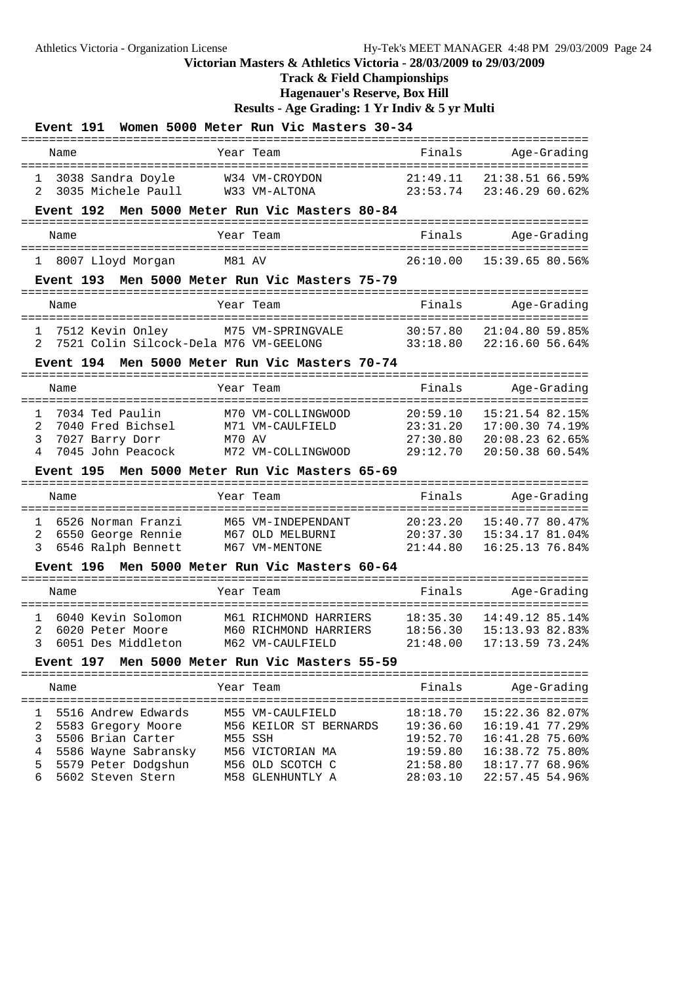### **Track & Field Championships**

**Hagenauer's Reserve, Box Hill**

**Results - Age Grading: 1 Yr Indiv & 5 yr Multi**

| Women 5000 Meter Run Vic Masters 30-34<br><b>Event 191</b>                                                           |                                                                                                                |                                              |                                                                          |  |  |  |  |  |
|----------------------------------------------------------------------------------------------------------------------|----------------------------------------------------------------------------------------------------------------|----------------------------------------------|--------------------------------------------------------------------------|--|--|--|--|--|
| Name                                                                                                                 | Year Team                                                                                                      | Finals                                       | Age-Grading                                                              |  |  |  |  |  |
| 3038 Sandra Doyle<br>$\mathbf{1}$<br>3035 Michele Paull<br>2                                                         | W34 VM-CROYDON<br>W33 VM-ALTONA                                                                                | 21:49.11<br>23:53.74                         | $21:38.5166.59$ <sup>§</sup><br>23:46.29 60.62%                          |  |  |  |  |  |
| <b>Event 192</b>                                                                                                     | Men 5000 Meter Run Vic Masters 80-84                                                                           |                                              |                                                                          |  |  |  |  |  |
| Name                                                                                                                 | Year Team                                                                                                      | Finals                                       | Age-Grading                                                              |  |  |  |  |  |
| 8007 Lloyd Morgan<br>$\mathbf{1}$                                                                                    | M81 AV                                                                                                         | 26:10.00                                     | 15:39.65 80.56%                                                          |  |  |  |  |  |
| Event 193                                                                                                            | Men 5000 Meter Run Vic Masters 75-79                                                                           |                                              |                                                                          |  |  |  |  |  |
| Name                                                                                                                 | Year Team                                                                                                      | Finals                                       | Age-Grading                                                              |  |  |  |  |  |
| 7512 Kevin Onley<br>1<br>7521 Colin Silcock-Dela M76 VM-GEELONG<br>2                                                 | M75 VM-SPRINGVALE                                                                                              | 30:57.80<br>33:18.80                         | $21:04.8059.85$ <sup>8</sup><br>22:16.60 56.64%                          |  |  |  |  |  |
| Event 194                                                                                                            | Men 5000 Meter Run Vic Masters 70-74                                                                           |                                              |                                                                          |  |  |  |  |  |
| Name                                                                                                                 | Year Team                                                                                                      | Finals                                       | Age-Grading                                                              |  |  |  |  |  |
| 7034 Ted Paulin<br>1<br>2<br>7040 Fred Bichsel<br>3<br>7027 Barry Dorr<br>4<br>7045 John Peacock<br><b>Event 195</b> | M70 VM-COLLINGWOOD<br>M71 VM-CAULFIELD<br>M70 AV<br>M72 VM-COLLINGWOOD<br>Men 5000 Meter Run Vic Masters 65-69 | 20:59.10<br>23:31.20<br>27:30.80<br>29:12.70 | 15:21.54 82.15%<br>17:00.30 74.19%<br>20:08.2362.65%<br>20:50.38 60.54%  |  |  |  |  |  |
| Name                                                                                                                 | Year Team                                                                                                      | Finals                                       | Age-Grading                                                              |  |  |  |  |  |
| 6526 Norman Franzi<br>1<br>2<br>6550 George Rennie<br>3<br>6546 Ralph Bennett<br><b>Event 196</b>                    | M65 VM-INDEPENDANT<br>M67 OLD MELBURNI<br>M67 VM-MENTONE<br>Men 5000 Meter Run Vic Masters 60-64<br>========   | 20:23.20<br>20:37.30<br>21:44.80             | 15:40.77 80.47%<br>15:34.17 81.04%<br>16:25.13 76.84%                    |  |  |  |  |  |
| Name                                                                                                                 | Year Team                                                                                                      | Finals                                       | Age-Grading                                                              |  |  |  |  |  |
| 1<br>6040 Kevin Solomon<br>2<br>6020 Peter Moore<br>6051 Des Middleton<br><b>Event 197</b>                           | M61 RICHMOND HARRIERS<br>M60 RICHMOND HARRIERS<br>M62 VM-CAULFIELD<br>Men 5000 Meter Run Vic Masters 55-59     | 18:35.30<br>18:56.30<br>21:48.00             | 14:49.12 85.14%<br>15:13.93 82.83%<br>17:13.59 73.24%                    |  |  |  |  |  |
| Name                                                                                                                 | Year Team                                                                                                      | Finals                                       | Age-Grading                                                              |  |  |  |  |  |
| 5516 Andrew Edwards<br>ı<br>2<br>5583 Gregory Moore<br>3<br>5506 Brian Carter<br>4<br>5586 Wayne Sabransky           | M55 VM-CAULFIELD<br>M56 KEILOR ST BERNARDS<br>M55 SSH<br>M56 VICTORIAN MA                                      | 18:18.70<br>19:36.60<br>19:52.70<br>19:59.80 | 15:22.36 82.07%<br>16:19.41 77.29%<br>16:41.28 75.60%<br>16:38.72 75.80% |  |  |  |  |  |

 5 5579 Peter Dodgshun M56 OLD SCOTCH C 21:58.80 18:17.77 68.96% 6 5602 Steven Stern M58 GLENHUNTLY A 28:03.10 22:57.45 54.96%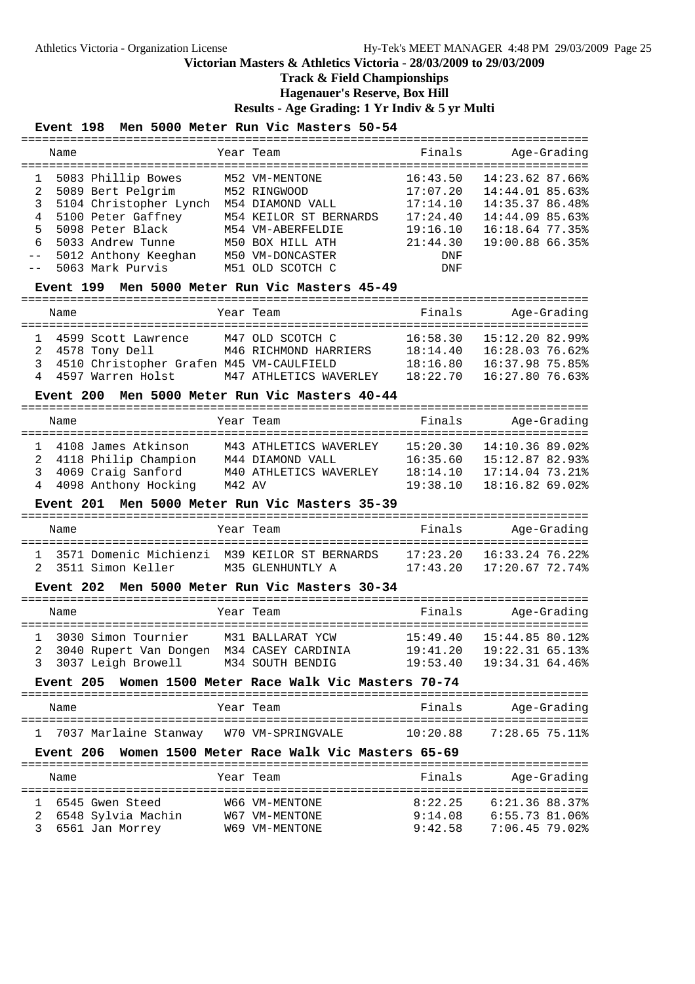### **Track & Field Championships**

**Hagenauer's Reserve, Box Hill**

**Results - Age Grading: 1 Yr Indiv & 5 yr Multi**

#### **Event 198 Men 5000 Meter Run Vic Masters 50-54**

| Name |                        | Year Team              | Finals   | Age-Grading     |  |
|------|------------------------|------------------------|----------|-----------------|--|
|      | 5083 Phillip Bowes     | M52 VM-MENTONE         | 16:43.50 | 14:23.62 87.66% |  |
| 2    | 5089 Bert Pelgrim      | M52 RINGWOOD           | 17:07.20 | 14:44.01 85.63% |  |
| 3    | 5104 Christopher Lynch | M54 DIAMOND VALL       | 17:14.10 | 14:35.37 86.48% |  |
| 4    | 5100 Peter Gaffney     | M54 KEILOR ST BERNARDS | 17:24.40 | 14:44.09 85.63% |  |
| 5.   | 5098 Peter Black       | M54 VM-ABERFELDIE      | 19:16.10 | 16:18.64 77.35% |  |
| 6    | 5033 Andrew Tunne      | M50 BOX HILL ATH       | 21:44.30 | 19:00.88 66.35% |  |
|      | 5012 Anthony Keeghan   | M50 VM-DONCASTER       | DNF      |                 |  |
|      | -- 5063 Mark Purvis    | M51 OLD SCOTCH C       | DNF      |                 |  |
|      |                        |                        |          |                 |  |

#### **Event 199 Men 5000 Meter Run Vic Masters 45-49**

================================================================================= Name Team Team Finals Age-Grading ================================================================================= 1 4599 Scott Lawrence M47 OLD SCOTCH C 16:58.30 15:12.20 82.99% 2 4578 Tony Dell M46 RICHMOND HARRIERS 18:14.40 16:28.03 76.62% 3 4510 Christopher Grafen M45 VM-CAULFIELD 18:16.80 16:37.98 75.85% 4 4597 Warren Holst M47 ATHLETICS WAVERLEY 18:22.70 16:27.80 76.63%

#### **Event 200 Men 5000 Meter Run Vic Masters 40-44**

|   | Name |                        |        | Year Team              | Finals   |                   | Age-Grading |
|---|------|------------------------|--------|------------------------|----------|-------------------|-------------|
|   |      | 4108 James Atkinson    |        | M43 ATHLETICS WAVERLEY | 15:20.30 | 14:10.36 89.02%   |             |
|   |      | 2 4118 Philip Champion |        | M44 DIAMOND VALL       | 16:35.60 | 15:12.87 82.93%   |             |
| 3 |      | 4069 Craig Sanford     |        | M40 ATHLETICS WAVERLEY | 18:14.10 | $17:14.04$ 73.21% |             |
| 4 |      | 4098 Anthony Hocking   | M42 AV |                        | 19:38.10 | 18:16.82 69.02%   |             |

#### **Event 201 Men 5000 Meter Run Vic Masters 35-39**

| Name |                     | Year Team                                       | Finals   | Age-Grading     |
|------|---------------------|-------------------------------------------------|----------|-----------------|
|      |                     | 1 3571 Domenic Michienzi M39 KEILOR ST BERNARDS | 17:23.20 | 16:33.24 76.22% |
|      | 2 3511 Simon Keller | M35 GLENHUNTLY A                                | 17:43 20 | 17:20.67 72.74% |

#### **Event 202 Men 5000 Meter Run Vic Masters 30-34**

| Name |                                                                           | Year Team                                                  | Finals                           | Age-Grading                                          |
|------|---------------------------------------------------------------------------|------------------------------------------------------------|----------------------------------|------------------------------------------------------|
|      | 1 3030 Simon Tournier<br>2 3040 Rupert Van Dongen<br>3 3037 Leigh Browell | M31 BALLARAT YCW<br>M34 CASEY CARDINIA<br>M34 SOUTH BENDIG | 15:49.40<br>19:41.20<br>19:53.40 | 15:44.85 80.12%<br>19:22.3165.13%<br>19:34.31 64.46% |

#### **Event 205 Women 1500 Meter Race Walk Vic Masters 70-74**

| Name |                         |  | Year Team         | Finals   | Age-Grading    |  |
|------|-------------------------|--|-------------------|----------|----------------|--|
|      | 1 7037 Marlaine Stanway |  | W70 VM-SPRINGVALE | 10:20.88 | 7:28.65 75.11% |  |

#### **Event 206 Women 1500 Meter Race Walk Vic Masters 65-69**

|   | Name                                                       | Year Team                                          | Finals                        | Age-Grading                                        |
|---|------------------------------------------------------------|----------------------------------------------------|-------------------------------|----------------------------------------------------|
| 3 | 6545 Gwen Steed<br>2 6548 Sylvia Machin<br>6561 Jan Morrey | W66 VM-MENTONE<br>W67 VM-MENTONE<br>W69 VM-MENTONE | 8:22.25<br>9:14.08<br>9:42.58 | 6:21.36.88.37%<br>6:55.73 81.06%<br>7:06.45 79.02% |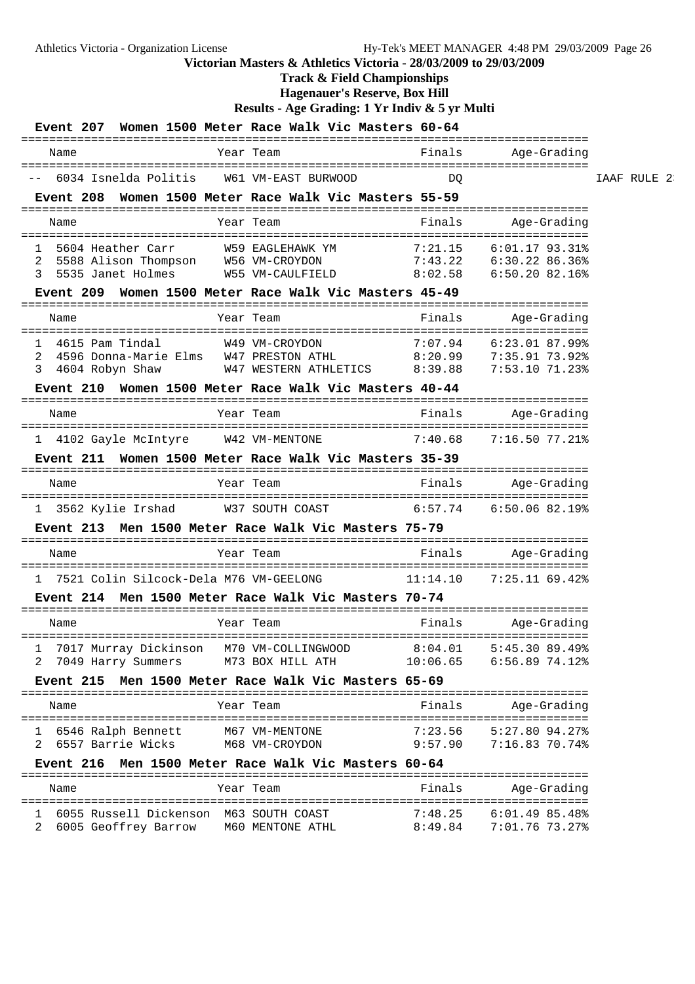## **Track & Field Championships**

**Hagenauer's Reserve, Box Hill**

|             |                                                                                                               |                                                |               |                                        |                     | Women 1500 Meter Race Walk Vic Masters 60-64                                                    | <b>Event 207</b>                   |             |
|-------------|---------------------------------------------------------------------------------------------------------------|------------------------------------------------|---------------|----------------------------------------|---------------------|-------------------------------------------------------------------------------------------------|------------------------------------|-------------|
|             | Age-Grading                                                                                                   | Finals                                         | ============= | Year Team                              |                     |                                                                                                 | Name                               |             |
| IAAF RULE 2 |                                                                                                               | DQ                                             |               |                                        | W61 VM-EAST BURWOOD | 6034 Isnelda Politis                                                                            |                                    |             |
|             |                                                                                                               |                                                |               |                                        |                     | Women 1500 Meter Race Walk Vic Masters 55-59                                                    | Event 208                          |             |
|             | Age-Grading                                                                                                   | Finals                                         |               | Year Team                              |                     |                                                                                                 | Name                               |             |
|             | $6:01.17$ 93.31%<br>$6:30.22$ 86.36%<br>6:50.20 82.16%                                                        | 7:21.15<br>7:43.22<br>W55 VM-CAULFIELD 8:02.58 |               | W59 EAGLEHAWK YM                       |                     | 5604 Heather Carr<br>5588 Alison Thompson W56 VM-CROYDON<br>5535 Janet Holmes                   |                                    | ı<br>2<br>3 |
|             |                                                                                                               |                                                |               |                                        |                     | Event 209 Women 1500 Meter Race Walk Vic Masters 45-49                                          |                                    |             |
|             | Age-Grading                                                                                                   | Finals                                         |               | Year Team                              |                     |                                                                                                 | Name                               |             |
|             | ==============<br>WAS VM-CROYDON<br>WAS PRESTON ATHL 23.92%<br>WAS PRESTON ATHL 23.92% 8:39.88 7:53.10 71.23% |                                                |               |                                        |                     | 4596 Donna-Marie Elms<br>Event 210 Women 1500 Meter Race Walk Vic Masters 40-44                 | 4615 Pam Tindal<br>4604 Robyn Shaw | ı<br>2<br>3 |
|             | Age-Grading                                                                                                   | Finals                                         |               | Year Team                              |                     |                                                                                                 | Name                               |             |
|             | 7:16.50 77.21%                                                                                                | 7:40.68                                        |               |                                        |                     | 1 4102 Gayle McIntyre W42 VM-MENTONE                                                            |                                    |             |
|             |                                                                                                               |                                                |               |                                        |                     | Event 211 Women 1500 Meter Race Walk Vic Masters 35-39                                          |                                    |             |
|             | Age-Grading                                                                                                   | Finals                                         |               | Year Team                              |                     |                                                                                                 | Name                               |             |
|             | 1 3562 Kylie Irshad M37 SOUTH COAST 6:57.74 6:50.06 82.19%                                                    |                                                |               |                                        |                     |                                                                                                 |                                    |             |
|             |                                                                                                               | ===============                                |               |                                        | ============        | Event 213  Men 1500 Meter Race Walk Vic Masters 75-79                                           |                                    |             |
|             | Age-Grading                                                                                                   | Finals                                         |               | Year Team                              |                     |                                                                                                 | Name                               |             |
|             | 7:25.11 69.42%                                                                                                | 11:14.10                                       |               |                                        |                     | 7521 Colin Silcock-Dela M76 VM-GEELONG<br>Event 214  Men 1500 Meter Race Walk Vic Masters 70-74 |                                    |             |
|             |                                                                                                               |                                                |               |                                        |                     |                                                                                                 |                                    |             |
|             | Age-Grading                                                                                                   | Finals                                         |               | Year Team                              |                     |                                                                                                 | Name                               |             |
|             | 5:45.30 89.49%<br>6:56.8974.12                                                                                | 8:04.01<br>10:06.65                            |               | M70 VM-COLLINGWOOD<br>M73 BOX HILL ATH |                     | 7017 Murray Dickinson<br>7049 Harry Summers                                                     |                                    | ı           |
|             |                                                                                                               |                                                |               |                                        |                     | Event 215 Men 1500 Meter Race Walk Vic Masters 65-69                                            |                                    |             |
|             | Age-Grading                                                                                                   | Finals                                         |               | Year Team                              |                     |                                                                                                 | Name                               |             |
|             | $5:27.80$ 94.27%<br>7:16.83 70.74%                                                                            | 7:23.56<br>9:57.90                             |               | M67 VM-MENTONE<br>M68 VM-CROYDON       |                     | 6546 Ralph Bennett<br>6557 Barrie Wicks                                                         |                                    | ı<br>2      |
|             |                                                                                                               |                                                |               |                                        |                     | Event 216 Men 1500 Meter Race Walk Vic Masters 60-64                                            |                                    |             |
|             | Age-Grading                                                                                                   | Finals                                         |               | Year Team                              |                     |                                                                                                 | Name                               |             |
|             | $6:01.49$ 85.48%<br>7:01.76 73.27%                                                                            | 7:48.25<br>8:49.84                             |               | M60 MENTONE ATHL                       |                     | 6055 Russell Dickenson M63 SOUTH COAST<br>6005 Geoffrey Barrow                                  |                                    |             |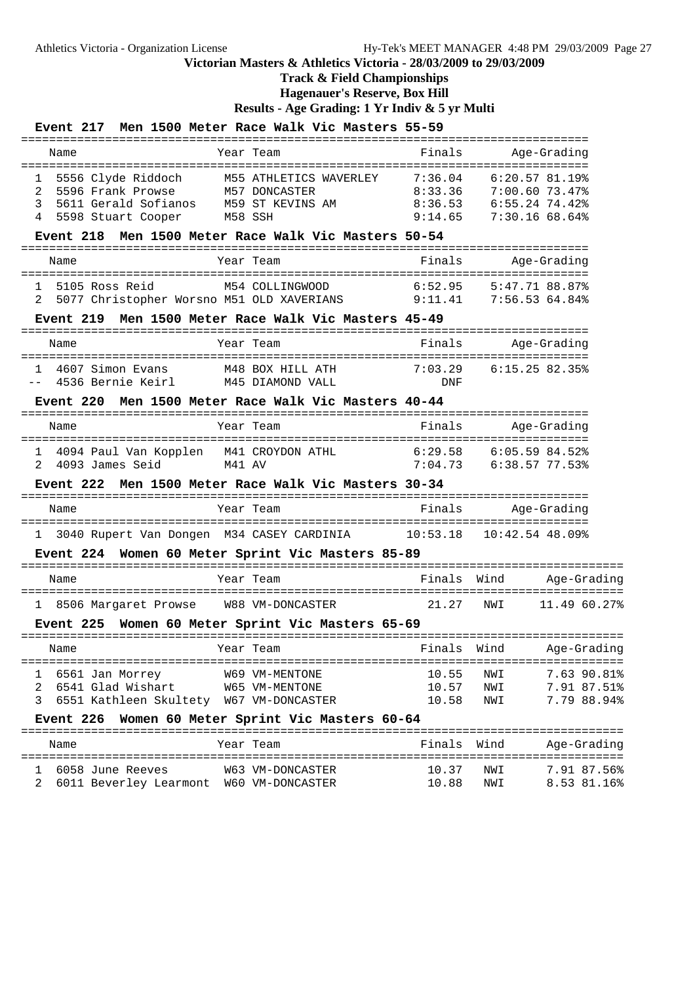**Track & Field Championships**

**Hagenauer's Reserve, Box Hill**

|                              |                  |                            |           | Event 217 Men 1500 Meter Race Walk Vic Masters 55-59                                                                                                                                                                                             |                         |                   |                                                                  |
|------------------------------|------------------|----------------------------|-----------|--------------------------------------------------------------------------------------------------------------------------------------------------------------------------------------------------------------------------------------------------|-------------------------|-------------------|------------------------------------------------------------------|
|                              | Name             |                            | Year Team |                                                                                                                                                                                                                                                  | Finals                  |                   | Age-Grading                                                      |
| 1<br>$\mathcal{L}$<br>3<br>4 |                  | 5598 Stuart Cooper M58 SSH |           | 5556 Clyde Riddoch         M55 ATHLETICS WAVERLEY       7:36.04       6:20.57 81.19%<br>5596 Frank Prowse         M57 DONCASTER                     8:33.36       7:00.60 73.47%<br>5611 Gerald Sofianos M59 ST KEVINS AM 8:36.53 6:55.24 74.42% |                         |                   | $8:33.36$ $7:00.60$ $73.47%$<br>$9:14.65$ $7:30.16$ 68.64%       |
|                              |                  |                            |           | Event 218 Men 1500 Meter Race Walk Vic Masters 50-54                                                                                                                                                                                             |                         |                   |                                                                  |
|                              | Name             |                            |           | Year Team                                                                                                                                                                                                                                        | Finals                  |                   | Age-Grading                                                      |
| 2                            | 5105 Ross Reid   |                            |           | M54 COLLINGWOOD<br>5077 Christopher Worsno M51 OLD XAVERIANS 9:11.41 7:56.53 64.84%                                                                                                                                                              | 6:52.95                 |                   | 5:47.71 88.87%                                                   |
|                              |                  |                            |           | Event 219 Men 1500 Meter Race Walk Vic Masters 45-49                                                                                                                                                                                             |                         |                   |                                                                  |
|                              | Name             |                            |           | Year Team                                                                                                                                                                                                                                        | Finals                  |                   | Age-Grading                                                      |
|                              |                  | 1 4607 Simon Evans         |           | M48 BOX HILL ATH 7:03.29<br>-- 4536 Bernie Keirl M45 DIAMOND VALL                                                                                                                                                                                | DNF                     |                   | 6:15.25 82.35%                                                   |
|                              |                  |                            |           | Event 220 Men 1500 Meter Race Walk Vic Masters 40-44                                                                                                                                                                                             |                         |                   |                                                                  |
|                              | Name             |                            |           | Year Team                                                                                                                                                                                                                                        | Finals                  |                   | Age-Grading                                                      |
|                              |                  |                            |           |                                                                                                                                                                                                                                                  |                         |                   |                                                                  |
|                              |                  |                            |           | Event 222 Men 1500 Meter Race Walk Vic Masters 30-34                                                                                                                                                                                             |                         |                   |                                                                  |
|                              | Name             |                            |           | Year Team                                                                                                                                                                                                                                        | Finals                  |                   | Age-Gradinq                                                      |
|                              |                  |                            |           | 1 3040 Rupert Van Dongen M34 CASEY CARDINIA 10:53.18 10:42.54 48.09%                                                                                                                                                                             |                         |                   |                                                                  |
|                              |                  |                            |           | Event 224 Women 60 Meter Sprint Vic Masters 85-89                                                                                                                                                                                                |                         |                   |                                                                  |
|                              | Name             |                            |           | Year Team                                                                                                                                                                                                                                        | Finals                  | Wind              | Age-Gradinq                                                      |
|                              |                  |                            |           | 1 8506 Margaret Prowse W88 VM-DONCASTER                                                                                                                                                                                                          | 21.27                   | NWI               | 11.49 60.27%                                                     |
|                              |                  |                            |           | Event 225 Women 60 Meter Sprint Vic Masters 65-69                                                                                                                                                                                                |                         |                   |                                                                  |
|                              | Name             |                            | Year Team |                                                                                                                                                                                                                                                  | Finals                  | Wind              | Age-Grading                                                      |
| 1<br>2<br>3                  | 6561 Jan Morrey  | 6541 Glad Wishart          |           | W69 VM-MENTONE<br>W65 VM-MENTONE<br>6551 Kathleen Skultety W67 VM-DONCASTER                                                                                                                                                                      | 10.55<br>10.57<br>10.58 | NWI<br>NWI<br>NWI | ===================<br>7.63 90.81%<br>7.91 87.51%<br>7.79 88.94% |
|                              | <b>Event 226</b> |                            |           | Women 60 Meter Sprint Vic Masters 60-64                                                                                                                                                                                                          |                         |                   |                                                                  |
|                              | Name             |                            |           | Year Team                                                                                                                                                                                                                                        | Finals                  | Wind              | Age-Grading                                                      |
| ı<br>2                       |                  | 6058 June Reeves           |           | W63 VM-DONCASTER<br>6011 Beverley Learmont W60 VM-DONCASTER                                                                                                                                                                                      | 10.37<br>10.88          | NWI<br>NWI        | 7.91 87.56%<br>8.53 81.16%                                       |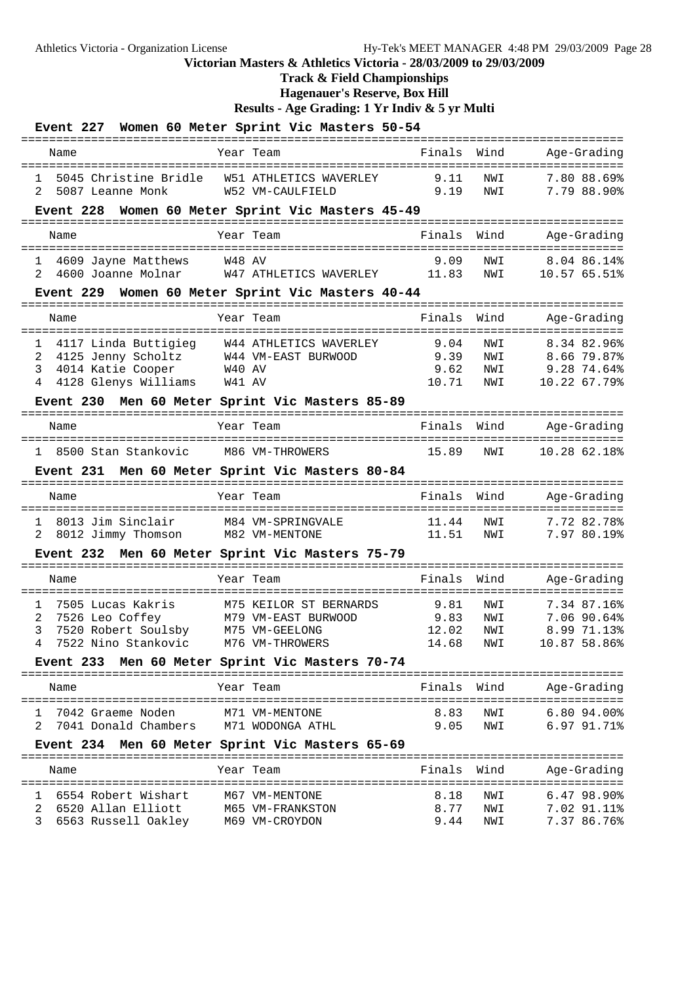# **Track & Field Championships**

**Hagenauer's Reserve, Box Hill**

|              | Event 227 Women 60 Meter Sprint Vic Masters 50-54 |                                        |                  |           |                   |                        |  |               |            |                             |  |
|--------------|---------------------------------------------------|----------------------------------------|------------------|-----------|-------------------|------------------------|--|---------------|------------|-----------------------------|--|
|              | Name                                              |                                        |                  | Year Team |                   |                        |  | Finals        | Wind       | Age-Grading                 |  |
| 1.           |                                                   | 5045 Christine Bridle                  |                  |           |                   | W51 ATHLETICS WAVERLEY |  | 9.11          | NWI        | 7.80 88.69%                 |  |
| 2            |                                                   | 5087 Leanne Monk                       |                  |           | W52 VM-CAULFIELD  |                        |  | 9.19          | NWI        | 7.79 88.90%                 |  |
|              | Event 228 Women 60 Meter Sprint Vic Masters 45-49 |                                        |                  |           |                   |                        |  |               |            |                             |  |
|              | Name                                              |                                        |                  | Year Team |                   |                        |  | Finals        | Wind       | Age-Grading                 |  |
| 1            | 4609 Jayne Matthews                               |                                        |                  | W48 AV    |                   |                        |  | 9.09          | NWI        | 8.04 86.14%                 |  |
| 2            | 4600 Joanne Molnar W47 ATHLETICS WAVERLEY         |                                        |                  |           |                   |                        |  | 11.83         | NWI        | 10.57 65.51%                |  |
|              | Event 229 Women 60 Meter Sprint Vic Masters 40-44 |                                        |                  |           |                   |                        |  |               |            |                             |  |
|              |                                                   |                                        |                  |           |                   |                        |  |               |            |                             |  |
|              | Name                                              |                                        |                  | Year Team |                   |                        |  | Finals        | Wind       | Age-Grading                 |  |
| 1            | 4117 Linda Buttigieg W44 ATHLETICS WAVERLEY       |                                        |                  |           |                   |                        |  | 9.04          | NWI        | 8.34 82.96%                 |  |
| 2            | 4125 Jenny Scholtz W44 VM-EAST BURWOOD            |                                        |                  |           |                   |                        |  | 9.39          | NWI        | 8.66 79.87%                 |  |
| 3            |                                                   | 4014 Katie Cooper                      | $W40$ AV         |           |                   |                        |  | 9.62          | NWI        | 9.2874.64%                  |  |
| 4            |                                                   | 4128 Glenys Williams                   | W41 AV           |           |                   |                        |  | 10.71         | NWI        | 10.22 67.79%                |  |
|              | Event 230 Men 60 Meter Sprint Vic Masters 85-89   |                                        |                  |           |                   |                        |  |               |            |                             |  |
|              | Name                                              |                                        |                  | Year Team |                   |                        |  | Finals        | Wind       | Age-Grading                 |  |
|              | 1 8500 Stan Stankovic                             |                                        | M86 VM-THROWERS  |           |                   |                        |  | 15.89         | NWI        | 10.28 62.18%                |  |
|              | Event 231 Men 60 Meter Sprint Vic Masters 80-84   |                                        |                  |           |                   |                        |  |               |            |                             |  |
|              | Name                                              |                                        |                  | Year Team |                   |                        |  | Finals        | Wind       | Age-Grading                 |  |
| ı.           |                                                   | 8013 Jim Sinclair                      |                  |           | M84 VM-SPRINGVALE |                        |  | 11.44         | NWI        | 7.72 82.78%                 |  |
|              | 8012 Jimmy Thomson                                |                                        | M82 VM-MENTONE   |           |                   |                        |  | 11.51         | NWI        | 7.97 80.19%                 |  |
|              | Event 232 Men 60 Meter Sprint Vic Masters 75-79   |                                        |                  |           |                   |                        |  |               |            |                             |  |
|              | Name                                              |                                        |                  | Year Team |                   |                        |  | Finals        | Wind       | Age-Grading                 |  |
|              |                                                   |                                        |                  |           |                   |                        |  |               |            |                             |  |
| $\mathbf{1}$ | 7505 Lucas Kakris                                 |                                        |                  |           |                   | M75 KEILOR ST BERNARDS |  | 9.81          | NWI        | 7.34 87.16%                 |  |
| 2<br>3       |                                                   | 7526 Leo Coffey<br>7520 Robert Soulsby | M75 VM-GEELONG   |           |                   | M79 VM-EAST BURWOOD    |  | 9.83<br>12.02 | NWI<br>NWI | 7.06 90.64%<br>8.99 71.13%  |  |
| 4            |                                                   | 7522 Nino Stankovic M76 VM-THROWERS    |                  |           |                   |                        |  | 14.68         | NWI        | 10.87 58.86%                |  |
|              | Event 233 Men 60 Meter Sprint Vic Masters 70-74   |                                        |                  |           |                   |                        |  |               |            |                             |  |
|              | Name                                              |                                        |                  | Year Team |                   |                        |  | Finals Wind   |            | Age-Grading                 |  |
|              |                                                   |                                        |                  |           |                   |                        |  |               |            |                             |  |
| ı.           |                                                   | 7042 Graeme Noden                      |                  |           | M71 VM-MENTONE    |                        |  | 8.83          | NWI        | $6.80$ $94.00$ <sup>§</sup> |  |
| 2            | 7041 Donald Chambers M71 WODONGA ATHL             |                                        |                  |           |                   |                        |  | 9.05          | NWI        | $6.97\,91.71\%$             |  |
|              | Event 234 Men 60 Meter Sprint Vic Masters 65-69   |                                        |                  |           |                   |                        |  |               |            |                             |  |
|              |                                                   |                                        |                  |           |                   |                        |  |               |            |                             |  |
|              | Name                                              |                                        |                  | Year Team |                   |                        |  | Finals        | Wind       | Age-Grading                 |  |
|              |                                                   | 6554 Robert Wishart                    |                  |           | M67 VM-MENTONE    |                        |  | 8.18          | NWI        | $6.47$ 98.90%               |  |
| 2            | 6520 Allan Elliott                                |                                        | M65 VM-FRANKSTON |           |                   |                        |  | 8.77          | NWI        | 7.02 91.11%                 |  |
| 3            |                                                   | 6563 Russell Oakley                    |                  |           | M69 VM-CROYDON    |                        |  | 9.44          | NWI        | 7.37 86.76%                 |  |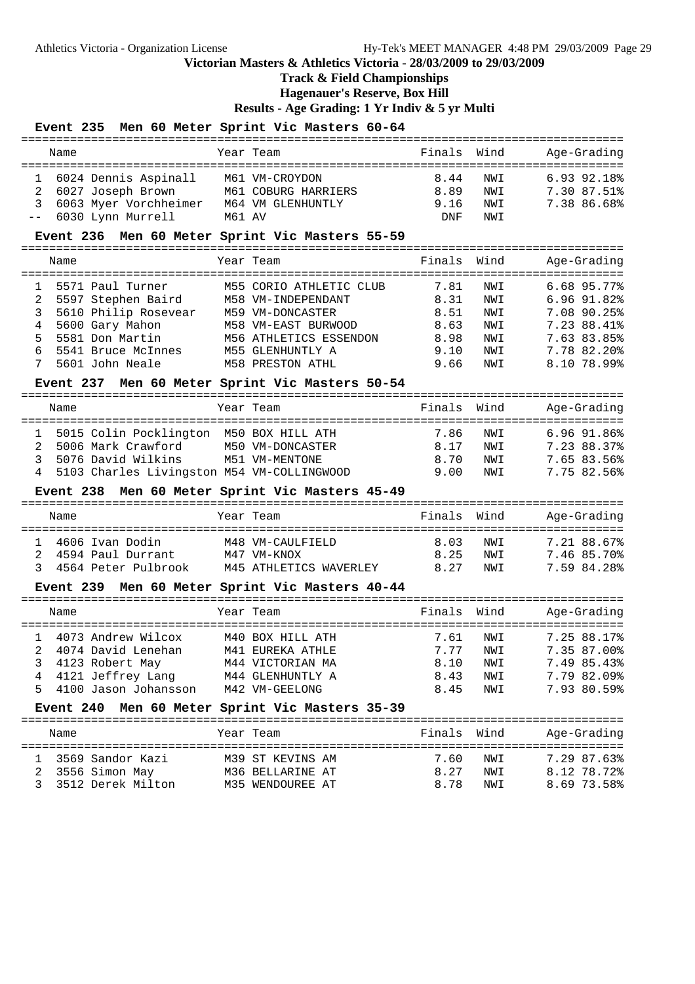**Track & Field Championships**

**Hagenauer's Reserve, Box Hill**

**Results - Age Grading: 1 Yr Indiv & 5 yr Multi**

|                                 | Event 235 Men 60 Meter Sprint Vic Masters 60-64                                                                                                                                      |        |                                                                                                                                                            |                                                      |                                               |                                                                                                       |
|---------------------------------|--------------------------------------------------------------------------------------------------------------------------------------------------------------------------------------|--------|------------------------------------------------------------------------------------------------------------------------------------------------------------|------------------------------------------------------|-----------------------------------------------|-------------------------------------------------------------------------------------------------------|
|                                 | Name                                                                                                                                                                                 |        | Year Team                                                                                                                                                  | Finals                                               | Wind                                          | Age-Grading                                                                                           |
| 1<br>2<br>3                     | 6024 Dennis Aspinall<br>6027 Joseph Brown<br>6063 Myer Vorchheimer<br>6030 Lynn Murrell                                                                                              | M61 AV | M61 VM-CROYDON<br>M61 COBURG HARRIERS<br>M64 VM GLENHUNTLY                                                                                                 | 8.44<br>8.89<br>9.16<br><b>DNF</b>                   | NWI<br>NWI<br>NWI<br>NWI                      | 6.93 92.18%<br>7.30 87.51%<br>7.38 86.68%                                                             |
|                                 | Event 236 Men 60 Meter Sprint Vic Masters 55-59<br>_____________________________________                                                                                             |        |                                                                                                                                                            |                                                      |                                               |                                                                                                       |
|                                 | Name                                                                                                                                                                                 |        | Year Team                                                                                                                                                  | Finals                                               | Wind                                          | Age-Grading                                                                                           |
| 1<br>2<br>3<br>4<br>5<br>6<br>7 | 5571 Paul Turner<br>5597 Stephen Baird<br>5610 Philip Rosevear<br>5600 Gary Mahon<br>5581 Don Martin<br>5541 Bruce McInnes<br>5601 John Neale                                        |        | M55 CORIO ATHLETIC CLUB<br>M58 VM-INDEPENDANT<br>M59 VM-DONCASTER<br>M58 VM-EAST BURWOOD<br>M56 ATHLETICS ESSENDON<br>M55 GLENHUNTLY A<br>M58 PRESTON ATHL | 7.81<br>8.31<br>8.51<br>8.63<br>8.98<br>9.10<br>9.66 | NWI<br>NWI<br>NWI<br>NWI<br>NWI<br>NWI<br>NWI | 6.68 95.77%<br>6.96 91.82%<br>7.08 90.25%<br>7.23 88.41%<br>7.63 83.85%<br>7.78 82.20%<br>8.10 78.99% |
|                                 | Event 237 Men 60 Meter Sprint Vic Masters 50-54                                                                                                                                      |        |                                                                                                                                                            |                                                      |                                               |                                                                                                       |
|                                 | Name                                                                                                                                                                                 |        | Year Team                                                                                                                                                  | Finals                                               | Wind                                          | Age-Grading                                                                                           |
| $\mathbf{1}$<br>2<br>3<br>4     | 5015 Colin Pocklington M50 BOX HILL ATH<br>5006 Mark Crawford<br>5076 David Wilkins<br>5103 Charles Livingston M54 VM-COLLINGWOOD<br>Event 238 Men 60 Meter Sprint Vic Masters 45-49 |        | M50 VM-DONCASTER<br>M51 VM-MENTONE                                                                                                                         | 7.86<br>8.17<br>8.70<br>9.00                         | NWI<br>NWI<br>NWI<br>NWI                      | $6.96$ $91.86$ <sup>2</sup><br>7.23 88.37%<br>7.65 83.56%<br>7.75 82.56%                              |
|                                 |                                                                                                                                                                                      |        |                                                                                                                                                            |                                                      |                                               |                                                                                                       |
|                                 | Name                                                                                                                                                                                 |        | Year Team                                                                                                                                                  | Finals                                               | Wind                                          | Age-Grading                                                                                           |
| $\mathbf{1}$<br>2<br>3          | 4606 Ivan Dodin<br>4594 Paul Durrant<br>4564 Peter Pulbrook                                                                                                                          |        | M48 VM-CAULFIELD<br>M47 VM-KNOX<br>M45 ATHLETICS WAVERLEY                                                                                                  | 8.03<br>8.25<br>8.27                                 | NWI<br>NWI<br>NWI                             | 7.21 88.67%<br>7.46 85.70%<br>7.59 84.28%                                                             |
|                                 | <b>Event 239</b><br>_____________________________________                                                                                                                            |        | Men 60 Meter Sprint Vic Masters 40-44                                                                                                                      |                                                      |                                               |                                                                                                       |
|                                 | Name                                                                                                                                                                                 |        | Year Team                                                                                                                                                  | Finals                                               | Wind                                          | Age-Grading                                                                                           |
| 1<br>2<br>3<br>4<br>5           | 4073 Andrew Wilcox<br>4074 David Lenehan<br>4123 Robert May<br>4121 Jeffrey Lang<br>4100 Jason Johansson                                                                             |        | M40 BOX HILL ATH<br>M41 EUREKA ATHLE<br>M44 VICTORIAN MA<br>M44 GLENHUNTLY A<br>M42 VM-GEELONG                                                             | 7.61<br>7.77<br>8.10<br>8.43<br>8.45                 | NWI<br>NWI<br>NWI<br>NWI<br>NWI               | 7.25 88.17%<br>7.35 87.00%<br>7.49 85.43%<br>7.79 82.09%<br>7.93 80.59%                               |

#### **Event 240 Men 60 Meter Sprint Vic Masters 35-39**

| Name                                                          | Year Team                                                | Finals Wind                                 | Age-Grading                               |
|---------------------------------------------------------------|----------------------------------------------------------|---------------------------------------------|-------------------------------------------|
| 1 3569 Sandor Kazi<br>2 3556 Simon May<br>3 3512 Derek Milton | M39 ST KEVINS AM<br>M36 BELLARINE AT<br>M35 WENDOUREE AT | 7.60<br>NW T<br>8.27<br>NW T<br>878<br>NW T | 7.29 87.63%<br>8.12 78.72%<br>8.69 73.58% |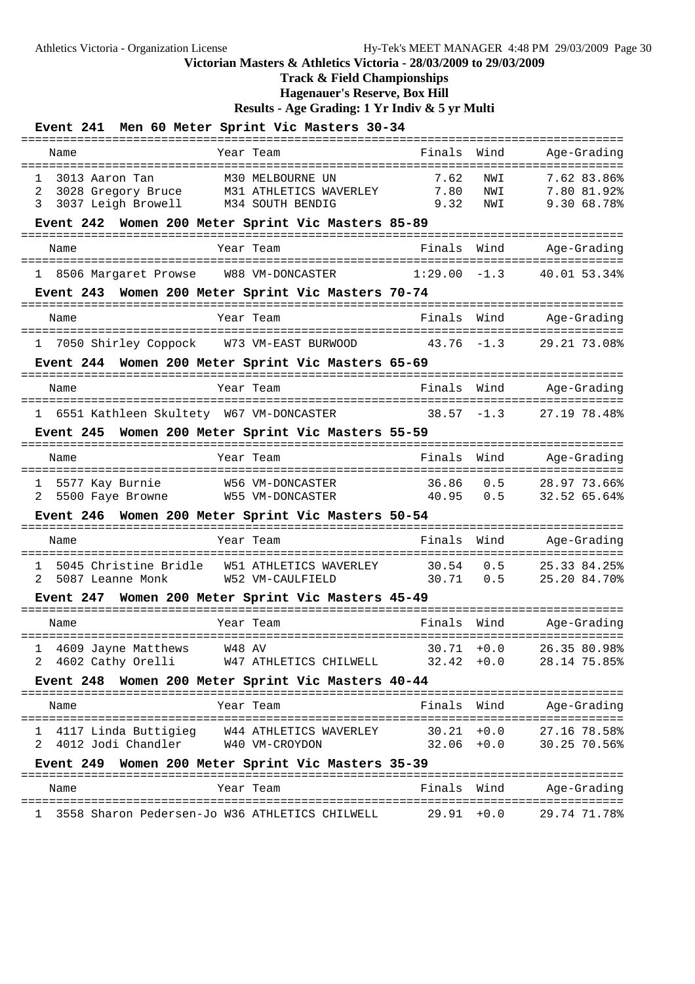### **Track & Field Championships**

**Hagenauer's Reserve, Box Hill**

| Event 241 Men 60 Meter Sprint Vic Masters 30-34                                                                                                     |                      |                                |                                                              |
|-----------------------------------------------------------------------------------------------------------------------------------------------------|----------------------|--------------------------------|--------------------------------------------------------------|
| Name<br>Year Team                                                                                                                                   | Finals               | Wind                           | Age-Grading                                                  |
| M30 MELBOURNE UN<br>$\mathbf{1}$<br>3013 Aaron Tan<br>3028 Gregory Bruce M31 ATHLETICS WAVERLEY<br>2<br>3037 Leigh Browell<br>M34 SOUTH BENDIG<br>3 | 7.62<br>7.80<br>9.32 | NWI<br>NWI<br>NWI              | :==============<br>7.62 83.86%<br>7.80 81.92%<br>9.30 68.78% |
| Women 200 Meter Sprint Vic Masters 85-89<br><b>Event 242</b><br>=================                                                                   |                      |                                | ==============================                               |
| Year Team<br>Name                                                                                                                                   | Finals               | Wind                           | Age-Grading                                                  |
| 1 8506 Margaret Prowse W88 VM-DONCASTER                                                                                                             | 1:29.00              | $-1.3$                         | 40.01 53.34%                                                 |
| Event 243 Women 200 Meter Sprint Vic Masters 70-74                                                                                                  |                      | :==========                    |                                                              |
| Year Team<br>Name                                                                                                                                   | Finals               | Wind                           | Age-Grading                                                  |
| ====================================<br>-------------<br>7050 Shirley Coppock W73 VM-EAST BURWOOD<br>ı.                                             | 43.76                | $-1.3$                         | 29.21 73.08%                                                 |
| Event 244 Women 200 Meter Sprint Vic Masters 65-69                                                                                                  |                      | :==========                    |                                                              |
| Name<br>Year Team                                                                                                                                   | Finals               | Wind                           | Age-Grading                                                  |
| 1 6551 Kathleen Skultety W67 VM-DONCASTER                                                                                                           | 38.57                | $-1.3$                         | 27.19 78.48%                                                 |
| Event 245 Women 200 Meter Sprint Vic Masters 55-59                                                                                                  |                      | ===========                    |                                                              |
| Year Team<br>Name                                                                                                                                   | Finals               | Wind                           | Age-Grading                                                  |
| 5577 Kay Burnie<br>W56 VM-DONCASTER<br>1<br>5500 Faye Browne<br>W55 VM-DONCASTER<br>2                                                               | 36.86<br>40.95       | 0.5<br>0.5                     | 28.97 73.66%<br>32.52 65.64%                                 |
| Women 200 Meter Sprint Vic Masters 50-54<br><b>Event 246</b>                                                                                        |                      |                                |                                                              |
| Name<br>Year Team                                                                                                                                   | Finals               | Wind                           | Age-Grading                                                  |
| 5045 Christine Bridle<br>W51 ATHLETICS WAVERLEY<br>$\mathbf{1}$<br>W52 VM-CAULFIELD<br>2.<br>5087 Leanne Monk                                       | 30.54<br>30.71       | 0.5<br>0.5                     | 25.33 84.25%<br>25.20 84.70%                                 |
| Event 247 Women 200 Meter Sprint Vic Masters 45-49                                                                                                  |                      |                                |                                                              |
| Year Team<br>Name                                                                                                                                   | Finals               | Wind                           | Age-Grading                                                  |
| 4609 Jayne Matthews<br>W48 AV<br>1<br>4602 Cathy Orelli<br>W47 ATHLETICS CHILWELL<br>2                                                              |                      | $30.71 + 0.0$<br>$32.42 + 0.0$ | 26.35 80.98%<br>28.14 75.85%                                 |
| Event 248 Women 200 Meter Sprint Vic Masters 40-44                                                                                                  |                      |                                |                                                              |
| Year Team<br>Name                                                                                                                                   | Finals Wind          |                                | Age-Grading                                                  |
| 4117 Linda Buttigieg W44 ATHLETICS WAVERLEY<br>1                                                                                                    | $30.21 + 0.0$        |                                | 27.16 78.58%                                                 |
| 2 4012 Jodi Chandler<br>W40 VM-CROYDON                                                                                                              | $32.06 + 0.0$        |                                | 30.25 70.56%                                                 |
| Event 249 Women 200 Meter Sprint Vic Masters 35-39                                                                                                  |                      |                                |                                                              |
| Year Team<br>Name                                                                                                                                   | Finals               | Wind                           | Age-Grading                                                  |
| 3558 Sharon Pedersen-Jo W36 ATHLETICS CHILWELL<br>ı.                                                                                                | $29.91 + 0.0$        |                                | 29.74 71.78%                                                 |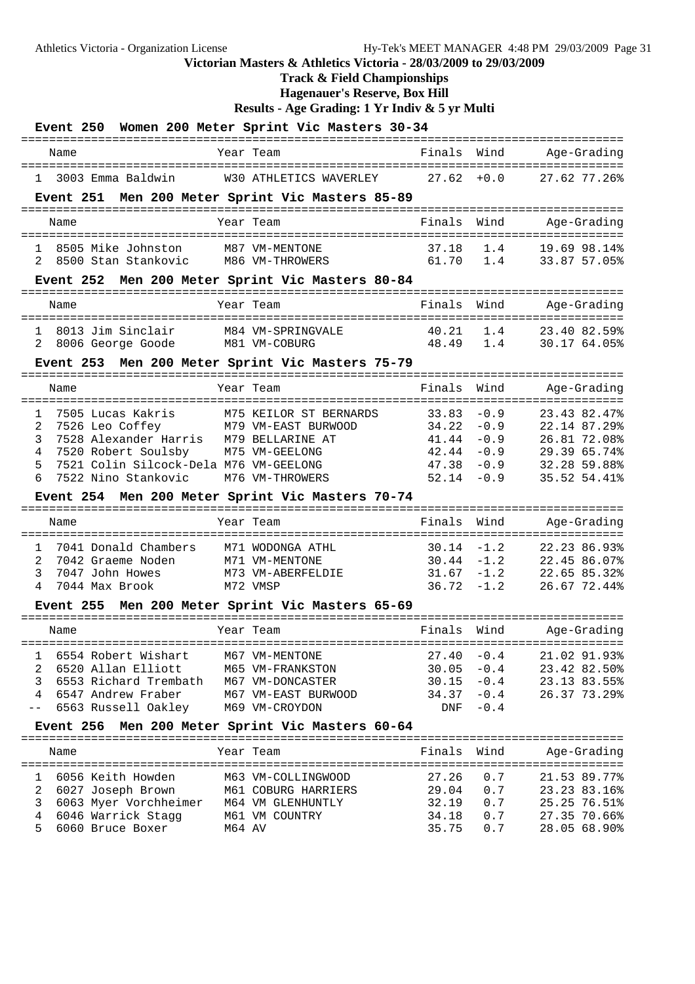## **Track & Field Championships**

**Hagenauer's Reserve, Box Hill**

| Event 250 Women 200 Meter Sprint Vic Masters 30-34                                     |          |                        |                |                  |                                                       |  |
|----------------------------------------------------------------------------------------|----------|------------------------|----------------|------------------|-------------------------------------------------------|--|
| Name                                                                                   |          | Year Team              | Finals         | Wind             | Age-Grading                                           |  |
| 3003 Emma Baldwin                                                                      |          | W30 ATHLETICS WAVERLEY | 27.62          | $+0.0$           | 27.62 77.26%                                          |  |
| Event 251 Men 200 Meter Sprint Vic Masters 85-89                                       |          |                        |                |                  |                                                       |  |
| Name                                                                                   |          | Year Team              | Finals         | Wind             | Age-Grading                                           |  |
| 8505 Mike Johnston<br>1                                                                |          | M87 VM-MENTONE         | 37.18          | 1.4              | 19.69 98.14%                                          |  |
| 8500 Stan Stankovic<br>2                                                               |          | M86 VM-THROWERS        | 61.70          | 1.4              | 33.87 57.05%                                          |  |
| Event 252 Men 200 Meter Sprint Vic Masters 80-84                                       |          |                        |                |                  |                                                       |  |
| Name                                                                                   |          | Year Team              | Finals         | Wind             | Age-Grading                                           |  |
| 8013 Jim Sinclair<br>1.                                                                |          | M84 VM-SPRINGVALE      | 40.21          | 1.4              | 23.40 82.59%                                          |  |
| 8006 George Goode<br>2                                                                 |          | M81 VM-COBURG          | 48.49 1.4      |                  | 30.17 64.05%                                          |  |
| Event 253 Men 200 Meter Sprint Vic Masters 75-79                                       |          |                        |                |                  |                                                       |  |
| Name                                                                                   |          | Year Team              | Finals Wind    |                  | Age-Grading                                           |  |
| 7505 Lucas Kakris<br>$\mathbf{1}$                                                      |          | M75 KEILOR ST BERNARDS | 33.83          | $-0.9$           | 23.43 82.47%                                          |  |
| 2<br>7526 Leo Coffey                                                                   |          | M79 VM-EAST BURWOOD    | 34.22          | $-0.9$           | 22.14 87.29%                                          |  |
| 3<br>7528 Alexander Harris M79 BELLARINE AT                                            |          |                        | 41.44          | $-0.9$           | 26.81 72.08%<br>29.39 65.74%                          |  |
| 4<br>7520 Robert Soulsby M75 VM-GEELONG<br>5<br>7521 Colin Silcock-Dela M76 VM-GEELONG |          |                        | 42.44<br>47.38 | $-0.9$<br>$-0.9$ | 32.28 59.88%                                          |  |
| 6<br>7522 Nino Stankovic M76 VM-THROWERS                                               |          |                        | $52.14 - 0.9$  |                  | 35.52 54.41%                                          |  |
| Event 254 Men 200 Meter Sprint Vic Masters 70-74                                       |          |                        |                |                  |                                                       |  |
| ====================================<br>Name                                           |          | Year Team              | Finals         | Wind             | Age-Grading                                           |  |
| -----------------------<br>$\mathbf{1}$<br>7041 Donald Chambers                        |          | M71 WODONGA ATHL       |                | $30.14 - 1.2$    | =====================================<br>22.23 86.93% |  |
| 2<br>7042 Graeme Noden                                                                 |          | M71 VM-MENTONE         |                | $30.44 - 1.2$    | 22.45 86.07%                                          |  |
| 3<br>7047 John Howes                                                                   |          | M73 VM-ABERFELDIE      | $31.67 - 1.2$  |                  | 22.65 85.32%                                          |  |
| 4<br>7044 Max Brook                                                                    | M72 VMSP |                        | $36.72 - 1.2$  |                  | 26.67 72.44%                                          |  |
| Event 255 Men 200 Meter Sprint Vic Masters 65-69<br>=======================            |          |                        |                |                  |                                                       |  |
| Name                                                                                   |          | Year Team              | Finals         | Wind             | Age-Grading                                           |  |
| 6554 Robert Wishart<br>1                                                               |          | M67 VM-MENTONE         | 27.40          | $-0.4$           | 21.02 91.93%                                          |  |
| $\overline{a}$<br>6520 Allan Elliott                                                   |          | M65 VM-FRANKSTON       | 30.05          | $-0.4$           | 23.42 82.50%                                          |  |
| 3<br>6553 Richard Trembath                                                             |          | M67 VM-DONCASTER       | 30.15          | $-0.4$           | 23.13 83.55%                                          |  |
| 6547 Andrew Fraber<br>4                                                                |          | M67 VM-EAST BURWOOD    | 34.37          | $-0.4$           | 26.37 73.29%                                          |  |
| 6563 Russell Oakley<br>$ -$                                                            |          | M69 VM-CROYDON         | DNF            | $-0.4$           |                                                       |  |
| Event 256 Men 200 Meter Sprint Vic Masters 60-64                                       |          |                        |                |                  |                                                       |  |
| Name                                                                                   |          | Year Team              | Finals Wind    |                  | Age-Grading                                           |  |
| 6056 Keith Howden<br>1                                                                 |          | M63 VM-COLLINGWOOD     | 27.26          | 0.7              | 21.53 89.77%                                          |  |
| 2<br>6027 Joseph Brown                                                                 |          | M61 COBURG HARRIERS    | 29.04          | 0.7              | 23.23 83.16%                                          |  |
| 3<br>6063 Myer Vorchheimer M64 VM GLENHUNTLY                                           |          |                        | 32.19          | 0.7              | 25.25 76.51%                                          |  |
| 4<br>6046 Warrick Stagg                                                                |          | M61 VM COUNTRY         | 34.18          | 0.7              | 27.35 70.66%                                          |  |
| 5<br>6060 Bruce Boxer                                                                  | M64 AV   |                        | 35.75          | 0.7              | 28.05 68.90%                                          |  |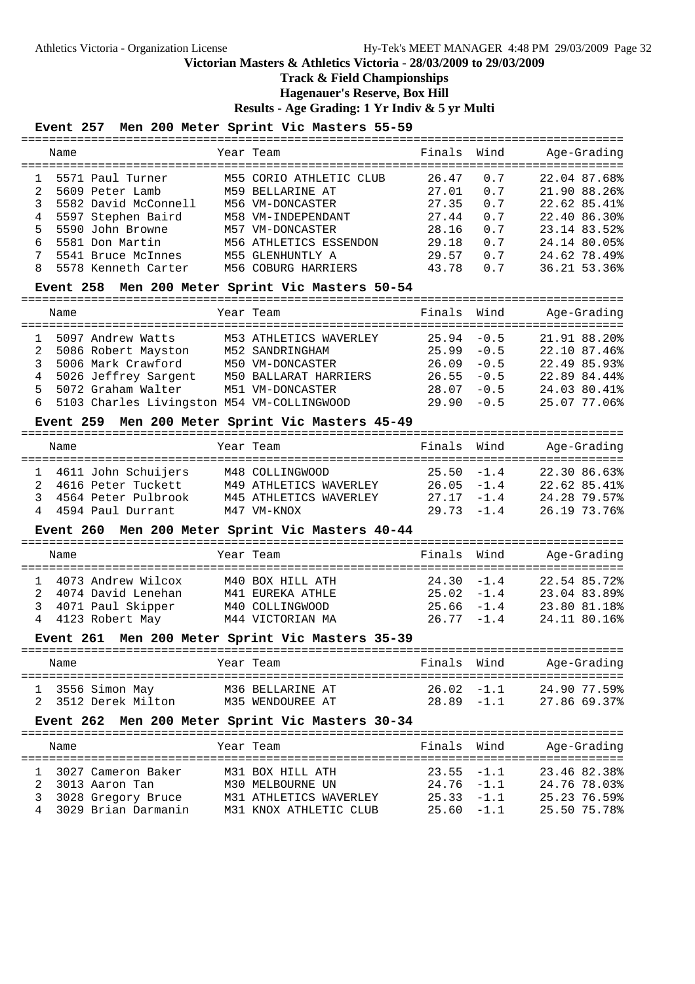### **Track & Field Championships**

**Hagenauer's Reserve, Box Hill**

**Results - Age Grading: 1 Yr Indiv & 5 yr Multi**

### **Event 257 Men 200 Meter Sprint Vic Masters 55-59**

| Name                     | Year Team               | Finals | Wind | Age-Grading  |
|--------------------------|-------------------------|--------|------|--------------|
| 5571 Paul Turner         | M55 CORIO ATHLETIC CLUB | 26.47  | 0.7  | 22.04 87.68% |
| 5609 Peter Lamb          | M59 BELLARINE AT        | 27.01  | 0.7  | 21.90 88.26% |
| 5582 David McConnell     | M56 VM-DONCASTER        | 27.35  | 0.7  | 22.62 85.41% |
| 5597 Stephen Baird<br>4  | M58 VM-INDEPENDANT      | 27.44  | 0.7  | 22.40 86.30% |
| 5590 John Browne<br>5.   | M57 VM-DONCASTER        | 28.16  | 0.7  | 23.14 83.52% |
| 5581 Don Martin<br>б.    | M56 ATHLETICS ESSENDON  | 29.18  | 0.7  | 24.14 80.05% |
| 5541 Bruce McInnes       | M55 GLENHUNTLY A        | 29.57  | 0 7  | 24.62 78.49% |
| 5578 Kenneth Carter<br>8 | M56 COBURG HARRIERS     | 43.78  | 0 7  | 36.21 53.36% |

#### **Event 258 Men 200 Meter Sprint Vic Masters 50-54**

|   | Name |                                            | Year Team              | Finals Wind   |        | Age-Grading  |
|---|------|--------------------------------------------|------------------------|---------------|--------|--------------|
|   |      | 5097 Andrew Watts                          | M53 ATHLETICS WAVERLEY | $25.94 - 0.5$ |        | 21.91 88.20% |
| 2 |      | 5086 Robert Mayston                        | M52 SANDRINGHAM        | 25.99         | $-0.5$ | 22.10 87.46% |
|   |      | 5006 Mark Crawford                         | M50 VM-DONCASTER       | 26.09         | $-0.5$ | 22.49 85.93% |
|   |      | 5026 Jeffrey Sargent                       | M50 BALLARAT HARRIERS  | 26.55         | $-0.5$ | 22.89 84.44% |
|   | 5.   | 5072 Graham Walter                         | M51 VM-DONCASTER       | 28.07         | $-0.5$ | 24.03 80.41% |
|   | 6    | 5103 Charles Livingston M54 VM-COLLINGWOOD |                        | 29.90         | $-0.5$ | 25.07 77.06% |
|   |      |                                            |                        |               |        |              |

#### **Event 259 Men 200 Meter Sprint Vic Masters 45-49**

| Name                  | Year Team              | Finals Wind   | Age-Grading  |
|-----------------------|------------------------|---------------|--------------|
| 1 4611 John Schuijers | M48 COLLINGWOOD        | $25.50 - 1.4$ | 22.30 86.63% |
| 2 4616 Peter Tuckett  | M49 ATHLETICS WAVERLEY | $26.05 -1.4$  | 22.62 85.41% |
| 3 4564 Peter Pulbrook | M45 ATHLETICS WAVERLEY | $27.17 - 1.4$ | 24.28 79.57% |
| 4 4594 Paul Durrant   | M47 VM-KNOX            | $29.73 - 1.4$ | 26.19 73.76% |

#### **Event 260 Men 200 Meter Sprint Vic Masters 40-44**

| Name                                         | Year Team                            | Finals Wind                    | Age-Grading                  |
|----------------------------------------------|--------------------------------------|--------------------------------|------------------------------|
| 1 4073 Andrew Wilcox<br>2 4074 David Lenehan | M40 BOX HILL ATH<br>M41 EUREKA ATHLE | $24.30 - 1.4$<br>$25.02 - 1.4$ | 22.54 85.72%<br>23.04 83.89% |
| 3 4071 Paul Skipper<br>4 4123 Robert May     | M40 COLLINGWOOD<br>M44 VICTORIAN MA  | $25.66 - 1.4$<br>$26.77 - 1.4$ | 23.80 81.18%<br>24.11 80.16% |

#### **Event 261 Men 200 Meter Sprint Vic Masters 35-39**

| Name                                    | Year Team |                                      | Finals Wind                   | Age-Grading                  |
|-----------------------------------------|-----------|--------------------------------------|-------------------------------|------------------------------|
| 1 3556 Simon May<br>2 3512 Derek Milton |           | M36 BELLARINE AT<br>M35 WENDOUREE AT | $26.02 -1.1$<br>$28.89 - 1.1$ | 24.90.77.59%<br>27.86 69.37% |

#### **Event 262 Men 200 Meter Sprint Vic Masters 30-34**

| Name                                                                                      | Year Team                                                                                | Finals Wind                                                     | Age-Grading                                                  |
|-------------------------------------------------------------------------------------------|------------------------------------------------------------------------------------------|-----------------------------------------------------------------|--------------------------------------------------------------|
| 1 3027 Cameron Baker<br>2 3013 Aaron Tan<br>3 3028 Gregory Bruce<br>4 3029 Brian Darmanin | M31 BOX HILL ATH<br>M30 MELBOURNE UN<br>M31 ATHLETICS WAVERLEY<br>M31 KNOX ATHLETIC CLUB | $23.55 - 1.1$<br>$24.76 - 1.1$<br>$25.33 - 1.1$<br>$25.60 -1.1$ | 23.46 82.38%<br>24.76 78.03%<br>25.23 76.59%<br>25.50 75.78% |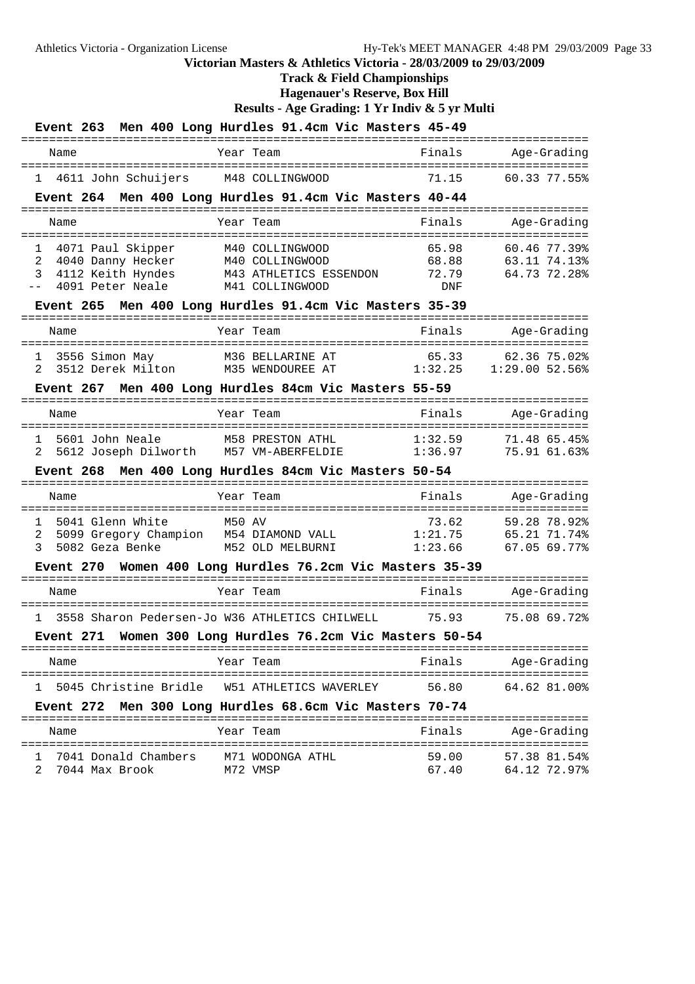### **Track & Field Championships**

**Hagenauer's Reserve, Box Hill**

```
Results - Age Grading: 1 Yr Indiv & 5 yr Multi
```

| Event 263 Men 400 Long Hurdles 91.4cm Vic Masters 45-49 |                                                 |                                        |                  |
|---------------------------------------------------------|-------------------------------------------------|----------------------------------------|------------------|
| Name                                                    | Year Team                                       | Finals                                 | Age-Grading      |
| 1 4611 John Schuijers M48 COLLINGWOOD                   |                                                 | 71.15                                  | 60.33 77.55%     |
| Event 264 Men 400 Long Hurdles 91.4cm Vic Masters 40-44 |                                                 |                                        |                  |
| Name                                                    | Year Team                                       | Finals                                 | Age-Grading      |
| 1 4071 Paul Skipper                                     | M40 COLLINGWOOD                                 | 65.98                                  | 60.46 77.39%     |
| 2<br>4040 Danny Hecker                                  | M40 COLLINGWOOD                                 | 68.88                                  | 63.11 74.13%     |
| 4112 Keith Hyndes<br>3<br>4091 Peter Neale              | M43 ATHLETICS ESSENDON<br>M41 COLLINGWOOD       | 72.79<br><b>DNF</b>                    | 64.73 72.28%     |
| Event 265 Men 400 Long Hurdles 91.4cm Vic Masters 35-39 |                                                 |                                        |                  |
| Name                                                    | Year Team                                       | Finals                                 | Age-Grading      |
| 3556 Simon May<br>1                                     | M36 BELLARINE AT                                | 65.33                                  | 62.36 75.02%     |
| 3512 Derek Milton M35 WENDOUREE AT<br>2                 |                                                 | 1:32.25                                | $1:29.00$ 52.56% |
| Event 267 Men 400 Long Hurdles 84cm Vic Masters 55-59   |                                                 |                                        |                  |
| Name                                                    | Year Team<br>=========                          | Finals                                 | Age-Grading      |
| 5601 John Neale<br>1                                    | M58 PRESTON ATHL                                | 1:32.59                                | 71.48 65.45%     |
| 2                                                       | 5612 Joseph Dilworth M57 VM-ABERFELDIE          | 1:36.97                                | 75.91 61.63%     |
| Event 268 Men 400 Long Hurdles 84cm Vic Masters 50-54   |                                                 |                                        |                  |
| Name                                                    | Year Team                                       | Finals                                 | Age-Grading      |
| 5041 Glenn White<br>1                                   | :==============<br>M50 AV                       | =============================<br>73.62 | 59.28 78.92%     |
| 5099 Gregory Champion M54 DIAMOND VALL<br>2             |                                                 | 1:21.75                                | 65.21 71.74%     |
| 5082 Geza Benke<br>3                                    | M52 OLD MELBURNI                                | 1:23.66                                | 67.05 69.77%     |
| Event 270                                               | Women 400 Long Hurdles 76.2cm Vic Masters 35-39 |                                        |                  |
| Name                                                    | Year Team                                       | Finals                                 | Age-Grading      |
| 1                                                       | 3558 Sharon Pedersen-Jo W36 ATHLETICS CHILWELL  | 75.93                                  | 75.08 69.72%     |
| Event 271                                               | Women 300 Long Hurdles 76.2cm Vic Masters 50-54 |                                        |                  |
| Name                                                    | Year Team                                       | Finals                                 | Age-Grading      |
| 1 5045 Christine Bridle W51 ATHLETICS WAVERLEY          |                                                 | 56.80                                  | 64.62 81.00%     |
| Event 272 Men 300 Long Hurdles 68.6cm Vic Masters 70-74 |                                                 |                                        |                  |
| Name                                                    | Year Team                                       | Finals                                 | Age-Grading      |
| 7041 Donald Chambers M71 WODONGA ATHL<br>$\mathbf{1}$   |                                                 | 59.00                                  | 57.38 81.54%     |

2 7044 Max Brook M72 VMSP 67.40 64.12 72.97%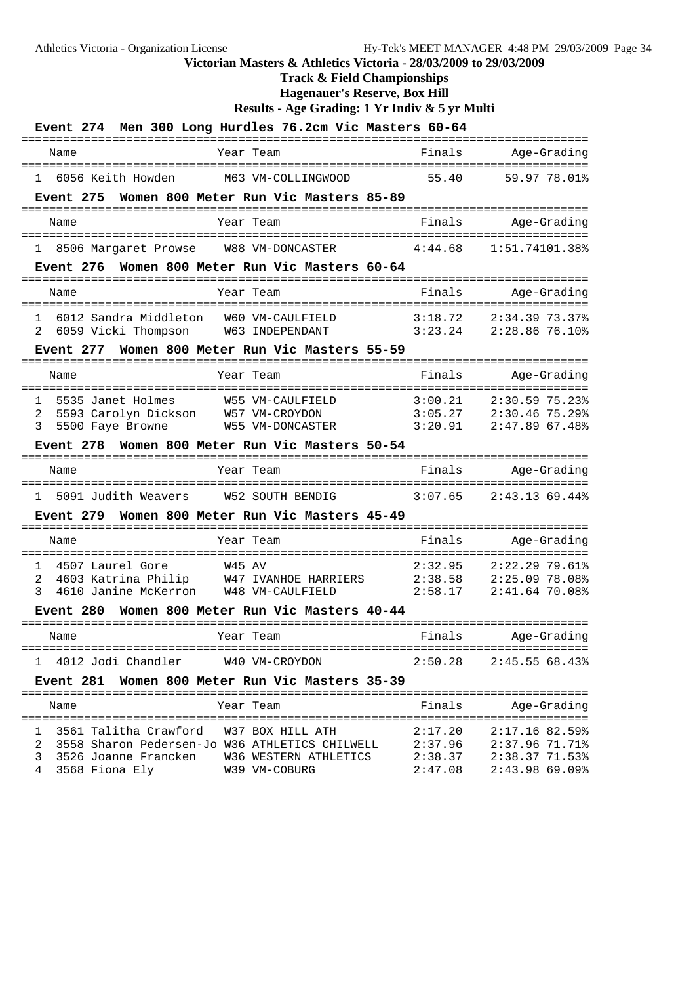# **Track & Field Championships**

**Hagenauer's Reserve, Box Hill**

**Results - Age Grading: 1 Yr Indiv & 5 yr Multi**

| <b>Event</b> 274                                                                                 | Men 300 Long Hurdles 76.2cm Vic Masters 60-64                                                                             |                               |                                                                      |
|--------------------------------------------------------------------------------------------------|---------------------------------------------------------------------------------------------------------------------------|-------------------------------|----------------------------------------------------------------------|
| Name                                                                                             | Year Team                                                                                                                 | Finals                        | Age-Grading                                                          |
| 1 6056 Keith Howden                                                                              | M63 VM-COLLINGWOOD                                                                                                        | 55.40                         | 59.97 78.01%                                                         |
| Event 275                                                                                        | Women 800 Meter Run Vic Masters 85-89                                                                                     |                               |                                                                      |
| Name                                                                                             | Year Team                                                                                                                 | Finals                        | Age-Grading                                                          |
| 8506 Margaret Prowse<br>$\mathbf{1}$                                                             | W88 VM-DONCASTER                                                                                                          | 4:44.68                       | 1:51.74101.38%                                                       |
| Event 276                                                                                        | Women 800 Meter Run Vic Masters 60-64                                                                                     |                               |                                                                      |
| Name                                                                                             | Year Team                                                                                                                 | Finals                        | Age-Grading                                                          |
| 6012 Sandra Middleton<br>$\mathbf{1}$<br>6059 Vicki Thompson<br>2                                | W60 VM-CAULFIELD<br>W63 INDEPENDANT                                                                                       | 3:18.72<br>3:23.24            | $2:34.39$ 73.37%<br>2:28.86 76.10%                                   |
| Event 277                                                                                        | Women 800 Meter Run Vic Masters 55-59                                                                                     |                               |                                                                      |
| Name                                                                                             | Year Team                                                                                                                 | Finals                        | Age-Grading                                                          |
| 1<br>5535 Janet Holmes<br>5593 Carolyn Dickson<br>2<br>3<br>5500 Faye Browne<br><b>Event 278</b> | ===============<br>W55 VM-CAULFIELD<br>W57 VM-CROYDON<br>W55 VM-DONCASTER<br>Women 800 Meter Run Vic Masters 50-54        | 3:00.21<br>3:05.27<br>3:20.91 | ==========<br>2:30.59 75.23%<br>$2:30.46$ 75.29%<br>$2:47.89$ 67.48% |
| Name                                                                                             | Year Team                                                                                                                 | Finals                        | Age-Grading                                                          |
|                                                                                                  |                                                                                                                           |                               |                                                                      |
| 5091 Judith Weavers W52 SOUTH BENDIG<br>$\mathbf{1}$<br><b>Event 279</b>                         | Women 800 Meter Run Vic Masters 45-49                                                                                     | 3:07.65                       | 2:43.1369.44                                                         |
| Name                                                                                             | Year Team                                                                                                                 | Finals                        | Age-Grading                                                          |
| 1<br>4507 Laurel Gore<br>2<br>4610 Janine McKerron W48 VM-CAULFIELD<br>3<br><b>Event 280</b>     | W45 AV<br>4603 Katrina Philip W47 IVANHOE HARRIERS<br>Women 800 Meter Run Vic Masters 40-44                               | 2:32.95<br>2:38.58<br>2:58.17 | 2:22.2979.61<br>2:25.09 78.08%<br>2:41.64 70.08%                     |
| Name                                                                                             | Year Team                                                                                                                 | Finals                        | Age-Grading                                                          |
| 1 4012 Jodi Chandler W40 VM-CROYDON                                                              |                                                                                                                           | 2:50.28                       | 2:45.5568.43%                                                        |
|                                                                                                  | Event 281 Women 800 Meter Run Vic Masters 35-39                                                                           |                               |                                                                      |
| Name                                                                                             | Year Team                                                                                                                 | Finals                        | Age-Grading                                                          |
| 1 3561 Talitha Crawford W37 BOX HILL ATH                                                         | 2 3558 Sharon Pedersen-Jo W36 ATHLETICS CHILWELL 2:37.96 2:37.96 71.71%<br>3526 Joanne Francken     W36 WESTERN ATHLETICS | 2:17.20<br>2:38.37            | $2:17.16$ 82.59%<br>2:38.37 71.53%                                   |

4 3568 Fiona Ely W39 VM-COBURG 2:47.08 2:43.98 69.09%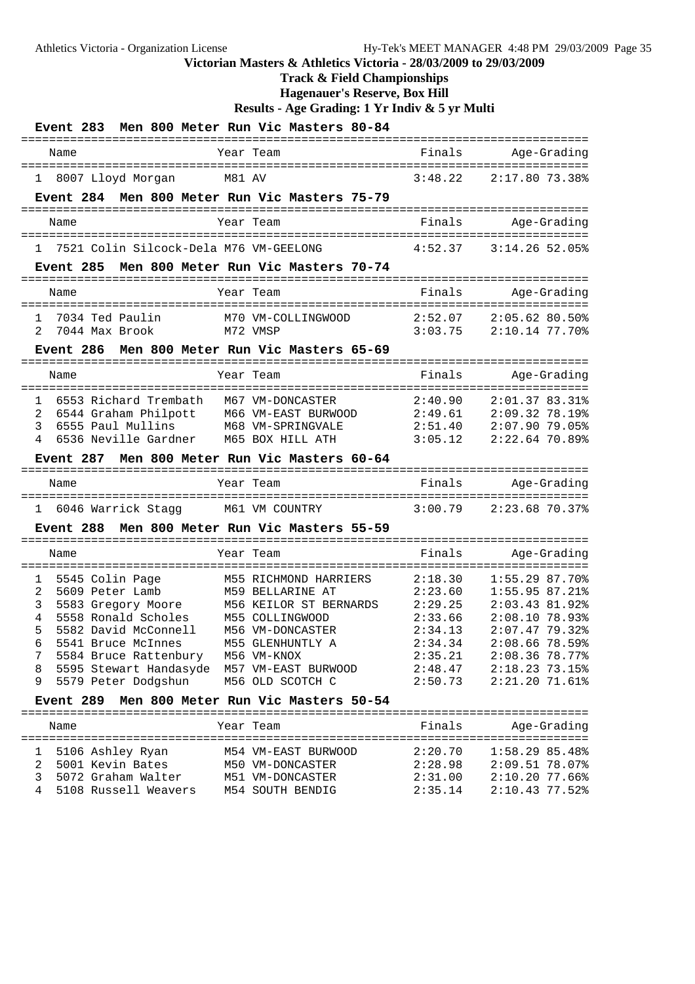**Track & Field Championships**

**Hagenauer's Reserve, Box Hill**

|                                                                                                                                                                                                                                                 | Event 283 Men 800 Meter Run Vic Masters 80-84                                                                                                                                            |                                                                                                 |                                                                                                                                                               |
|-------------------------------------------------------------------------------------------------------------------------------------------------------------------------------------------------------------------------------------------------|------------------------------------------------------------------------------------------------------------------------------------------------------------------------------------------|-------------------------------------------------------------------------------------------------|---------------------------------------------------------------------------------------------------------------------------------------------------------------|
| Name                                                                                                                                                                                                                                            | Year Team                                                                                                                                                                                | Finals                                                                                          | Age-Grading                                                                                                                                                   |
| 1 8007 Lloyd Morgan                                                                                                                                                                                                                             | M81 AV                                                                                                                                                                                   | 3:48.22                                                                                         | 2:17.80 73.38%                                                                                                                                                |
|                                                                                                                                                                                                                                                 | Event 284 Men 800 Meter Run Vic Masters 75-79                                                                                                                                            |                                                                                                 |                                                                                                                                                               |
| Name                                                                                                                                                                                                                                            | Year Team                                                                                                                                                                                | Finals                                                                                          | Age-Grading                                                                                                                                                   |
| 7521 Colin Silcock-Dela M76 VM-GEELONG                                                                                                                                                                                                          |                                                                                                                                                                                          | 4:52.37                                                                                         | $3:14.26$ 52.05%                                                                                                                                              |
| ==========================                                                                                                                                                                                                                      | Event 285 Men 800 Meter Run Vic Masters 70-74                                                                                                                                            |                                                                                                 |                                                                                                                                                               |
| Name                                                                                                                                                                                                                                            | Year Team                                                                                                                                                                                | Finals                                                                                          | Age-Grading                                                                                                                                                   |
| 7034 Ted Paulin<br>1<br>$\mathfrak{D}$<br>7044 Max Brook                                                                                                                                                                                        | M70 VM-COLLINGWOOD<br>M72 VMSP                                                                                                                                                           | 2:52.07<br>3:03.75                                                                              | $2:05.62$ 80.50%<br>2:10.14 77.70%                                                                                                                            |
| <b>Event 286</b>                                                                                                                                                                                                                                | Men 800 Meter Run Vic Masters 65-69                                                                                                                                                      |                                                                                                 |                                                                                                                                                               |
| Name                                                                                                                                                                                                                                            | Year Team                                                                                                                                                                                | Finals                                                                                          | Age-Grading                                                                                                                                                   |
| 6553 Richard Trembath<br>$\mathbf{1}$<br>6544 Graham Philpott<br>2<br>6555 Paul Mullins<br>3<br>4<br>6536 Neville Gardner<br><b>Event 287</b>                                                                                                   | M67 VM-DONCASTER<br>M66 VM-EAST BURWOOD<br>M68 VM-SPRINGVALE<br>M65 BOX HILL ATH<br>Men 800 Meter Run Vic Masters 60-64                                                                  | 2:40.90<br>2:49.61<br>2:51.40<br>3:05.12                                                        | $2:01.3783.31$ <sup>8</sup><br>2:09.32 78.19%<br>2:07.90 79.05%<br>$2:22.64$ 70.89%                                                                           |
| Name                                                                                                                                                                                                                                            | Year Team                                                                                                                                                                                | Finals                                                                                          | Age-Grading                                                                                                                                                   |
| 6046 Warrick Stagg<br>1                                                                                                                                                                                                                         | M61 VM COUNTRY                                                                                                                                                                           | 3:00.79                                                                                         | $2:23.68$ 70.37%                                                                                                                                              |
| Event 288                                                                                                                                                                                                                                       | Men 800 Meter Run Vic Masters 55-59                                                                                                                                                      |                                                                                                 |                                                                                                                                                               |
| Name                                                                                                                                                                                                                                            | Year Team                                                                                                                                                                                | Finals                                                                                          | Age-Grading                                                                                                                                                   |
| 5545 Colin Page<br>1<br>2<br>5609 Peter Lamb<br>3<br>5583 Gregory Moore<br>5558 Ronald Scholes<br>4<br>5<br>5582 David McConnell<br>5541 Bruce McInnes<br>7<br>5584 Bruce Rattenbury<br>5595 Stewart Handasyde<br>8<br>5579 Peter Dodgshun<br>9 | M55 RICHMOND HARRIERS<br>M59 BELLARINE AT<br>M56 KEILOR ST BERNARDS<br>M55 COLLINGWOOD<br>M56 VM-DONCASTER<br>M55 GLENHUNTLY A<br>M56 VM-KNOX<br>M57 VM-EAST BURWOOD<br>M56 OLD SCOTCH C | 2:18.30<br>2:23.60<br>2:29.25<br>2:33.66<br>2:34.13<br>2:34.34<br>2:35.21<br>2:48.47<br>2:50.73 | $1:55.29$ 87.70%<br>1:55.95 87.21<br>2:03.43 81.92%<br>2:08.10 78.93%<br>2:07.4779.32<br>2:08.6678.59<br>$2:08.36$ 78.77%<br>2:18.23 73.15%<br>2:21.20 71.61% |
| <b>Event 289</b>                                                                                                                                                                                                                                | Men 800 Meter Run Vic Masters 50-54                                                                                                                                                      |                                                                                                 |                                                                                                                                                               |
| Name                                                                                                                                                                                                                                            | Year Team                                                                                                                                                                                | Finals                                                                                          | Age-Grading                                                                                                                                                   |
| 5106 Ashley Ryan<br>1<br>5001 Kevin Bates<br>2<br>3<br>5072 Graham Walter<br>4<br>5108 Russell Weavers                                                                                                                                          | M54 VM-EAST BURWOOD<br>M50 VM-DONCASTER<br>M51 VM-DONCASTER<br>M54 SOUTH BENDIG                                                                                                          | 2:20.70<br>2:28.98<br>2:31.00<br>2:35.14                                                        | 1:58.2985.48%<br>2:09.51 78.07%<br>2:10.2077.66%<br>2:10.43 77.52%                                                                                            |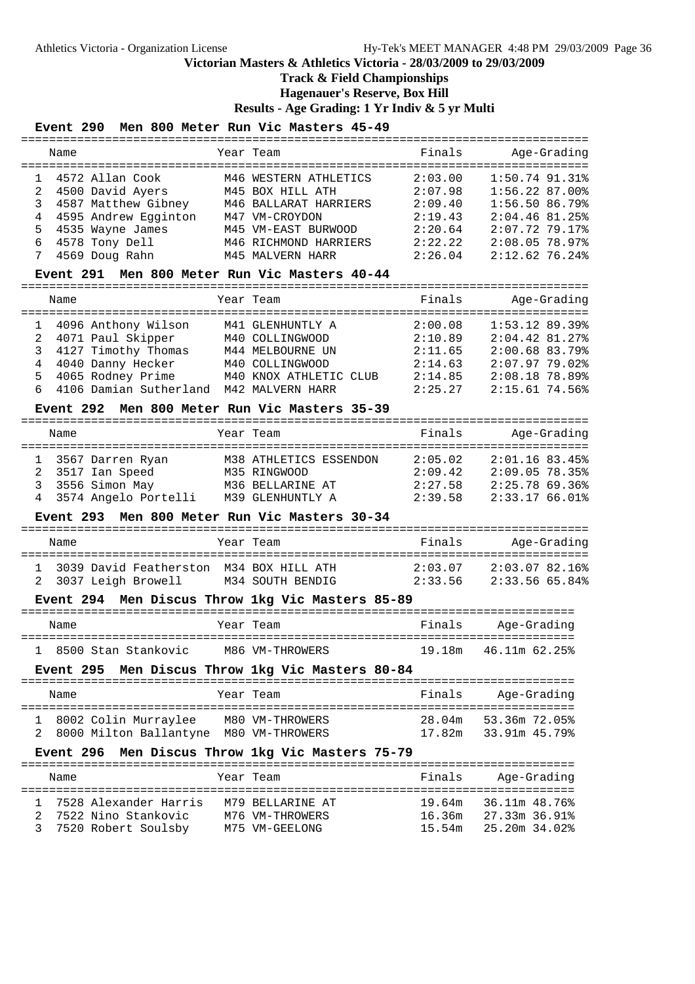# **Track & Field Championships**

**Hagenauer's Reserve, Box Hill**

**Results - Age Grading: 1 Yr Indiv & 5 yr Multi**

### **Event 290 Men 800 Meter Run Vic Masters 45-49**

|              | Name             |                                                                                                                                                                    | Year Team                                        | Finals                 | Age-Grading                    |
|--------------|------------------|--------------------------------------------------------------------------------------------------------------------------------------------------------------------|--------------------------------------------------|------------------------|--------------------------------|
| 1            |                  | 4572 Allan Cook<br>4572 Allan Cook             M46 WESTERN ATHLETICS<br>4500 David Ayers         M45 BOX HILL ATH<br>4587 Matthew Gibney     M46 BALLARAT HARRIERS | M46 WESTERN ATHLETICS                            | 2:03.00                | 1:50.74 91.31%                 |
| 2            |                  |                                                                                                                                                                    |                                                  | 2:07.98                | 1:56.22 87.00%                 |
| 3            |                  |                                                                                                                                                                    |                                                  | 2:09.40                | $1:56.50$ 86.79%               |
| 4            |                  | 4595 Andrew Egginton M47 VM-CROYDON                                                                                                                                |                                                  | 2:19.43                | $2:04.46$ 81.25%               |
| 5            |                  | 4535 Wayne James                                                                                                                                                   | M45 VM-EAST BURWOOD                              | 2:20.64                | $2:07.72$ 79.17%               |
| 6            |                  | 4578 Tony Dell                                                                                                                                                     | M46 RICHMOND HARRIERS                            | 2:22.22                | 2:08.05 78.97%                 |
| 7            |                  | 4569 Doug Rahn                                                                                                                                                     | M45 MALVERN HARR                                 | 2:26.04                | 2:12.6276.24%                  |
|              |                  |                                                                                                                                                                    | Event 291 Men 800 Meter Run Vic Masters 40-44    |                        |                                |
|              | Name             |                                                                                                                                                                    | Year Team                                        | Finals                 | Age-Grading                    |
| 1            |                  | 4096 Anthony Wilson                                                                                                                                                | M41 GLENHUNTLY A                                 | 2:00.08                | $1:53.12$ 89.39%               |
| 2            |                  | 4071 Paul Skipper                                                                                                                                                  | M40 COLLINGWOOD                                  | 2:10.89                | $2:04.42$ 81.27%               |
| 3            |                  | 4127 Timothy Thomas                                                                                                                                                | M44 MELBOURNE UN                                 | 2:11.65                | 2:00.68 83.79%                 |
| 4            |                  | 4040 Danny Hecker M40 COLLINGWOOD                                                                                                                                  |                                                  | 2:14.63                | 2:07.9779.02                   |
| 5            |                  | 4065 Rodney Prime                                                                                                                                                  | M40 KNOX ATHLETIC CLUB                           | 2:14.85                | 2:08.18 78.89%                 |
| 6            |                  | 4106 Damian Sutherland M42 MALVERN HARR                                                                                                                            |                                                  | 2:25.27                | $2:15.61$ 74.56%               |
|              |                  |                                                                                                                                                                    | Event 292 Men 800 Meter Run Vic Masters 35-39    |                        |                                |
|              | Name             |                                                                                                                                                                    | Year Team                                        | Finals                 | Age-Grading                    |
| ı            |                  | 3567 Darren Ryan                                                                                                                                                   | M38 ATHLETICS ESSENDON                           | 2:05.02                | $2:01.16$ 83.45%               |
| 2            |                  | 3517 Ian Speed                                                                                                                                                     | M35 RINGWOOD                                     |                        | $2:09.05$ 78.35%               |
| 3            |                  | 3556 Simon May                                                                                                                                                     | M36 BELLARINE AT                                 | $2:09.42$<br>$2:27.58$ | 2:25.7869.36%                  |
| 4            |                  | 3574 Angelo Portelli M39 GLENHUNTLY A                                                                                                                              |                                                  | 2:39.58                | 2:33.17 66.01%                 |
|              | <b>Event 293</b> |                                                                                                                                                                    | Men 800 Meter Run Vic Masters 30-34              |                        |                                |
|              |                  |                                                                                                                                                                    |                                                  |                        |                                |
|              | Name             |                                                                                                                                                                    | Year Team                                        | Finals                 | Age-Grading                    |
| $\mathbf{1}$ |                  |                                                                                                                                                                    | 3039 David Featherston M34 BOX HILL ATH          | 2:03.07                | 2:03.07 82.16%                 |
| 2            |                  | 3037 Leigh Browell                                                                                                                                                 | M34 SOUTH BENDIG                                 | 2:33.56                | 2:33.56 65.84%                 |
|              |                  |                                                                                                                                                                    | Event 294 Men Discus Throw 1kg Vic Masters 85-89 |                        |                                |
|              | Name             |                                                                                                                                                                    | Year Team                                        | Finals                 | Age-Grading                    |
|              |                  | 8500 Stan Stankovic M86 VM-THROWERS                                                                                                                                |                                                  | 19.18m                 | 46.11m 62.25%                  |
|              | Event 295        |                                                                                                                                                                    | Men Discus Throw 1kg Vic Masters 80-84           |                        |                                |
|              | Name             |                                                                                                                                                                    | Year Team                                        | Finals                 | Age-Grading                    |
| ı            |                  | 8002 Colin Murraylee                                                                                                                                               | M80 VM-THROWERS                                  | 28.04m                 | 53.36m 72.05%                  |
| 2            |                  | 8000 Milton Ballantyne M80 VM-THROWERS                                                                                                                             |                                                  | 17.82m                 | 33.91m 45.79%                  |
|              | Event 296        |                                                                                                                                                                    | Men Discus Throw 1kg Vic Masters 75-79           |                        |                                |
|              | Name             |                                                                                                                                                                    | Year Team                                        | Finals                 | Age-Grading                    |
|              |                  |                                                                                                                                                                    |                                                  |                        |                                |
| 1            |                  | 7528 Alexander Harris                                                                                                                                              | M79 BELLARINE AT                                 | 19.64m                 | 36.11m 48.76%                  |
| 2<br>3       |                  | 7522 Nino Stankovic                                                                                                                                                | M76 VM-THROWERS<br>M75 VM-GEELONG                | 16.36m<br>15.54m       | 27.33m 36.91%<br>25.20m 34.02% |
|              |                  | 7520 Robert Soulsby                                                                                                                                                |                                                  |                        |                                |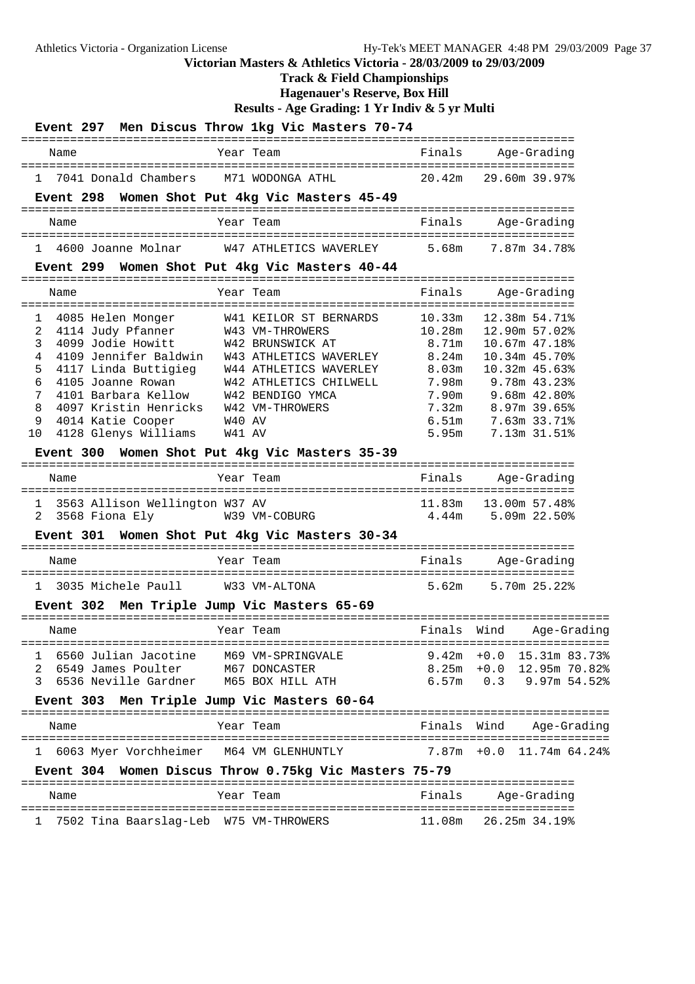**Track & Field Championships**

**Hagenauer's Reserve, Box Hill**

| O(100)<br>Men Discus Throw 1kg Vic Masters 70-74<br>Event 297 |                   |                                   |
|---------------------------------------------------------------|-------------------|-----------------------------------|
| Year Team<br>Name                                             | Finals            | Age-Grading                       |
| 7041 Donald Chambers<br>M71 WODONGA ATHL<br>1                 | 20.42m            | 29.60m 39.97%                     |
| Women Shot Put 4kg Vic Masters 45-49<br><b>Event 298</b>      |                   |                                   |
| Year Team<br>Name                                             | Finals            | Age-Grading                       |
| W47 ATHLETICS WAVERLEY<br>4600 Joanne Molnar<br>1             | 5.68m             | 7.87m 34.78%                      |
| Event 299 Women Shot Put 4kg Vic Masters 40-44                |                   |                                   |
| Year Team<br>Name                                             | Finals            | Age-Grading                       |
| 4085 Helen Monger<br>W41 KEILOR ST BERNARDS<br>1              | 10.33m            | 12.38m 54.71%                     |
| 4114 Judy Pfanner<br>2<br>W43 VM-THROWERS                     | 10.28m            | 12.90m 57.02%                     |
| 3<br>4099 Jodie Howitt<br>W42 BRUNSWICK AT                    | 8.71m             | 10.67m 47.18%                     |
| 4<br>4109 Jennifer Baldwin<br>W43 ATHLETICS WAVERLEY          | 8.24m             | 10.34m 45.70%                     |
| 4117 Linda Buttigieg<br>W44 ATHLETICS WAVERLEY<br>5           | 8.03 <sub>m</sub> | 10.32m 45.63%                     |
| 6<br>4105 Joanne Rowan<br>W42 ATHLETICS CHILWELL              | 7.98m             | 9.78m 43.23%                      |
| 7<br>4101 Barbara Kellow<br>W42 BENDIGO YMCA                  | 7.90 <sub>m</sub> | 9.68m 42.80%                      |
| 4097 Kristin Henricks<br>W42 VM-THROWERS<br>8                 | 7.32m             | 8.97m 39.65%                      |
| 9<br>4014 Katie Cooper<br>W40 AV                              | 6.51m             | 7.63m 33.71%                      |
| 4128 Glenys Williams<br>W41 AV<br>10                          | 5.95m             | 7.13m 31.51%                      |
| Women Shot Put 4kg Vic Masters 35-39<br>Event 300             |                   |                                   |
| Year Team<br>Name<br>===============                          | Finals            | Age-Grading<br>------------------ |
| 3563 Allison Wellington W37 AV<br>1                           | 11.83m            | 13.00m 57.48%                     |
| 2<br>3568 Fiona Ely<br>W39 VM-COBURG                          | 4.44m             | 5.09m 22.50%                      |
| Women Shot Put 4kg Vic Masters 30-34<br><b>Event 301</b>      |                   |                                   |
| Year Team<br>Name                                             | Finals            | Age-Grading                       |
| 3035 Michele Paull<br>W33 VM-ALTONA<br>$\mathbf{1}$           | 5.62m             | 5.70m 25.22%                      |
| Men Triple Jump Vic Masters 65-69<br>Event 302                |                   |                                   |
| Year Team<br>Name                                             | Finals            | Wind<br>Age-Grading               |
| 1 6560 Julian Jacotine M69 VM-SPRINGVALE                      |                   | $9.42m + 0.0$ 15.31m 83.73%       |
| 2 6549 James Poulter<br>M67 DONCASTER                         |                   | 8.25m +0.0 12.95m 70.82%          |
| 6536 Neville Gardner<br>3<br>M65 BOX HILL ATH                 |                   | $6.57m$ 0.3 9.97m 54.52%          |
| Event 303 Men Triple Jump Vic Masters 60-64                   |                   |                                   |
|                                                               |                   |                                   |
| Year Team<br>Name                                             | Finals            | Wind<br>Age-Grading               |
| 6063 Myer Vorchheimer M64 VM GLENHUNTLY<br>$\mathbf{1}$       | $7.87m + 0.0$     | 11.74m 64.24%                     |
| Event 304 Women Discus Throw 0.75kg Vic Masters 75-79         |                   |                                   |
| Year Team<br>Name                                             | Finals            | Age-Grading                       |
| 7502 Tina Baarslag-Leb W75 VM-THROWERS<br>ı                   | 11.08m            | 26.25m 34.19%                     |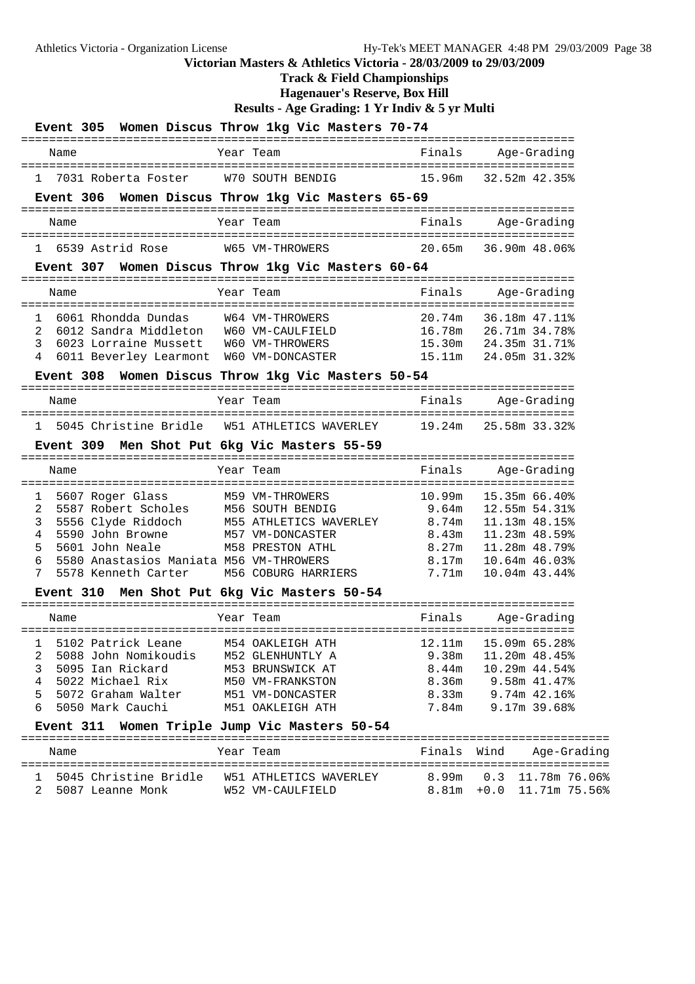### **Track & Field Championships**

**Hagenauer's Reserve, Box Hill**

|                                 |                  |                                                                                                                              |                                                                                      |                                                                                                                      | Event 305 Women Discus Throw 1kg Vic Masters 70-74 |                                                                                |                                                                                 |                                                                                 |
|---------------------------------|------------------|------------------------------------------------------------------------------------------------------------------------------|--------------------------------------------------------------------------------------|----------------------------------------------------------------------------------------------------------------------|----------------------------------------------------|--------------------------------------------------------------------------------|---------------------------------------------------------------------------------|---------------------------------------------------------------------------------|
|                                 | Name             |                                                                                                                              |                                                                                      | Year Team                                                                                                            |                                                    | Finals                                                                         |                                                                                 | Age-Grading                                                                     |
|                                 |                  | 7031 Roberta Foster                                                                                                          |                                                                                      | W70 SOUTH BENDIG                                                                                                     |                                                    | 15.96m                                                                         |                                                                                 | 32.52m 42.35%                                                                   |
|                                 |                  |                                                                                                                              |                                                                                      |                                                                                                                      | Event 306 Women Discus Throw 1kg Vic Masters 65-69 |                                                                                |                                                                                 |                                                                                 |
|                                 | Name             |                                                                                                                              |                                                                                      | Year Team                                                                                                            |                                                    | Finals                                                                         |                                                                                 | Age-Grading                                                                     |
|                                 |                  | 6539 Astrid Rose                                                                                                             |                                                                                      | W65 VM-THROWERS                                                                                                      |                                                    |                                                                                | 20.65m 36.90m 48.06%                                                            |                                                                                 |
|                                 |                  |                                                                                                                              |                                                                                      |                                                                                                                      | Event 307 Women Discus Throw 1kg Vic Masters 60-64 |                                                                                |                                                                                 |                                                                                 |
|                                 | Name             |                                                                                                                              |                                                                                      | Year Team                                                                                                            |                                                    | Finals                                                                         |                                                                                 | Age-Grading                                                                     |
| 1<br>2<br>3<br>4                |                  | 6061 Rhondda Dundas<br>6023 Lorraine Mussett                                                                                 | 6012 Sandra Middleton W60 VM-CAULFIELD<br>6011 Beverley Learmont W60 VM-DONCASTER    | W64 VM-THROWERS<br>W60 VM-THROWERS                                                                                   | Event 308 Women Discus Throw 1kg Vic Masters 50-54 | 20.74m<br>16.78m   26.71m   34.78%                                             | 15.30m 24.35m 31.71%<br>15.11m 24.05m 31.32%                                    | 36.18m 47.11%                                                                   |
|                                 | Name             |                                                                                                                              |                                                                                      | Year Team                                                                                                            |                                                    | Finals                                                                         | Age-Grading                                                                     |                                                                                 |
|                                 |                  |                                                                                                                              |                                                                                      |                                                                                                                      |                                                    |                                                                                |                                                                                 |                                                                                 |
| $1 \quad$                       |                  |                                                                                                                              |                                                                                      |                                                                                                                      |                                                    | 5045 Christine Bridle W51 ATHLETICS WAVERLEY 19.24m 25.58m 33.32%              |                                                                                 |                                                                                 |
|                                 |                  |                                                                                                                              |                                                                                      |                                                                                                                      | Event 309 Men Shot Put 6kg Vic Masters 55-59       |                                                                                |                                                                                 |                                                                                 |
|                                 | Name             |                                                                                                                              |                                                                                      | Year Team                                                                                                            |                                                    | Finals                                                                         | Aqe-Gradinq                                                                     |                                                                                 |
| 1<br>2<br>3<br>4<br>5<br>6<br>7 |                  | 5607 Roger Glass<br>5590 John Browne<br>5601 John Neale<br>5578 Kenneth Carter                                               | 5587 Robert Scholes<br>5556 Clyde Riddoch<br>5580 Anastasios Maniata M56 VM-THROWERS | M59 VM-THROWERS<br>M56 SOUTH BENDIG<br>M57 VM-DONCASTER<br><b>M58 PRESTON ATHL</b>                                   | M56 COBURG HARRIERS                                | M55 ATHLETICS WAVERLEY 8.74m 11.13m 48.15%<br>8.43m<br>8.27m<br>8.17m<br>7.71m | 10.99m 15.35m 66.40%<br>$9.64m$ 12.55m 54.31%<br>11.23m 48.59%<br>11.28m 48.79% | 10.64m 46.03%<br>10.04m 43.44%                                                  |
|                                 | <b>Event 310</b> |                                                                                                                              |                                                                                      |                                                                                                                      | Men Shot Put 6kg Vic Masters 50-54                 |                                                                                |                                                                                 |                                                                                 |
|                                 | Name             |                                                                                                                              | ====================================                                                 | Year Team                                                                                                            |                                                    | Finals                                                                         |                                                                                 | Age-Grading                                                                     |
| 1<br>2<br>3<br>4<br>5<br>6      |                  | 5102 Patrick Leane<br>5088 John Nomikoudis<br>5095 Ian Rickard<br>5022 Michael Rix<br>5072 Graham Walter<br>5050 Mark Cauchi |                                                                                      | M54 OAKLEIGH ATH<br>M52 GLENHUNTLY A<br>M53 BRUNSWICK AT<br>M50 VM-FRANKSTON<br>M51 VM-DONCASTER<br>M51 OAKLEIGH ATH |                                                    | 12.11m<br>9.38m<br>8.44m<br>8.36m<br>8.33m<br>7.84m                            | 9.74m 42.16%                                                                    | 15.09m 65.28%<br>11.20m 48.45%<br>10.29m 44.54%<br>9.58m 41.47%<br>9.17m 39.68% |
|                                 |                  |                                                                                                                              |                                                                                      |                                                                                                                      | Event 311 Women Triple Jump Vic Masters 50-54      |                                                                                |                                                                                 |                                                                                 |
|                                 | Name             |                                                                                                                              |                                                                                      | Year Team                                                                                                            |                                                    | Finals                                                                         | Wind                                                                            | Age-Grading                                                                     |
| 1                               |                  | 2 5087 Leanne Monk                                                                                                           |                                                                                      | W52 VM-CAULFIELD                                                                                                     |                                                    | 8.99m                                                                          |                                                                                 | 0.3 11.78m 76.06%<br>8.81m +0.0 11.71m 75.56%                                   |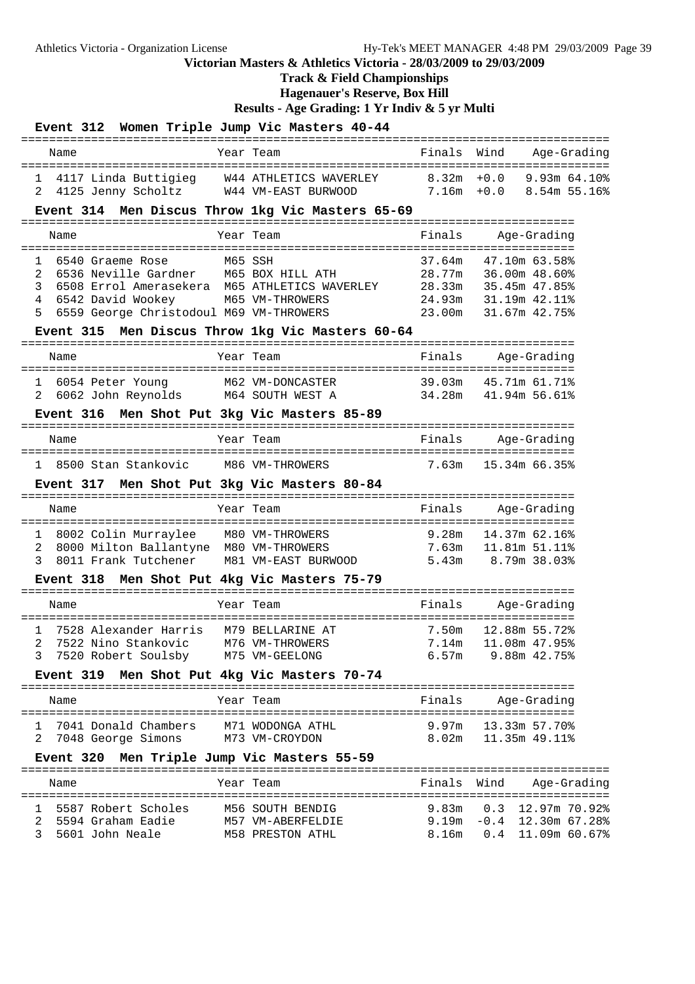**Track & Field Championships**

**Hagenauer's Reserve, Box Hill**

|                                                                       |                                                                                                                       | Event 312 Women Triple Jump Vic Masters 40-44                                                                |                                                |                                                                                   |
|-----------------------------------------------------------------------|-----------------------------------------------------------------------------------------------------------------------|--------------------------------------------------------------------------------------------------------------|------------------------------------------------|-----------------------------------------------------------------------------------|
| Name                                                                  |                                                                                                                       | Year Team                                                                                                    | Finals                                         | Wind<br>Age-Grading                                                               |
| $\mathbf{1}$<br>2                                                     | 4125 Jenny Scholtz W44 VM-EAST BURWOOD                                                                                | 4117 Linda Buttigieg W44 ATHLETICS WAVERLEY 8.32m +0.0 9.93m 64.10%                                          |                                                | $7.16m + 0.0$ 8.54m 55.16%                                                        |
|                                                                       |                                                                                                                       | Event 314 Men Discus Throw 1kg Vic Masters 65-69                                                             |                                                |                                                                                   |
| Name                                                                  |                                                                                                                       | Year Team                                                                                                    | Finals                                         | Age-Grading<br>==========                                                         |
| $\mathbf{1}$<br>6540 Graeme Rose<br>2<br>3<br>4<br>5                  | 6536 Neville Gardner M65 BOX HILL ATH<br>6542 David Wookey M65 VM-THROWERS<br>6559 George Christodoul M69 VM-THROWERS | M65 SSH<br>6508 Errol Amerasekera M65 ATHLETICS WAVERLEY<br>Event 315 Men Discus Throw 1kg Vic Masters 60-64 | 37.64m<br>28.77m<br>28.33m<br>24.93m<br>23.00m | 47.10m 63.58%<br>36.00m 48.60%<br>35.45m 47.85%<br>31.19m 42.11%<br>31.67m 42.75% |
| Name                                                                  |                                                                                                                       | Year Team                                                                                                    | Finals                                         | Age-Grading                                                                       |
| 6054 Peter Young<br>1<br>2                                            | 6062 John Reynolds M64 SOUTH WEST A                                                                                   | M62 VM-DONCASTER                                                                                             | 34.28m                                         | 39.03m  45.71m  61.71%<br>41.94m 56.61%                                           |
|                                                                       |                                                                                                                       | Event 316 Men Shot Put 3kg Vic Masters 85-89                                                                 |                                                |                                                                                   |
| Name                                                                  |                                                                                                                       | Year Team                                                                                                    | Finals                                         | Age-Grading                                                                       |
| 8500 Stan Stankovic<br>$\mathbf{1}$                                   |                                                                                                                       | M86 VM-THROWERS                                                                                              | 7.63m                                          | 15.34m 66.35%                                                                     |
|                                                                       |                                                                                                                       | Event 317 Men Shot Put 3kg Vic Masters 80-84                                                                 |                                                |                                                                                   |
| Name                                                                  |                                                                                                                       | Year Team                                                                                                    | Finals                                         | Age-Grading                                                                       |
| 8002 Colin Murraylee<br>ı<br>2<br>3                                   | 8000 Milton Ballantyne M80 VM-THROWERS<br>8011 Frank Tutchener                                                        | M80 VM-THROWERS<br>M81 VM-EAST BURWOOD                                                                       | 9.28m                                          | 14.37m 62.16%<br>7.63m   11.81m   51.11%<br>5.43m 8.79m 38.03%                    |
|                                                                       |                                                                                                                       | Event 318 Men Shot Put 4kg Vic Masters 75-79                                                                 |                                                |                                                                                   |
| Name                                                                  |                                                                                                                       | Year Team                                                                                                    | Finals                                         | Age-Grading                                                                       |
| 3                                                                     | 7528 Alexander Harris M79 BELLARINE AT<br>7520 Robert Soulsby                                                         | 2 7522 Nino Stankovic M76 VM-THROWERS 7.14m 11.08m 47.95%<br>M75 VM-GEELONG                                  | 7.50m                                          | 12.88m 55.72%<br>$6.57m$ 9.88 $m$ 42.75 $\textdegree$                             |
|                                                                       |                                                                                                                       | Event 319 Men Shot Put 4kg Vic Masters 70-74                                                                 |                                                |                                                                                   |
| Name                                                                  |                                                                                                                       | Year Team                                                                                                    | Finals                                         | Age-Grading                                                                       |
| 1<br>7048 George Simons<br>2                                          | 7041 Donald Chambers                                                                                                  | M71 WODONGA ATHL<br>M73 VM-CROYDON                                                                           | 9.97m<br>8.02 <sub>m</sub>                     | 13.33m 57.70%<br>11.35m 49.11%                                                    |
|                                                                       |                                                                                                                       | Event 320 Men Triple Jump Vic Masters 55-59                                                                  |                                                |                                                                                   |
| Name                                                                  |                                                                                                                       | Year Team                                                                                                    | Finals                                         | Wind<br>Age-Grading                                                               |
| 5587 Robert Scholes<br>1<br>5594 Graham Eadie<br>2<br>5601 John Neale |                                                                                                                       | M56 SOUTH BENDIG<br>M57 VM-ABERFELDIE<br>M58 PRESTON ATHL                                                    | 9.83m<br>8.16m                                 | $0.3$ 12.97m 70.92%<br>$9.19m - 0.4$ 12.30m 67.28%<br>$0.4$ 11.09m 60.67%         |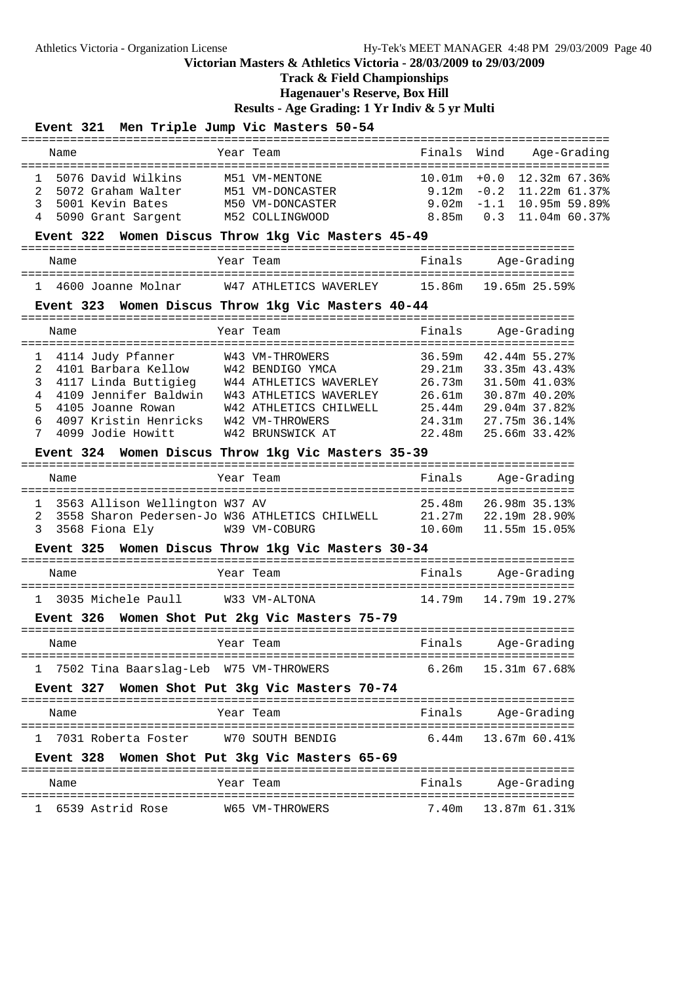### **Track & Field Championships**

**Hagenauer's Reserve, Box Hill**

**Results - Age Grading: 1 Yr Indiv & 5 yr Multi**

#### **Event 321 Men Triple Jump Vic Masters 50-54**

|              | Name                 | Year Team        | Finals Wind | Age-Grading                    |
|--------------|----------------------|------------------|-------------|--------------------------------|
| $\mathbf{1}$ | 5076 David Wilkins   | M51 VM-MENTONE   |             | $10.01m + 0.0$ $12.32m$ 67.36% |
|              | 2 5072 Graham Walter | M51 VM-DONCASTER |             | $9.12m - 0.2$ 11.22m 61.37%    |
|              | 3 5001 Kevin Bates   | M50 VM-DONCASTER |             | $9.02m - 1.1$ 10.95m 59.89%    |
|              | 4 5090 Grant Sargent | M52 COLLINGWOOD  |             | 8.85m 0.3 11.04m 60.37%        |

#### **Event 322 Women Discus Throw 1kg Vic Masters 45-49**

| Name               | Year Team              | Finals | Age-Grading          |
|--------------------|------------------------|--------|----------------------|
| 4600 Joanne Molnar | W47 ATHLETICS WAVERLEY |        | 15.86m 19.65m 25.59% |

#### **Event 323 Women Discus Throw 1kg Vic Masters 40-44**

|             | Name |                        | Year Team              | Finals |               | Age-Grading |
|-------------|------|------------------------|------------------------|--------|---------------|-------------|
|             |      | 4114 Judy Pfanner      | W43 VM-THROWERS        | 36.59m | 42.44m 55.27% |             |
| $2^{\circ}$ |      | 4101 Barbara Kellow    | W42 BENDIGO YMCA       | 29.21m | 33.35m 43.43% |             |
|             |      | 3 4117 Linda Buttigieg | W44 ATHLETICS WAVERLEY | 26.73m | 31.50m 41.03% |             |
|             |      | 4109 Jennifer Baldwin  | W43 ATHLETICS WAVERLEY | 26.61m | 30.87m 40.20% |             |
| 5.          |      | 4105 Joanne Rowan      | W42 ATHLETICS CHILWELL | 25.44m | 29.04m 37.82% |             |
| 6           |      | 4097 Kristin Henricks  | W42 VM-THROWERS        | 24.31m | 27.75m 36.14% |             |
| 7           |      | 4099 Jodie Howitt      | W42 BRUNSWICK AT       | 22.48m | 25.66m 33.42% |             |

#### **Event 324 Women Discus Throw 1kg Vic Masters 35-39**

| Name |                                                                                      | Year Team     | Finals           | Age-Grading                    |
|------|--------------------------------------------------------------------------------------|---------------|------------------|--------------------------------|
|      | 1 3563 Allison Wellington W37 AV<br>2 3558 Sharon Pedersen-Jo W36 ATHLETICS CHILWELL |               | 25.48m<br>21.27m | 26.98m 35.13%<br>22.19m 28.90% |
|      | 3 3568 Fiona Ely                                                                     | W39 VM-COBURG | 10.60m           | 11.55m 15.05%                  |

#### **Event 325 Women Discus Throw 1kg Vic Masters 30-34**

| Name |                      |  | Year Team     | Finals | Aqe-Gradinq |
|------|----------------------|--|---------------|--------|-------------|
|      | 1 3035 Michele Paull |  | W33 VM-ALTONA |        |             |

#### **Event 326 Women Shot Put 2kg Vic Masters 75-79**

| Name |                                          | Year Team | Finals | Age-Grading                |
|------|------------------------------------------|-----------|--------|----------------------------|
|      | 1 7502 Tina Baarslag-Leb W75 VM-THROWERS |           |        | $6.26m$ $15.31m$ $67.68\%$ |

#### **Event 327 Women Shot Put 3kg Vic Masters 70-74**

|  | Name |                       |  | Year Team |  |                  |                                     | Finals                | Age-Grading |  |  |
|--|------|-----------------------|--|-----------|--|------------------|-------------------------------------|-----------------------|-------------|--|--|
|  |      |                       |  |           |  |                  | ----------------------------------- |                       |             |  |  |
|  |      | 1 7031 Roberta Foster |  |           |  | W70 SOUTH BENDIG |                                     | $6.44m$ 13.67m 60.41% |             |  |  |

#### **Event 328 Women Shot Put 3kg Vic Masters 65-69**

| Name               | Year Team       | Finals | Aqe-Gradinq         |
|--------------------|-----------------|--------|---------------------|
| 1 6539 Astrid Rose | W65 VM-THROWERS |        | 7.40m 13.87m 61.31% |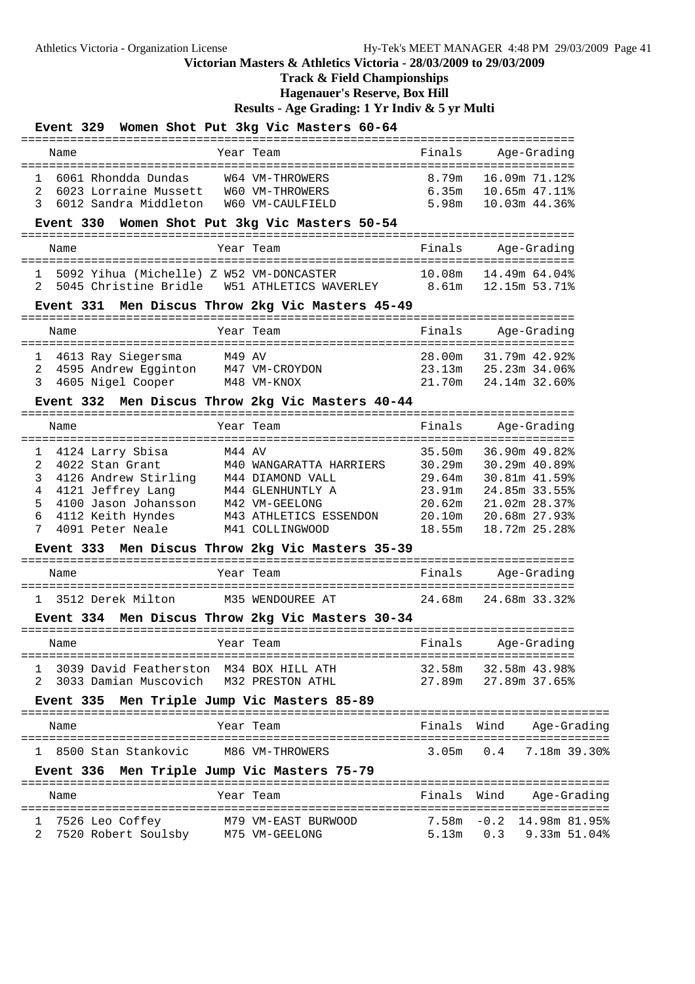# **Track & Field Championships**

**Hagenauer's Reserve, Box Hill**

|                                                                                                                                                                                                                                                            | Event 329 Women Shot Put 3kg Vic Masters 60-64                                                               |                  |                                                                                                                                                        |
|------------------------------------------------------------------------------------------------------------------------------------------------------------------------------------------------------------------------------------------------------------|--------------------------------------------------------------------------------------------------------------|------------------|--------------------------------------------------------------------------------------------------------------------------------------------------------|
| Name                                                                                                                                                                                                                                                       | Year Team                                                                                                    | Finals           | Aqe-Gradinq                                                                                                                                            |
| 6061 Rhondda Dundas<br>1<br>6023 Lorraine Mussett<br>2<br>3<br>6012 Sandra Middleton                                                                                                                                                                       | W64 VM-THROWERS<br>W60 VM-THROWERS<br>W60 VM-CAULFIELD                                                       | 8.79m<br>5.98m   | 16.09m 71.12%<br>10.03m 44.36%                                                                                                                         |
|                                                                                                                                                                                                                                                            | Event 330 Women Shot Put 3kg Vic Masters 50-54                                                               |                  |                                                                                                                                                        |
| Name                                                                                                                                                                                                                                                       | Year Team                                                                                                    | Finals           | Age-Grading                                                                                                                                            |
| 1<br>2                                                                                                                                                                                                                                                     | 5092 Yihua (Michelle) Z W52 VM-DONCASTER<br>5045 Christine Bridle W51 ATHLETICS WAVERLEY 8.61m 12.15m 53.71% | 10.08m           | 14.49m 64.04%                                                                                                                                          |
|                                                                                                                                                                                                                                                            | Event 331 Men Discus Throw 2kg Vic Masters 45-49                                                             |                  |                                                                                                                                                        |
| Name                                                                                                                                                                                                                                                       | Year Team                                                                                                    | Finals           | Age-Grading                                                                                                                                            |
| 4613 Ray Siegersma<br>1<br>4595 Andrew Egginton M47 VM-CROYDON<br>2<br>3<br>4605 Nigel Cooper                                                                                                                                                              | M49 AV<br>M48 VM-KNOX                                                                                        |                  | 28.00m 31.79m 42.92%<br>23.13m 25.23m 34.06%<br>21.70m 24.14m 32.60%                                                                                   |
|                                                                                                                                                                                                                                                            | Event 332 Men Discus Throw 2kg Vic Masters 40-44                                                             |                  |                                                                                                                                                        |
| Name                                                                                                                                                                                                                                                       | Year Team                                                                                                    | Finals           | Age-Grading                                                                                                                                            |
| 4124 Larry Sbisa<br>1<br>2<br>4022 Stan Grant<br>3<br>4126 Andrew Stirling M44 DIAMOND VALL<br>4121 Jeffrey Lang M44 GLENHUNTLY A<br>4100 Jason Johansson M42 VM-GEELONG<br>4<br>4121 Jeffrey Lang<br>5<br>6<br>4112 Keith Hyndes<br>7<br>4091 Peter Neale | M44 AV<br>M40 WANGARATTA HARRIERS<br>M43 ATHLETICS ESSENDON<br>M41 COLLINGWOOD                               | 35.50m<br>18.55m | 36.90m 49.82%<br>30.29m 30.29m 40.89%<br>29.64m 30.81m 41.59%<br>23.91m 24.85m 33.55%<br>20.62m 21.02m 28.37%<br>20.10m 20.68m 27.93%<br>18.72m 25.28% |
|                                                                                                                                                                                                                                                            | Event 333 Men Discus Throw 2kg Vic Masters 35-39                                                             |                  |                                                                                                                                                        |
| Name                                                                                                                                                                                                                                                       | Year Team                                                                                                    | Finals           | Aqe-Gradinq                                                                                                                                            |
| 1 3512 Derek Milton                                                                                                                                                                                                                                        | M35 WENDOUREE AT<br>Event 334 Men Discus Throw 2kg Vic Masters 30-34                                         | 24.68m           | 24.68m 33.32%                                                                                                                                          |
| Name                                                                                                                                                                                                                                                       | Year Team and Tinals Age-Grading                                                                             |                  |                                                                                                                                                        |
| 1 3039 David Featherston M34 BOX HILL ATH<br>Event 335 Men Triple Jump Vic Masters 85-89                                                                                                                                                                   | 2 3033 Damian Muscovich M32 PRESTON ATHL                                                                     |                  | 32.58m 32.58m 43.98%<br>27.89m 27.89m 37.65%                                                                                                           |
|                                                                                                                                                                                                                                                            |                                                                                                              |                  |                                                                                                                                                        |
| Name                                                                                                                                                                                                                                                       | Year Team                                                                                                    |                  | Finals Wind<br>Age-Grading                                                                                                                             |
| 1 8500 Stan Stankovic M86 VM-THROWERS                                                                                                                                                                                                                      |                                                                                                              |                  | 3.05m  0.4  7.18m  39.30%                                                                                                                              |
| Event 336 Men Triple Jump Vic Masters 75-79                                                                                                                                                                                                                |                                                                                                              |                  |                                                                                                                                                        |
| Name                                                                                                                                                                                                                                                       | Year Team                                                                                                    |                  | Finals Wind Age-Grading                                                                                                                                |
| 7526 Leo Coffey<br>ı.<br>2                                                                                                                                                                                                                                 |                                                                                                              |                  | 7.58m -0.2 14.98m 81.95%<br>5.13m  0.3  9.33m  51.04%                                                                                                  |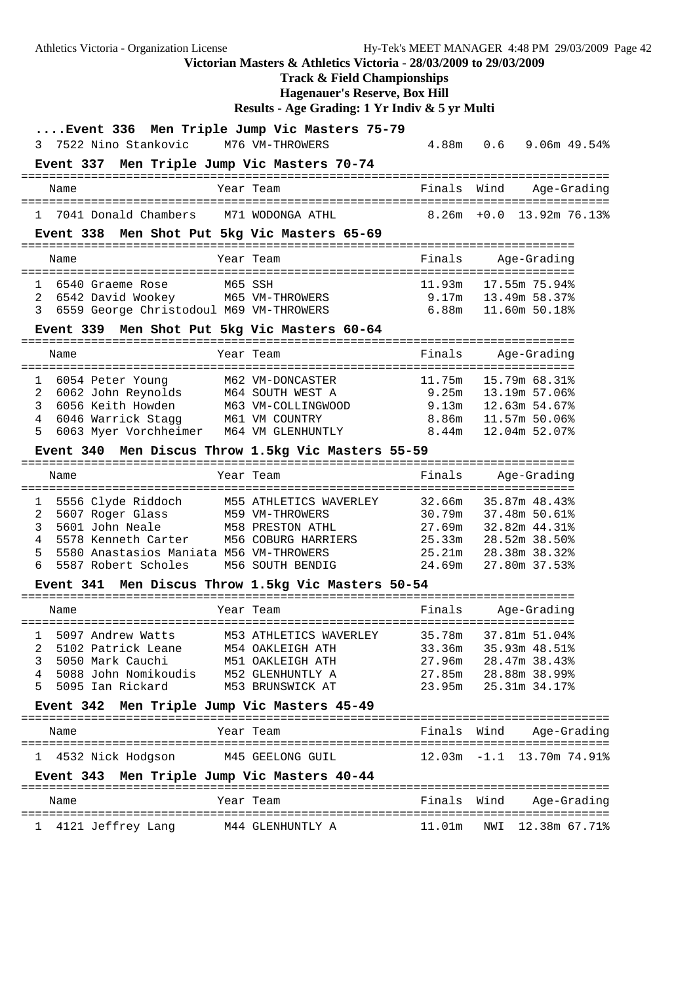Athletics Victoria - Organization License Hy-Tek's MEET MANAGER 4:48 PM 29/03/2009 Page 42 **Victorian Masters & Athletics Victoria - 28/03/2009 to 29/03/2009 Track & Field Championships Hagenauer's Reserve, Box Hill Results - Age Grading: 1 Yr Indiv & 5 yr Multi ....Event 336 Men Triple Jump Vic Masters 75-79** 3 7522 Nino Stankovic M76 VM-THROWERS 4.88m 0.6 9.06m 49.54% **Event 337 Men Triple Jump Vic Masters 70-74** ==================================================================================== Name Year Team Finals Wind Age-Grading ==================================================================================== 1 7041 Donald Chambers M71 WODONGA ATHL **Event 338 Men Shot Put 5kg Vic Masters 65-69** =============================================================================== Name Year Team Finals Age-Grading =============================================================================== 1 6540 Graeme Rose M65 SSH 11.93m 17.55m 75.94% 2 6542 David Wookey M65 VM-THROWERS 9.17m 13.49m 58.37% 3 6559 George Christodoul M69 VM-THROWERS 6.88m 11.60m 50.18% **Event 339 Men Shot Put 5kg Vic Masters 60-64** =============================================================================== Year Team Team Finals Age-Grading =============================================================================== 1 6054 Peter Young M62 VM-DONCASTER 11.75m 15.79m 68.31% 2 6062 John Reynolds M64 SOUTH WEST A 9.25m 13.19m 57.06% 3 6056 Keith Howden M63 VM-COLLINGWOOD 9.13m 12.63m 54.67% 4 6046 Warrick Stagg M61 VM COUNTRY 8.86m 11.57m 50.06% 5 6063 Myer Vorchheimer M64 VM GLENHUNTLY 8.44m 12.04m 52.07% **Event 340 Men Discus Throw 1.5kg Vic Masters 55-59** =============================================================================== Name Year Team Finals Age-Grading =============================================================================== 1 5556 Clyde Riddoch M55 ATHLETICS WAVERLEY 32.66m 35.87m 48.43% 2 5607 Roger Glass M59 VM-THROWERS 30.79m 37.48m 50.61% 3 5601 John Neale M58 PRESTON ATHL 27.69m 32.82m 44.31% 4 5578 Kenneth Carter M56 COBURG HARRIERS 25.33m 28.52m 38.50% 5 5580 Anastasios Maniata M56 VM-THROWERS 25.21m 28.38m 38.32% 6 5587 Robert Scholes M56 SOUTH BENDIG 24.69m 27.80m 37.53% **Event 341 Men Discus Throw 1.5kg Vic Masters 50-54** =============================================================================== Name Team Year Team Finals Age-Grading =============================================================================== 1 5097 Andrew Watts M53 ATHLETICS WAVERLEY 35.78m 37.81m 51.04% 2 5102 Patrick Leane M54 OAKLEIGH ATH 33.36m 35.93m 48.51% 3 5050 Mark Cauchi M51 OAKLEIGH ATH 27.96m 28.47m 38.43% 4 5088 John Nomikoudis M52 GLENHUNTLY A 27.85m 28.88m 38.99% 5 5095 Ian Rickard M53 BRUNSWICK AT 23.95m 25.31m 34.17% **Event 342 Men Triple Jump Vic Masters 45-49** ==================================================================================== Name Year Team Finals Wind Age-Grading ==================================================================================== 1 4532 Nick Hodgson M45 GEELONG GUIL 12.03m -1.1 13.70m 74.91% **Event 343 Men Triple Jump Vic Masters 40-44** ==================================================================================== Name Year Team Finals Wind Age-Grading ====================================================================================

1 4121 Jeffrey Lang M44 GLENHUNTLY A 11.01m NWI 12.38m 67.71%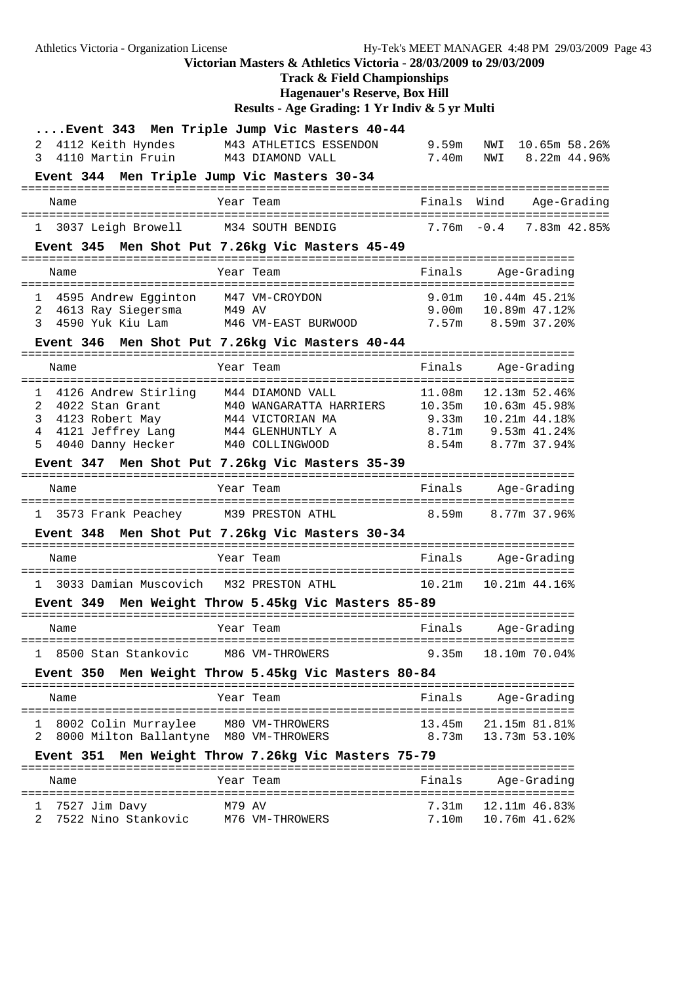Athletics Victoria - Organization License Hy-Tek's MEET MANAGER 4:48 PM 29/03/2009 Page 43 **Victorian Masters & Athletics Victoria - 28/03/2009 to 29/03/2009 Track & Field Championships Hagenauer's Reserve, Box Hill Results - Age Grading: 1 Yr Indiv & 5 yr Multi ....Event 343 Men Triple Jump Vic Masters 40-44** 2 4112 Keith Hyndes M43 ATHLETICS ESSENDON 9.59m NWI 10.65m 58.26% 3 4110 Martin Fruin M43 DIAMOND VALL 7.40m NWI 8.22m 44.96% **Event 344 Men Triple Jump Vic Masters 30-34** ==================================================================================== Name Year Team Finals Wind Age-Grading ==================================================================================== 1 3037 Leigh Browell M34 SOUTH BENDIG **Event 345 Men Shot Put 7.26kg Vic Masters 45-49** =============================================================================== Name Year Team Finals Age-Grading =============================================================================== 1 4595 Andrew Egginton M47 VM-CROYDON 9.01m 10.44m 45.21% 2 4613 Ray Siegersma M49 AV 9.00m 10.89m 47.12% 3 4590 Yuk Kiu Lam M46 VM-EAST BURWOOD 7.57m 8.59m 37.20% **Event 346 Men Shot Put 7.26kg Vic Masters 40-44** =============================================================================== Name Year Team Finals Age-Grading =============================================================================== 1 4126 Andrew Stirling M44 DIAMOND VALL 11.08m 12.13m 52.46% 2 4022 Stan Grant M40 WANGARATTA HARRIERS 10.35m 10.63m 45.98% 3 4123 Robert May M44 VICTORIAN MA 9.33m 10.21m 44.18% 4 4121 Jeffrey Lang M44 GLENHUNTLY A 8.71m 9.53m 41.24% 5 4040 Danny Hecker M40 COLLINGWOOD 8.54m 8.77m 37.94% **Event 347 Men Shot Put 7.26kg Vic Masters 35-39** =============================================================================== Name Year Team Finals Age-Grading =============================================================================== 1 3573 Frank Peachey M39 PRESTON ATHL 8.59m 8.77m 37.96% **Event 348 Men Shot Put 7.26kg Vic Masters 30-34** =============================================================================== Name Year Team Finals Age-Grading =============================================================================== 1 3033 Damian Muscovich M32 PRESTON ATHL 10.21m 10.21m 44.16% **Event 349 Men Weight Throw 5.45kg Vic Masters 85-89** =============================================================================== Name Tear Team Team Finals Age-Grading =============================================================================== 1 8500 Stan Stankovic M86 VM-THROWERS 9.35m 18.10m 70.04% **Event 350 Men Weight Throw 5.45kg Vic Masters 80-84** =============================================================================== Name Year Team Finals Age-Grading =============================================================================== 1 8002 Colin Murraylee M80 VM-THROWERS 13.45m 21.15m 81.81% 2 8000 Milton Ballantyne M80 VM-THROWERS 8.73m 13.73m 53.10% **Event 351 Men Weight Throw 7.26kg Vic Masters 75-79** =============================================================================== Name Team Year Team Finals Age-Grading =============================================================================== 1 7527 Jim Davy M79 AV 7.31m 12.11m 46.83% 2 7522 Nino Stankovic M76 VM-THROWERS 7.10m 10.76m 41.62%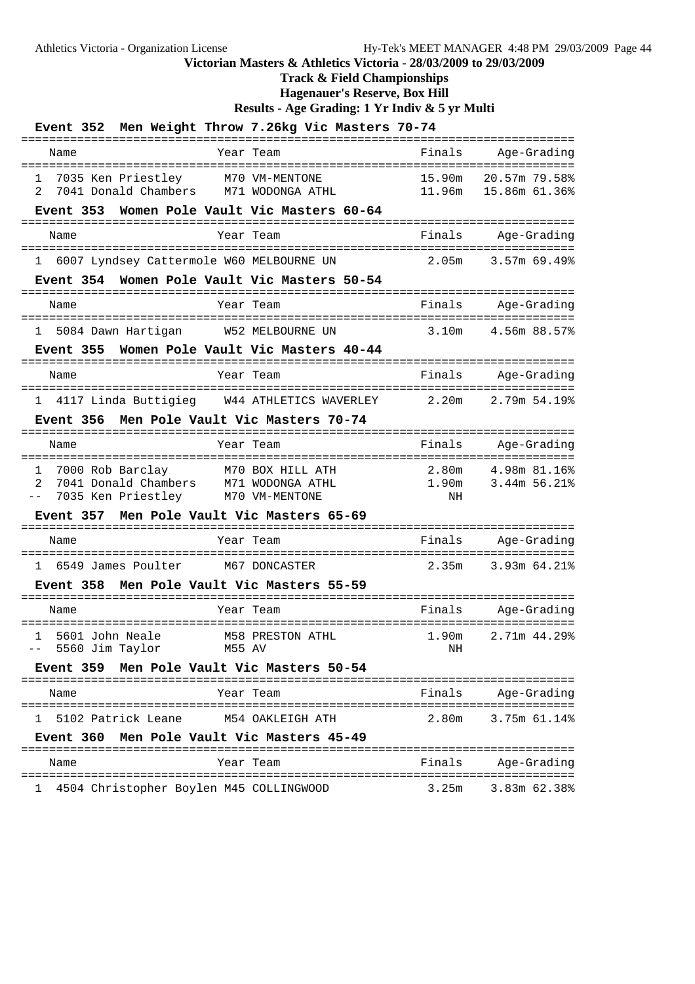# **Track & Field Championships**

**Hagenauer's Reserve, Box Hill**

|                                    |                                                                |                            | Event 352 Men Weight Throw 7.26kg Vic Masters 70-74                        |                                            |                                 |
|------------------------------------|----------------------------------------------------------------|----------------------------|----------------------------------------------------------------------------|--------------------------------------------|---------------------------------|
| Name                               |                                                                |                            | Year Team                                                                  | Finals<br>========                         | Age-Grading                     |
| 1<br>2                             | 7035 Ken Priestley<br>7041 Donald Chambers                     |                            | M70 VM-MENTONE<br>M71 WODONGA ATHL                                         | 15.90m<br>11.96m                           | 20.57m 79.58%<br>15.86m 61.36%  |
| Event 353                          |                                                                |                            | Women Pole Vault Vic Masters 60-64                                         | ----------------                           |                                 |
| Name                               |                                                                |                            | Year Team                                                                  | Finals                                     | Age-Grading                     |
|                                    |                                                                |                            | 1 6007 Lyndsey Cattermole W60 MELBOURNE UN                                 | 2.05m                                      | ===============<br>3.57m 69.49% |
|                                    |                                                                |                            | Event 354 Women Pole Vault Vic Masters 50-54                               | -----------                                |                                 |
| Name                               |                                                                |                            | Year Team                                                                  | Finals                                     | Age-Grading                     |
|                                    |                                                                |                            | 1 5084 Dawn Hartigan W52 MELBOURNE UN                                      | 3.10m                                      | 4.56m 88.57%                    |
|                                    |                                                                |                            | Event 355 Women Pole Vault Vic Masters 40-44                               |                                            |                                 |
| Name                               |                                                                |                            | Year Team                                                                  | Finals                                     | Age-Grading                     |
|                                    |                                                                |                            | 1 4117 Linda Buttigieg W44 ATHLETICS WAVERLEY                              | 2.20m                                      | 2.79m 54.19%                    |
|                                    |                                                                |                            | Event 356 Men Pole Vault Vic Masters 70-74                                 |                                            |                                 |
| Name                               |                                                                |                            | Year Team                                                                  | Finals                                     | Age-Grading                     |
| 1<br>$\overline{2}$<br>$- -$       | 7000 Rob Barclay<br>7041 Donald Chambers<br>7035 Ken Priestley |                            | M70 BUA 111--<br>Pers M71 WODONGA ATHL<br>M70 VM-MENTONE                   | 2.80m<br>1.90m<br>ΝH                       | 4.98m 81.16%<br>3.44m 56.21%    |
| Event 357                          |                                                                |                            | Men Pole Vault Vic Masters 65-69                                           |                                            |                                 |
| Name                               |                                                                |                            | Year Team                                                                  | Finals                                     | Age-Grading                     |
| $\mathbf{1}$                       | 6549 James Poulter                                             |                            | M67 DONCASTER                                                              | 2.35m                                      | 3.93m 64.21%                    |
| <b>Event 358</b>                   |                                                                |                            | Men Pole Vault Vic Masters 55-59                                           |                                            |                                 |
| Name                               |                                                                |                            | Year Team                                                                  | Finals                                     | Age-Grading                     |
| $\mathbf{1}$<br>-- 5560 Jim Taylor | 5601 John Neale                                                | =========<br><b>M55 AV</b> | <b>M58 PRESTON ATHL</b>                                                    | ===========================<br>1.90m<br>NH | 2.71m 44.29%                    |
| <b>Event 359</b>                   |                                                                |                            | Men Pole Vault Vic Masters 50-54                                           |                                            |                                 |
| Name                               |                                                                |                            | Year Team                                                                  | Finals                                     | Age-Grading                     |
| ı.                                 | 5102 Patrick Leane                                             |                            | M54 OAKLEIGH ATH                                                           | 2.80m                                      | 3.75m 61.14%                    |
| <b>Event 360</b>                   |                                                                |                            | Men Pole Vault Vic Masters 45-49                                           |                                            |                                 |
| Name                               |                                                                |                            | Year Team                                                                  | Finals                                     | Age-Grading                     |
| ı                                  |                                                                |                            | ===============================<br>4504 Christopher Boylen M45 COLLINGWOOD | 3.25m                                      | 3.83m 62.38%                    |